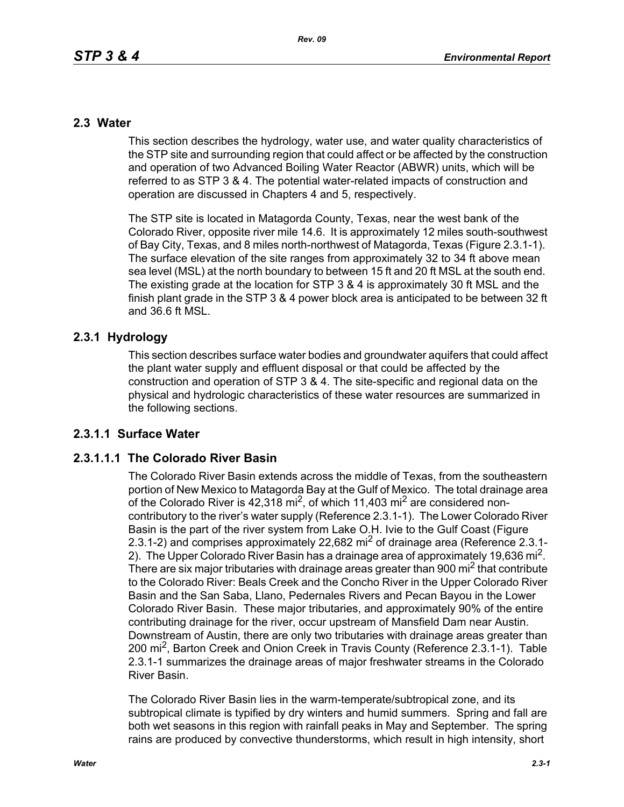## **2.3 Water**

This section describes the hydrology, water use, and water quality characteristics of the STP site and surrounding region that could affect or be affected by the construction and operation of two Advanced Boiling Water Reactor (ABWR) units, which will be referred to as STP 3 & 4. The potential water-related impacts of construction and operation are discussed in Chapters 4 and 5, respectively.

The STP site is located in Matagorda County, Texas, near the west bank of the Colorado River, opposite river mile 14.6. It is approximately 12 miles south-southwest of Bay City, Texas, and 8 miles north-northwest of Matagorda, Texas (Figure 2.3.1-1). The surface elevation of the site ranges from approximately 32 to 34 ft above mean sea level (MSL) at the north boundary to between 15 ft and 20 ft MSL at the south end. The existing grade at the location for STP 3 & 4 is approximately 30 ft MSL and the finish plant grade in the STP 3 & 4 power block area is anticipated to be between 32 ft and 36.6 ft MSL.

# **2.3.1 Hydrology**

This section describes surface water bodies and groundwater aquifers that could affect the plant water supply and effluent disposal or that could be affected by the construction and operation of STP 3 & 4. The site-specific and regional data on the physical and hydrologic characteristics of these water resources are summarized in the following sections.

# **2.3.1.1 Surface Water**

# **2.3.1.1.1 The Colorado River Basin**

The Colorado River Basin extends across the middle of Texas, from the southeastern portion of New Mexico to Matagorda Bay at the Gulf of Mexico. The total drainage area of the Colorado River is  $42,318$  mi<sup>2</sup>, of which 11,403 mi<sup>2</sup> are considered noncontributory to the river's water supply (Reference 2.3.1-1). The Lower Colorado River Basin is the part of the river system from Lake O.H. Ivie to the Gulf Coast (Figure 2.3.1-2) and comprises approximately 22,682 mi<sup>2</sup> of drainage area (Reference 2.3.1-2). The Upper Colorado River Basin has a drainage area of approximately 19,636 mi<sup>2</sup>. There are six major tributaries with drainage areas greater than 900 mi<sup>2</sup> that contribute to the Colorado River: Beals Creek and the Concho River in the Upper Colorado River Basin and the San Saba, Llano, Pedernales Rivers and Pecan Bayou in the Lower Colorado River Basin. These major tributaries, and approximately 90% of the entire contributing drainage for the river, occur upstream of Mansfield Dam near Austin. Downstream of Austin, there are only two tributaries with drainage areas greater than 200 mi<sup>2</sup>, Barton Creek and Onion Creek in Travis County (Reference 2.3.1-1). Table 2.3.1-1 summarizes the drainage areas of major freshwater streams in the Colorado River Basin.

The Colorado River Basin lies in the warm-temperate/subtropical zone, and its subtropical climate is typified by dry winters and humid summers. Spring and fall are both wet seasons in this region with rainfall peaks in May and September. The spring rains are produced by convective thunderstorms, which result in high intensity, short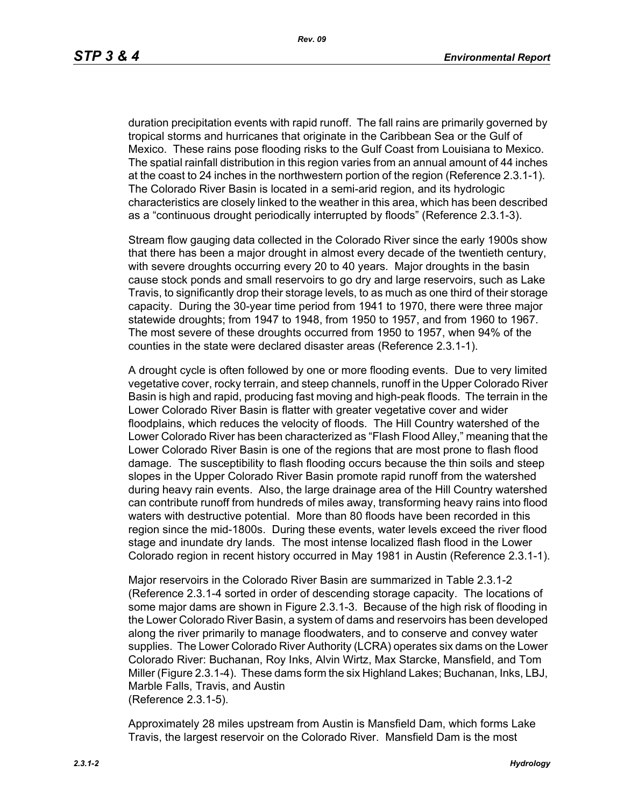duration precipitation events with rapid runoff. The fall rains are primarily governed by tropical storms and hurricanes that originate in the Caribbean Sea or the Gulf of Mexico. These rains pose flooding risks to the Gulf Coast from Louisiana to Mexico. The spatial rainfall distribution in this region varies from an annual amount of 44 inches at the coast to 24 inches in the northwestern portion of the region (Reference 2.3.1-1). The Colorado River Basin is located in a semi-arid region, and its hydrologic characteristics are closely linked to the weather in this area, which has been described as a "continuous drought periodically interrupted by floods" (Reference 2.3.1-3).

Stream flow gauging data collected in the Colorado River since the early 1900s show that there has been a major drought in almost every decade of the twentieth century, with severe droughts occurring every 20 to 40 years. Major droughts in the basin cause stock ponds and small reservoirs to go dry and large reservoirs, such as Lake Travis, to significantly drop their storage levels, to as much as one third of their storage capacity. During the 30-year time period from 1941 to 1970, there were three major statewide droughts; from 1947 to 1948, from 1950 to 1957, and from 1960 to 1967. The most severe of these droughts occurred from 1950 to 1957, when 94% of the counties in the state were declared disaster areas (Reference 2.3.1-1).

A drought cycle is often followed by one or more flooding events. Due to very limited vegetative cover, rocky terrain, and steep channels, runoff in the Upper Colorado River Basin is high and rapid, producing fast moving and high-peak floods. The terrain in the Lower Colorado River Basin is flatter with greater vegetative cover and wider floodplains, which reduces the velocity of floods. The Hill Country watershed of the Lower Colorado River has been characterized as "Flash Flood Alley," meaning that the Lower Colorado River Basin is one of the regions that are most prone to flash flood damage. The susceptibility to flash flooding occurs because the thin soils and steep slopes in the Upper Colorado River Basin promote rapid runoff from the watershed during heavy rain events. Also, the large drainage area of the Hill Country watershed can contribute runoff from hundreds of miles away, transforming heavy rains into flood waters with destructive potential. More than 80 floods have been recorded in this region since the mid-1800s. During these events, water levels exceed the river flood stage and inundate dry lands. The most intense localized flash flood in the Lower Colorado region in recent history occurred in May 1981 in Austin (Reference 2.3.1-1).

Major reservoirs in the Colorado River Basin are summarized in Table 2.3.1-2 (Reference 2.3.1-4 sorted in order of descending storage capacity. The locations of some major dams are shown in Figure 2.3.1-3. Because of the high risk of flooding in the Lower Colorado River Basin, a system of dams and reservoirs has been developed along the river primarily to manage floodwaters, and to conserve and convey water supplies. The Lower Colorado River Authority (LCRA) operates six dams on the Lower Colorado River: Buchanan, Roy Inks, Alvin Wirtz, Max Starcke, Mansfield, and Tom Miller (Figure 2.3.1-4). These dams form the six Highland Lakes; Buchanan, Inks, LBJ, Marble Falls, Travis, and Austin (Reference 2.3.1-5).

Approximately 28 miles upstream from Austin is Mansfield Dam, which forms Lake Travis, the largest reservoir on the Colorado River. Mansfield Dam is the most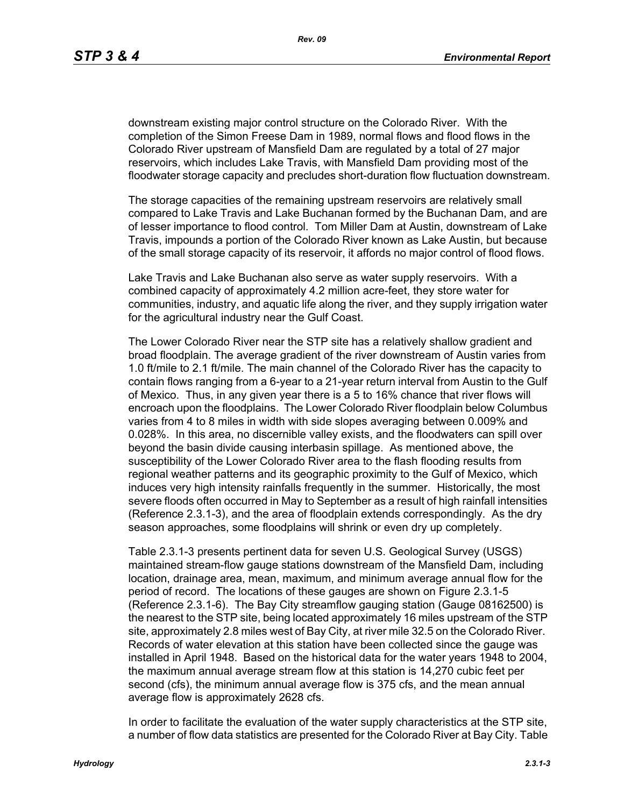downstream existing major control structure on the Colorado River. With the completion of the Simon Freese Dam in 1989, normal flows and flood flows in the Colorado River upstream of Mansfield Dam are regulated by a total of 27 major reservoirs, which includes Lake Travis, with Mansfield Dam providing most of the floodwater storage capacity and precludes short-duration flow fluctuation downstream.

The storage capacities of the remaining upstream reservoirs are relatively small compared to Lake Travis and Lake Buchanan formed by the Buchanan Dam, and are of lesser importance to flood control. Tom Miller Dam at Austin, downstream of Lake Travis, impounds a portion of the Colorado River known as Lake Austin, but because of the small storage capacity of its reservoir, it affords no major control of flood flows.

Lake Travis and Lake Buchanan also serve as water supply reservoirs. With a combined capacity of approximately 4.2 million acre-feet, they store water for communities, industry, and aquatic life along the river, and they supply irrigation water for the agricultural industry near the Gulf Coast.

The Lower Colorado River near the STP site has a relatively shallow gradient and broad floodplain. The average gradient of the river downstream of Austin varies from 1.0 ft/mile to 2.1 ft/mile. The main channel of the Colorado River has the capacity to contain flows ranging from a 6-year to a 21-year return interval from Austin to the Gulf of Mexico. Thus, in any given year there is a 5 to 16% chance that river flows will encroach upon the floodplains. The Lower Colorado River floodplain below Columbus varies from 4 to 8 miles in width with side slopes averaging between 0.009% and 0.028%. In this area, no discernible valley exists, and the floodwaters can spill over beyond the basin divide causing interbasin spillage. As mentioned above, the susceptibility of the Lower Colorado River area to the flash flooding results from regional weather patterns and its geographic proximity to the Gulf of Mexico, which induces very high intensity rainfalls frequently in the summer. Historically, the most severe floods often occurred in May to September as a result of high rainfall intensities (Reference 2.3.1-3), and the area of floodplain extends correspondingly. As the dry season approaches, some floodplains will shrink or even dry up completely.

Table 2.3.1-3 presents pertinent data for seven U.S. Geological Survey (USGS) maintained stream-flow gauge stations downstream of the Mansfield Dam, including location, drainage area, mean, maximum, and minimum average annual flow for the period of record. The locations of these gauges are shown on Figure 2.3.1-5 (Reference 2.3.1-6). The Bay City streamflow gauging station (Gauge 08162500) is the nearest to the STP site, being located approximately 16 miles upstream of the STP site, approximately 2.8 miles west of Bay City, at river mile 32.5 on the Colorado River. Records of water elevation at this station have been collected since the gauge was installed in April 1948. Based on the historical data for the water years 1948 to 2004, the maximum annual average stream flow at this station is 14,270 cubic feet per second (cfs), the minimum annual average flow is 375 cfs, and the mean annual average flow is approximately 2628 cfs.

In order to facilitate the evaluation of the water supply characteristics at the STP site, a number of flow data statistics are presented for the Colorado River at Bay City. Table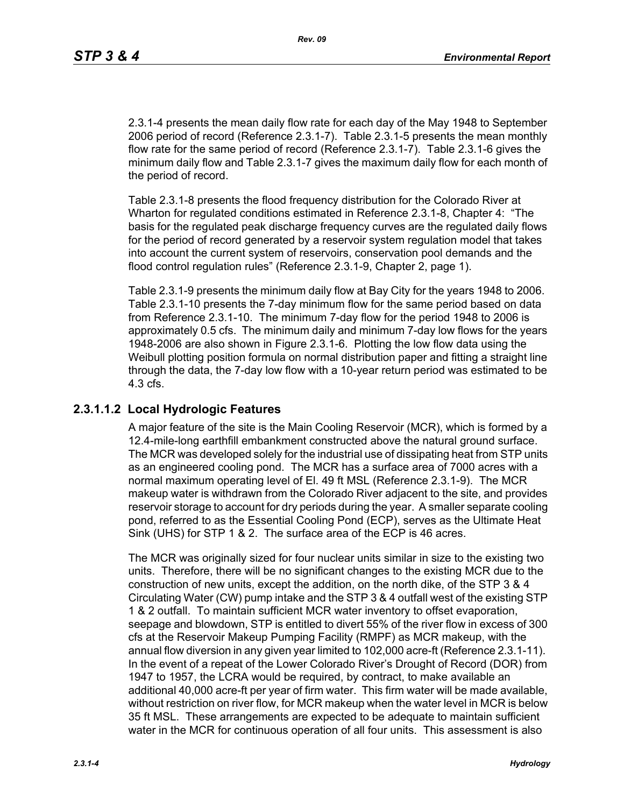2.3.1-4 presents the mean daily flow rate for each day of the May 1948 to September 2006 period of record (Reference 2.3.1-7). Table 2.3.1-5 presents the mean monthly flow rate for the same period of record (Reference 2.3.1-7). Table 2.3.1-6 gives the minimum daily flow and Table 2.3.1-7 gives the maximum daily flow for each month of the period of record.

Table 2.3.1-8 presents the flood frequency distribution for the Colorado River at Wharton for regulated conditions estimated in Reference 2.3.1-8, Chapter 4: "The basis for the regulated peak discharge frequency curves are the regulated daily flows for the period of record generated by a reservoir system regulation model that takes into account the current system of reservoirs, conservation pool demands and the flood control regulation rules" (Reference 2.3.1-9, Chapter 2, page 1).

Table 2.3.1-9 presents the minimum daily flow at Bay City for the years 1948 to 2006. Table 2.3.1-10 presents the 7-day minimum flow for the same period based on data from Reference 2.3.1-10. The minimum 7-day flow for the period 1948 to 2006 is approximately 0.5 cfs. The minimum daily and minimum 7-day low flows for the years 1948-2006 are also shown in Figure 2.3.1-6. Plotting the low flow data using the Weibull plotting position formula on normal distribution paper and fitting a straight line through the data, the 7-day low flow with a 10-year return period was estimated to be 4.3 cfs.

# **2.3.1.1.2 Local Hydrologic Features**

A major feature of the site is the Main Cooling Reservoir (MCR), which is formed by a 12.4-mile-long earthfill embankment constructed above the natural ground surface. The MCR was developed solely for the industrial use of dissipating heat from STP units as an engineered cooling pond. The MCR has a surface area of 7000 acres with a normal maximum operating level of El. 49 ft MSL (Reference 2.3.1-9). The MCR makeup water is withdrawn from the Colorado River adjacent to the site, and provides reservoir storage to account for dry periods during the year. A smaller separate cooling pond, referred to as the Essential Cooling Pond (ECP), serves as the Ultimate Heat Sink (UHS) for STP 1 & 2. The surface area of the ECP is 46 acres.

The MCR was originally sized for four nuclear units similar in size to the existing two units. Therefore, there will be no significant changes to the existing MCR due to the construction of new units, except the addition, on the north dike, of the STP 3 & 4 Circulating Water (CW) pump intake and the STP 3 & 4 outfall west of the existing STP 1 & 2 outfall. To maintain sufficient MCR water inventory to offset evaporation, seepage and blowdown, STP is entitled to divert 55% of the river flow in excess of 300 cfs at the Reservoir Makeup Pumping Facility (RMPF) as MCR makeup, with the annual flow diversion in any given year limited to 102,000 acre-ft (Reference 2.3.1-11). In the event of a repeat of the Lower Colorado River's Drought of Record (DOR) from 1947 to 1957, the LCRA would be required, by contract, to make available an additional 40,000 acre-ft per year of firm water. This firm water will be made available, without restriction on river flow, for MCR makeup when the water level in MCR is below 35 ft MSL. These arrangements are expected to be adequate to maintain sufficient water in the MCR for continuous operation of all four units. This assessment is also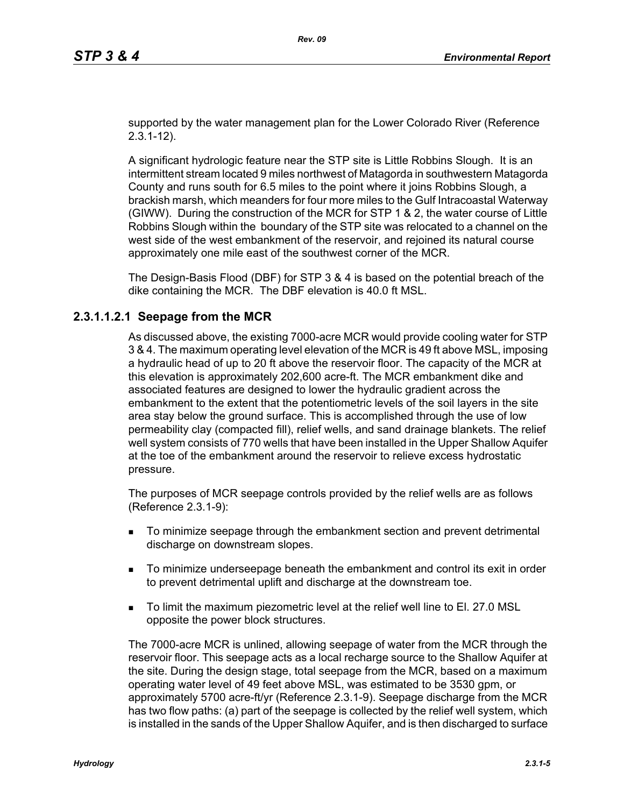supported by the water management plan for the Lower Colorado River (Reference 2.3.1-12).

A significant hydrologic feature near the STP site is Little Robbins Slough. It is an intermittent stream located 9 miles northwest of Matagorda in southwestern Matagorda County and runs south for 6.5 miles to the point where it joins Robbins Slough, a brackish marsh, which meanders for four more miles to the Gulf Intracoastal Waterway (GIWW). During the construction of the MCR for STP 1 & 2, the water course of Little Robbins Slough within the boundary of the STP site was relocated to a channel on the west side of the west embankment of the reservoir, and rejoined its natural course approximately one mile east of the southwest corner of the MCR.

The Design-Basis Flood (DBF) for STP 3 & 4 is based on the potential breach of the dike containing the MCR. The DBF elevation is 40.0 ft MSL.

## **2.3.1.1.2.1 Seepage from the MCR**

As discussed above, the existing 7000-acre MCR would provide cooling water for STP 3 & 4. The maximum operating level elevation of the MCR is 49 ft above MSL, imposing a hydraulic head of up to 20 ft above the reservoir floor. The capacity of the MCR at this elevation is approximately 202,600 acre-ft. The MCR embankment dike and associated features are designed to lower the hydraulic gradient across the embankment to the extent that the potentiometric levels of the soil layers in the site area stay below the ground surface. This is accomplished through the use of low permeability clay (compacted fill), relief wells, and sand drainage blankets. The relief well system consists of 770 wells that have been installed in the Upper Shallow Aquifer at the toe of the embankment around the reservoir to relieve excess hydrostatic pressure.

The purposes of MCR seepage controls provided by the relief wells are as follows (Reference 2.3.1-9):

- To minimize seepage through the embankment section and prevent detrimental discharge on downstream slopes.
- To minimize underseepage beneath the embankment and control its exit in order to prevent detrimental uplift and discharge at the downstream toe.
- To limit the maximum piezometric level at the relief well line to El. 27.0 MSL opposite the power block structures.

The 7000-acre MCR is unlined, allowing seepage of water from the MCR through the reservoir floor. This seepage acts as a local recharge source to the Shallow Aquifer at the site. During the design stage, total seepage from the MCR, based on a maximum operating water level of 49 feet above MSL, was estimated to be 3530 gpm, or approximately 5700 acre-ft/yr (Reference 2.3.1-9). Seepage discharge from the MCR has two flow paths: (a) part of the seepage is collected by the relief well system, which is installed in the sands of the Upper Shallow Aquifer, and is then discharged to surface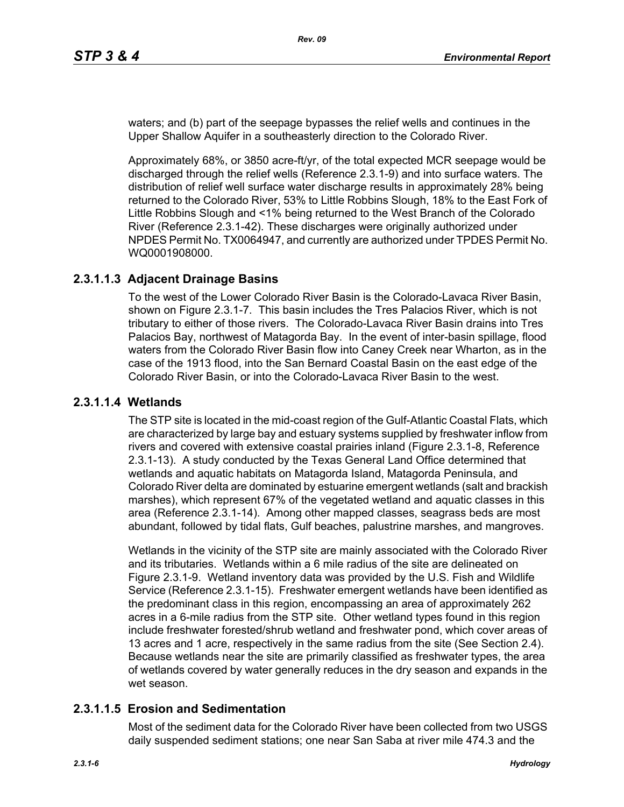waters; and (b) part of the seepage bypasses the relief wells and continues in the Upper Shallow Aquifer in a southeasterly direction to the Colorado River.

Approximately 68%, or 3850 acre-ft/yr, of the total expected MCR seepage would be discharged through the relief wells (Reference 2.3.1-9) and into surface waters. The distribution of relief well surface water discharge results in approximately 28% being returned to the Colorado River, 53% to Little Robbins Slough, 18% to the East Fork of Little Robbins Slough and <1% being returned to the West Branch of the Colorado River (Reference 2.3.1-42). These discharges were originally authorized under NPDES Permit No. TX0064947, and currently are authorized under TPDES Permit No. WQ0001908000.

# **2.3.1.1.3 Adjacent Drainage Basins**

To the west of the Lower Colorado River Basin is the Colorado-Lavaca River Basin, shown on Figure 2.3.1-7. This basin includes the Tres Palacios River, which is not tributary to either of those rivers. The Colorado-Lavaca River Basin drains into Tres Palacios Bay, northwest of Matagorda Bay. In the event of inter-basin spillage, flood waters from the Colorado River Basin flow into Caney Creek near Wharton, as in the case of the 1913 flood, into the San Bernard Coastal Basin on the east edge of the Colorado River Basin, or into the Colorado-Lavaca River Basin to the west.

# **2.3.1.1.4 Wetlands**

The STP site is located in the mid-coast region of the Gulf-Atlantic Coastal Flats, which are characterized by large bay and estuary systems supplied by freshwater inflow from rivers and covered with extensive coastal prairies inland (Figure 2.3.1-8, Reference 2.3.1-13). A study conducted by the Texas General Land Office determined that wetlands and aquatic habitats on Matagorda Island, Matagorda Peninsula, and Colorado River delta are dominated by estuarine emergent wetlands (salt and brackish marshes), which represent 67% of the vegetated wetland and aquatic classes in this area (Reference 2.3.1-14). Among other mapped classes, seagrass beds are most abundant, followed by tidal flats, Gulf beaches, palustrine marshes, and mangroves.

Wetlands in the vicinity of the STP site are mainly associated with the Colorado River and its tributaries. Wetlands within a 6 mile radius of the site are delineated on Figure 2.3.1-9. Wetland inventory data was provided by the U.S. Fish and Wildlife Service (Reference 2.3.1-15). Freshwater emergent wetlands have been identified as the predominant class in this region, encompassing an area of approximately 262 acres in a 6-mile radius from the STP site. Other wetland types found in this region include freshwater forested/shrub wetland and freshwater pond, which cover areas of 13 acres and 1 acre, respectively in the same radius from the site (See Section 2.4). Because wetlands near the site are primarily classified as freshwater types, the area of wetlands covered by water generally reduces in the dry season and expands in the wet season.

# **2.3.1.1.5 Erosion and Sedimentation**

Most of the sediment data for the Colorado River have been collected from two USGS daily suspended sediment stations; one near San Saba at river mile 474.3 and the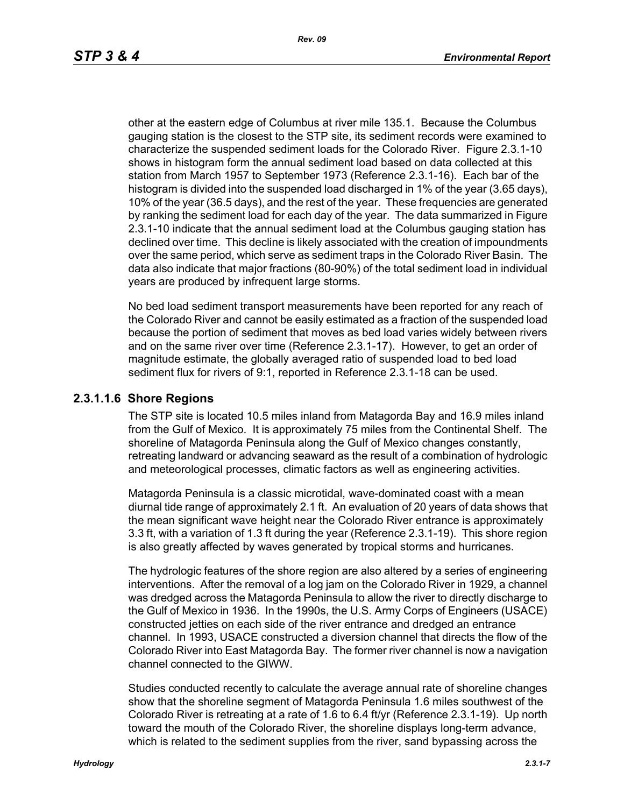other at the eastern edge of Columbus at river mile 135.1. Because the Columbus gauging station is the closest to the STP site, its sediment records were examined to characterize the suspended sediment loads for the Colorado River. Figure 2.3.1-10 shows in histogram form the annual sediment load based on data collected at this station from March 1957 to September 1973 (Reference 2.3.1-16). Each bar of the histogram is divided into the suspended load discharged in 1% of the year (3.65 days), 10% of the year (36.5 days), and the rest of the year. These frequencies are generated by ranking the sediment load for each day of the year. The data summarized in Figure 2.3.1-10 indicate that the annual sediment load at the Columbus gauging station has declined over time. This decline is likely associated with the creation of impoundments over the same period, which serve as sediment traps in the Colorado River Basin. The data also indicate that major fractions (80-90%) of the total sediment load in individual years are produced by infrequent large storms.

No bed load sediment transport measurements have been reported for any reach of the Colorado River and cannot be easily estimated as a fraction of the suspended load because the portion of sediment that moves as bed load varies widely between rivers and on the same river over time (Reference 2.3.1-17). However, to get an order of magnitude estimate, the globally averaged ratio of suspended load to bed load sediment flux for rivers of 9:1, reported in Reference 2.3.1-18 can be used.

## **2.3.1.1.6 Shore Regions**

The STP site is located 10.5 miles inland from Matagorda Bay and 16.9 miles inland from the Gulf of Mexico. It is approximately 75 miles from the Continental Shelf. The shoreline of Matagorda Peninsula along the Gulf of Mexico changes constantly, retreating landward or advancing seaward as the result of a combination of hydrologic and meteorological processes, climatic factors as well as engineering activities.

Matagorda Peninsula is a classic microtidal, wave-dominated coast with a mean diurnal tide range of approximately 2.1 ft. An evaluation of 20 years of data shows that the mean significant wave height near the Colorado River entrance is approximately 3.3 ft, with a variation of 1.3 ft during the year (Reference 2.3.1-19). This shore region is also greatly affected by waves generated by tropical storms and hurricanes.

The hydrologic features of the shore region are also altered by a series of engineering interventions. After the removal of a log jam on the Colorado River in 1929, a channel was dredged across the Matagorda Peninsula to allow the river to directly discharge to the Gulf of Mexico in 1936. In the 1990s, the U.S. Army Corps of Engineers (USACE) constructed jetties on each side of the river entrance and dredged an entrance channel. In 1993, USACE constructed a diversion channel that directs the flow of the Colorado River into East Matagorda Bay. The former river channel is now a navigation channel connected to the GIWW.

Studies conducted recently to calculate the average annual rate of shoreline changes show that the shoreline segment of Matagorda Peninsula 1.6 miles southwest of the Colorado River is retreating at a rate of 1.6 to 6.4 ft/yr (Reference 2.3.1-19). Up north toward the mouth of the Colorado River, the shoreline displays long-term advance, which is related to the sediment supplies from the river, sand bypassing across the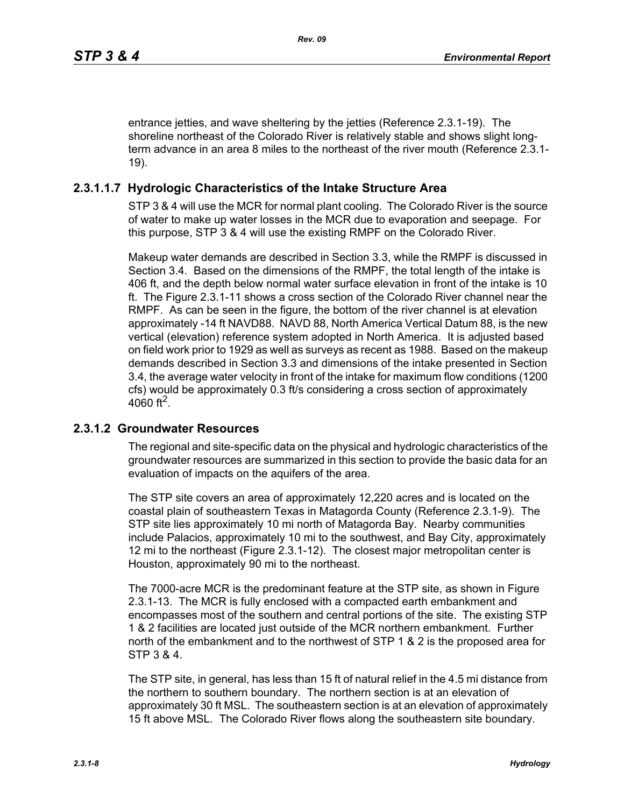entrance jetties, and wave sheltering by the jetties (Reference 2.3.1-19). The shoreline northeast of the Colorado River is relatively stable and shows slight longterm advance in an area 8 miles to the northeast of the river mouth (Reference 2.3.1- 19).

## **2.3.1.1.7 Hydrologic Characteristics of the Intake Structure Area**

STP 3 & 4 will use the MCR for normal plant cooling. The Colorado River is the source of water to make up water losses in the MCR due to evaporation and seepage. For this purpose, STP 3 & 4 will use the existing RMPF on the Colorado River.

Makeup water demands are described in Section 3.3, while the RMPF is discussed in Section 3.4. Based on the dimensions of the RMPF, the total length of the intake is 406 ft, and the depth below normal water surface elevation in front of the intake is 10 ft. The Figure 2.3.1-11 shows a cross section of the Colorado River channel near the RMPF. As can be seen in the figure, the bottom of the river channel is at elevation approximately -14 ft NAVD88. NAVD 88, North America Vertical Datum 88, is the new vertical (elevation) reference system adopted in North America. It is adjusted based on field work prior to 1929 as well as surveys as recent as 1988. Based on the makeup demands described in Section 3.3 and dimensions of the intake presented in Section 3.4, the average water velocity in front of the intake for maximum flow conditions (1200 cfs) would be approximately 0.3 ft/s considering a cross section of approximately 4060 ft<sup>2</sup>.

## **2.3.1.2 Groundwater Resources**

The regional and site-specific data on the physical and hydrologic characteristics of the groundwater resources are summarized in this section to provide the basic data for an evaluation of impacts on the aquifers of the area.

The STP site covers an area of approximately 12,220 acres and is located on the coastal plain of southeastern Texas in Matagorda County (Reference 2.3.1-9). The STP site lies approximately 10 mi north of Matagorda Bay. Nearby communities include Palacios, approximately 10 mi to the southwest, and Bay City, approximately 12 mi to the northeast (Figure 2.3.1-12). The closest major metropolitan center is Houston, approximately 90 mi to the northeast.

The 7000-acre MCR is the predominant feature at the STP site, as shown in Figure 2.3.1-13. The MCR is fully enclosed with a compacted earth embankment and encompasses most of the southern and central portions of the site. The existing STP 1 & 2 facilities are located just outside of the MCR northern embankment. Further north of the embankment and to the northwest of STP 1 & 2 is the proposed area for STP 3 & 4.

The STP site, in general, has less than 15 ft of natural relief in the 4.5 mi distance from the northern to southern boundary. The northern section is at an elevation of approximately 30 ft MSL. The southeastern section is at an elevation of approximately 15 ft above MSL. The Colorado River flows along the southeastern site boundary.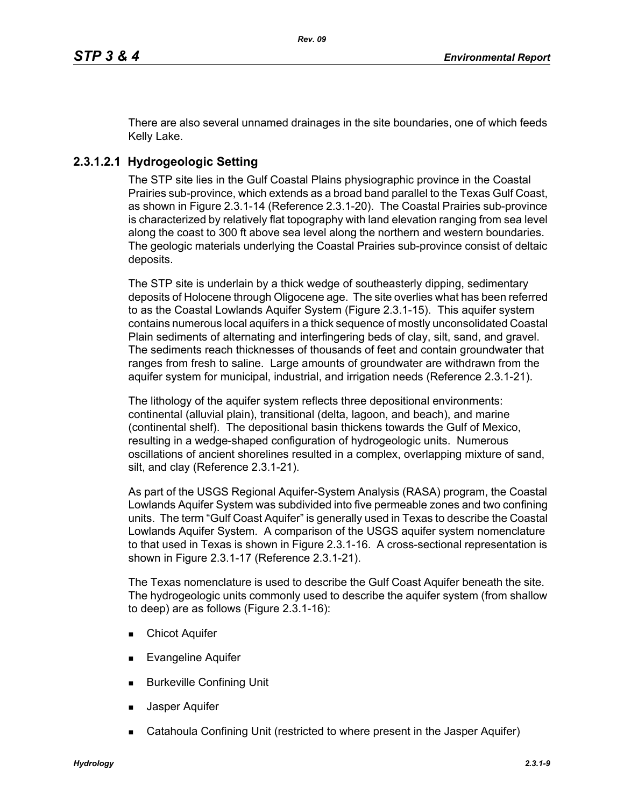There are also several unnamed drainages in the site boundaries, one of which feeds Kelly Lake.

# **2.3.1.2.1 Hydrogeologic Setting**

The STP site lies in the Gulf Coastal Plains physiographic province in the Coastal Prairies sub-province, which extends as a broad band parallel to the Texas Gulf Coast, as shown in Figure 2.3.1-14 (Reference 2.3.1-20). The Coastal Prairies sub-province is characterized by relatively flat topography with land elevation ranging from sea level along the coast to 300 ft above sea level along the northern and western boundaries. The geologic materials underlying the Coastal Prairies sub-province consist of deltaic deposits.

The STP site is underlain by a thick wedge of southeasterly dipping, sedimentary deposits of Holocene through Oligocene age. The site overlies what has been referred to as the Coastal Lowlands Aquifer System (Figure 2.3.1-15). This aquifer system contains numerous local aquifers in a thick sequence of mostly unconsolidated Coastal Plain sediments of alternating and interfingering beds of clay, silt, sand, and gravel. The sediments reach thicknesses of thousands of feet and contain groundwater that ranges from fresh to saline. Large amounts of groundwater are withdrawn from the aquifer system for municipal, industrial, and irrigation needs (Reference 2.3.1-21).

The lithology of the aquifer system reflects three depositional environments: continental (alluvial plain), transitional (delta, lagoon, and beach), and marine (continental shelf). The depositional basin thickens towards the Gulf of Mexico, resulting in a wedge-shaped configuration of hydrogeologic units. Numerous oscillations of ancient shorelines resulted in a complex, overlapping mixture of sand, silt, and clay (Reference 2.3.1-21).

As part of the USGS Regional Aquifer-System Analysis (RASA) program, the Coastal Lowlands Aquifer System was subdivided into five permeable zones and two confining units. The term "Gulf Coast Aquifer" is generally used in Texas to describe the Coastal Lowlands Aquifer System. A comparison of the USGS aquifer system nomenclature to that used in Texas is shown in Figure 2.3.1-16. A cross-sectional representation is shown in Figure 2.3.1-17 (Reference 2.3.1-21).

The Texas nomenclature is used to describe the Gulf Coast Aquifer beneath the site. The hydrogeologic units commonly used to describe the aquifer system (from shallow to deep) are as follows (Figure 2.3.1-16):

- **Chicot Aquifer**
- Evangeline Aquifer
- **Burkeville Confining Unit**
- Jasper Aquifer
- Catahoula Confining Unit (restricted to where present in the Jasper Aquifer)

*Hydrology 2.3.1-9*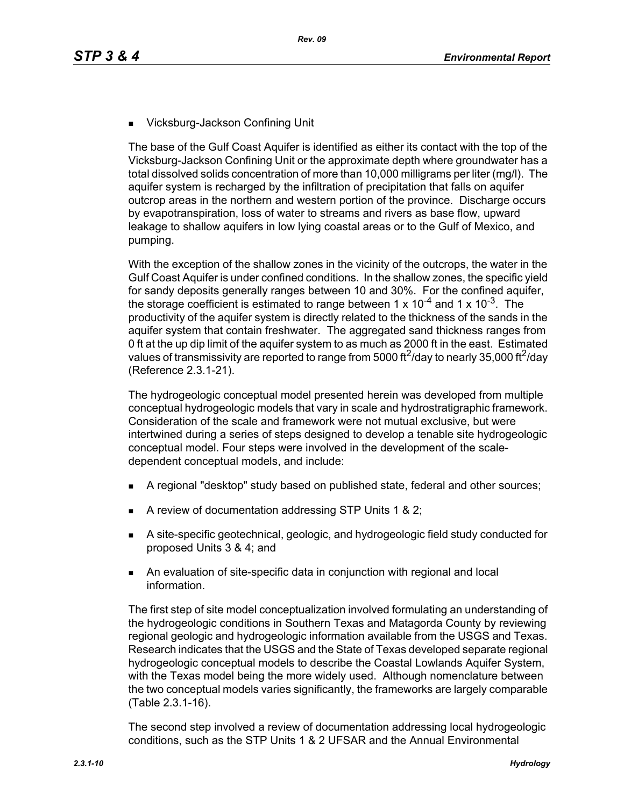■ Vicksburg-Jackson Confining Unit

The base of the Gulf Coast Aquifer is identified as either its contact with the top of the Vicksburg-Jackson Confining Unit or the approximate depth where groundwater has a total dissolved solids concentration of more than 10,000 milligrams per liter (mg/l). The aquifer system is recharged by the infiltration of precipitation that falls on aquifer outcrop areas in the northern and western portion of the province. Discharge occurs by evapotranspiration, loss of water to streams and rivers as base flow, upward leakage to shallow aquifers in low lying coastal areas or to the Gulf of Mexico, and pumping.

With the exception of the shallow zones in the vicinity of the outcrops, the water in the Gulf Coast Aquifer is under confined conditions. In the shallow zones, the specific yield for sandy deposits generally ranges between 10 and 30%. For the confined aquifer, the storage coefficient is estimated to range between 1 x  $10^{-4}$  and 1 x  $10^{-3}$ . The productivity of the aquifer system is directly related to the thickness of the sands in the aquifer system that contain freshwater. The aggregated sand thickness ranges from 0 ft at the up dip limit of the aquifer system to as much as 2000 ft in the east. Estimated values of transmissivity are reported to range from 5000 ft<sup>2</sup>/day to nearly 35,000 ft<sup>2</sup>/day (Reference 2.3.1-21).

The hydrogeologic conceptual model presented herein was developed from multiple conceptual hydrogeologic models that vary in scale and hydrostratigraphic framework. Consideration of the scale and framework were not mutual exclusive, but were intertwined during a series of steps designed to develop a tenable site hydrogeologic conceptual model. Four steps were involved in the development of the scaledependent conceptual models, and include:

- A regional "desktop" study based on published state, federal and other sources;
- A review of documentation addressing STP Units 1 & 2;
- A site-specific geotechnical, geologic, and hydrogeologic field study conducted for proposed Units 3 & 4; and
- An evaluation of site-specific data in conjunction with regional and local information.

The first step of site model conceptualization involved formulating an understanding of the hydrogeologic conditions in Southern Texas and Matagorda County by reviewing regional geologic and hydrogeologic information available from the USGS and Texas. Research indicates that the USGS and the State of Texas developed separate regional hydrogeologic conceptual models to describe the Coastal Lowlands Aquifer System, with the Texas model being the more widely used. Although nomenclature between the two conceptual models varies significantly, the frameworks are largely comparable (Table 2.3.1-16).

The second step involved a review of documentation addressing local hydrogeologic conditions, such as the STP Units 1 & 2 UFSAR and the Annual Environmental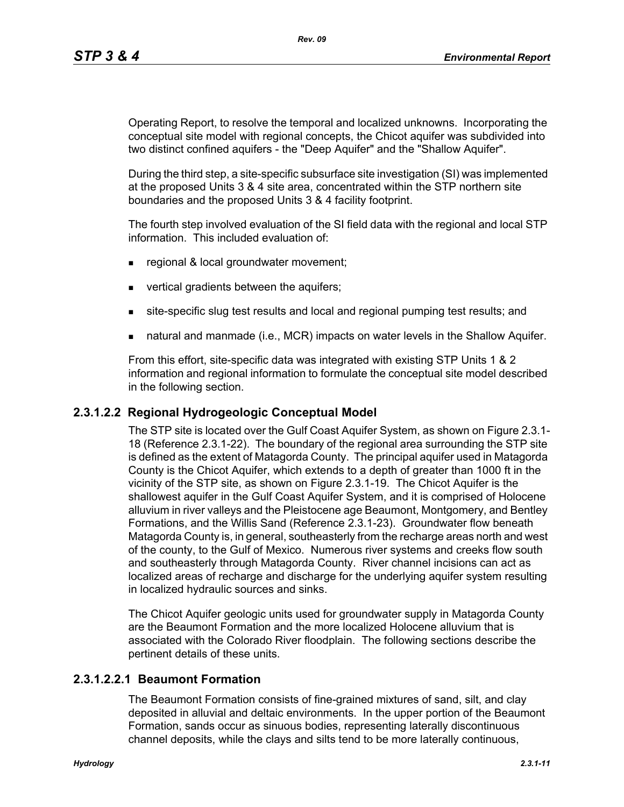Operating Report, to resolve the temporal and localized unknowns. Incorporating the conceptual site model with regional concepts, the Chicot aquifer was subdivided into two distinct confined aquifers - the "Deep Aquifer" and the "Shallow Aquifer".

During the third step, a site-specific subsurface site investigation (SI) was implemented at the proposed Units 3 & 4 site area, concentrated within the STP northern site boundaries and the proposed Units 3 & 4 facility footprint.

The fourth step involved evaluation of the SI field data with the regional and local STP information. This included evaluation of:

- **regional & local groundwater movement;**
- vertical gradients between the aquifers;
- site-specific slug test results and local and regional pumping test results; and
- natural and manmade (i.e., MCR) impacts on water levels in the Shallow Aquifer.

From this effort, site-specific data was integrated with existing STP Units 1 & 2 information and regional information to formulate the conceptual site model described in the following section.

## **2.3.1.2.2 Regional Hydrogeologic Conceptual Model**

The STP site is located over the Gulf Coast Aquifer System, as shown on Figure 2.3.1- 18 (Reference 2.3.1-22). The boundary of the regional area surrounding the STP site is defined as the extent of Matagorda County. The principal aquifer used in Matagorda County is the Chicot Aquifer, which extends to a depth of greater than 1000 ft in the vicinity of the STP site, as shown on Figure 2.3.1-19. The Chicot Aquifer is the shallowest aquifer in the Gulf Coast Aquifer System, and it is comprised of Holocene alluvium in river valleys and the Pleistocene age Beaumont, Montgomery, and Bentley Formations, and the Willis Sand (Reference 2.3.1-23). Groundwater flow beneath Matagorda County is, in general, southeasterly from the recharge areas north and west of the county, to the Gulf of Mexico. Numerous river systems and creeks flow south and southeasterly through Matagorda County. River channel incisions can act as localized areas of recharge and discharge for the underlying aquifer system resulting in localized hydraulic sources and sinks.

The Chicot Aquifer geologic units used for groundwater supply in Matagorda County are the Beaumont Formation and the more localized Holocene alluvium that is associated with the Colorado River floodplain. The following sections describe the pertinent details of these units.

## **2.3.1.2.2.1 Beaumont Formation**

The Beaumont Formation consists of fine-grained mixtures of sand, silt, and clay deposited in alluvial and deltaic environments. In the upper portion of the Beaumont Formation, sands occur as sinuous bodies, representing laterally discontinuous channel deposits, while the clays and silts tend to be more laterally continuous,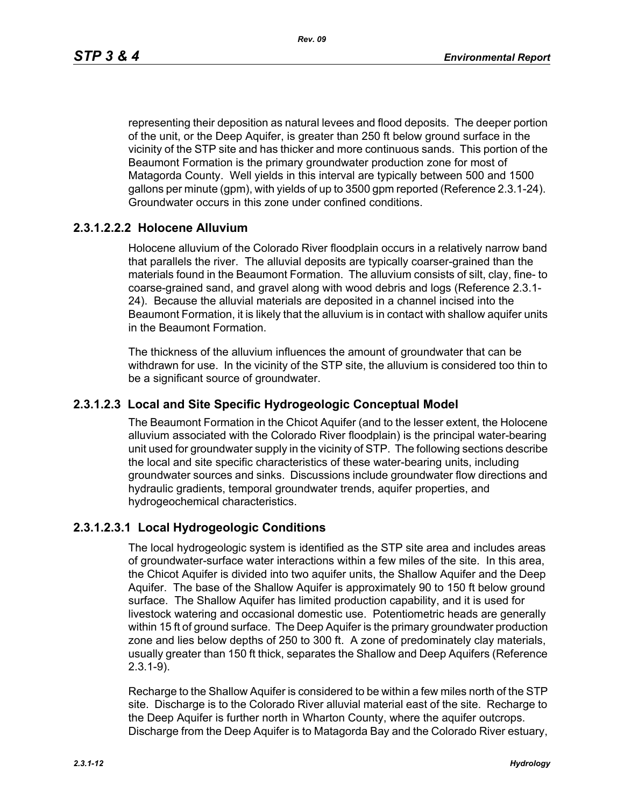representing their deposition as natural levees and flood deposits. The deeper portion of the unit, or the Deep Aquifer, is greater than 250 ft below ground surface in the vicinity of the STP site and has thicker and more continuous sands. This portion of the Beaumont Formation is the primary groundwater production zone for most of Matagorda County. Well yields in this interval are typically between 500 and 1500 gallons per minute (gpm), with yields of up to 3500 gpm reported (Reference 2.3.1-24). Groundwater occurs in this zone under confined conditions.

# **2.3.1.2.2.2 Holocene Alluvium**

Holocene alluvium of the Colorado River floodplain occurs in a relatively narrow band that parallels the river. The alluvial deposits are typically coarser-grained than the materials found in the Beaumont Formation. The alluvium consists of silt, clay, fine- to coarse-grained sand, and gravel along with wood debris and logs (Reference 2.3.1- 24). Because the alluvial materials are deposited in a channel incised into the Beaumont Formation, it is likely that the alluvium is in contact with shallow aquifer units in the Beaumont Formation.

The thickness of the alluvium influences the amount of groundwater that can be withdrawn for use. In the vicinity of the STP site, the alluvium is considered too thin to be a significant source of groundwater.

## **2.3.1.2.3 Local and Site Specific Hydrogeologic Conceptual Model**

The Beaumont Formation in the Chicot Aquifer (and to the lesser extent, the Holocene alluvium associated with the Colorado River floodplain) is the principal water-bearing unit used for groundwater supply in the vicinity of STP. The following sections describe the local and site specific characteristics of these water-bearing units, including groundwater sources and sinks. Discussions include groundwater flow directions and hydraulic gradients, temporal groundwater trends, aquifer properties, and hydrogeochemical characteristics.

## **2.3.1.2.3.1 Local Hydrogeologic Conditions**

The local hydrogeologic system is identified as the STP site area and includes areas of groundwater-surface water interactions within a few miles of the site. In this area, the Chicot Aquifer is divided into two aquifer units, the Shallow Aquifer and the Deep Aquifer. The base of the Shallow Aquifer is approximately 90 to 150 ft below ground surface. The Shallow Aquifer has limited production capability, and it is used for livestock watering and occasional domestic use. Potentiometric heads are generally within 15 ft of ground surface. The Deep Aquifer is the primary groundwater production zone and lies below depths of 250 to 300 ft. A zone of predominately clay materials, usually greater than 150 ft thick, separates the Shallow and Deep Aquifers (Reference 2.3.1-9).

Recharge to the Shallow Aquifer is considered to be within a few miles north of the STP site. Discharge is to the Colorado River alluvial material east of the site. Recharge to the Deep Aquifer is further north in Wharton County, where the aquifer outcrops. Discharge from the Deep Aquifer is to Matagorda Bay and the Colorado River estuary,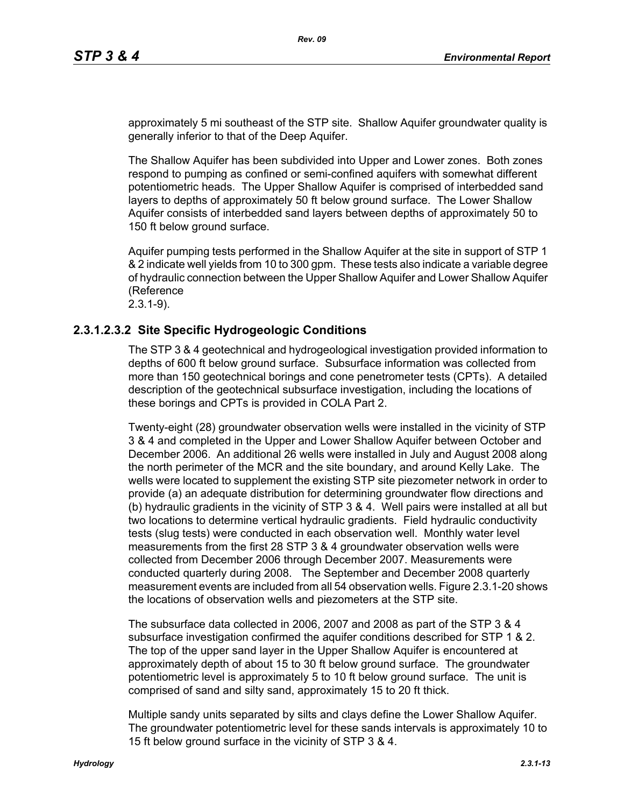approximately 5 mi southeast of the STP site. Shallow Aquifer groundwater quality is generally inferior to that of the Deep Aquifer.

The Shallow Aquifer has been subdivided into Upper and Lower zones. Both zones respond to pumping as confined or semi-confined aquifers with somewhat different potentiometric heads. The Upper Shallow Aquifer is comprised of interbedded sand layers to depths of approximately 50 ft below ground surface. The Lower Shallow Aquifer consists of interbedded sand layers between depths of approximately 50 to 150 ft below ground surface.

Aquifer pumping tests performed in the Shallow Aquifer at the site in support of STP 1 & 2 indicate well yields from 10 to 300 gpm. These tests also indicate a variable degree of hydraulic connection between the Upper Shallow Aquifer and Lower Shallow Aquifer (Reference

2.3.1-9).

# **2.3.1.2.3.2 Site Specific Hydrogeologic Conditions**

The STP 3 & 4 geotechnical and hydrogeological investigation provided information to depths of 600 ft below ground surface. Subsurface information was collected from more than 150 geotechnical borings and cone penetrometer tests (CPTs). A detailed description of the geotechnical subsurface investigation, including the locations of these borings and CPTs is provided in COLA Part 2.

Twenty-eight (28) groundwater observation wells were installed in the vicinity of STP 3 & 4 and completed in the Upper and Lower Shallow Aquifer between October and December 2006. An additional 26 wells were installed in July and August 2008 along the north perimeter of the MCR and the site boundary, and around Kelly Lake. The wells were located to supplement the existing STP site piezometer network in order to provide (a) an adequate distribution for determining groundwater flow directions and (b) hydraulic gradients in the vicinity of STP 3 & 4. Well pairs were installed at all but two locations to determine vertical hydraulic gradients. Field hydraulic conductivity tests (slug tests) were conducted in each observation well. Monthly water level measurements from the first 28 STP 3 & 4 groundwater observation wells were collected from December 2006 through December 2007. Measurements were conducted quarterly during 2008. The September and December 2008 quarterly measurement events are included from all 54 observation wells. Figure 2.3.1-20 shows the locations of observation wells and piezometers at the STP site.

The subsurface data collected in 2006, 2007 and 2008 as part of the STP 3 & 4 subsurface investigation confirmed the aquifer conditions described for STP 1 & 2. The top of the upper sand layer in the Upper Shallow Aquifer is encountered at approximately depth of about 15 to 30 ft below ground surface. The groundwater potentiometric level is approximately 5 to 10 ft below ground surface. The unit is comprised of sand and silty sand, approximately 15 to 20 ft thick.

Multiple sandy units separated by silts and clays define the Lower Shallow Aquifer. The groundwater potentiometric level for these sands intervals is approximately 10 to 15 ft below ground surface in the vicinity of STP 3 & 4.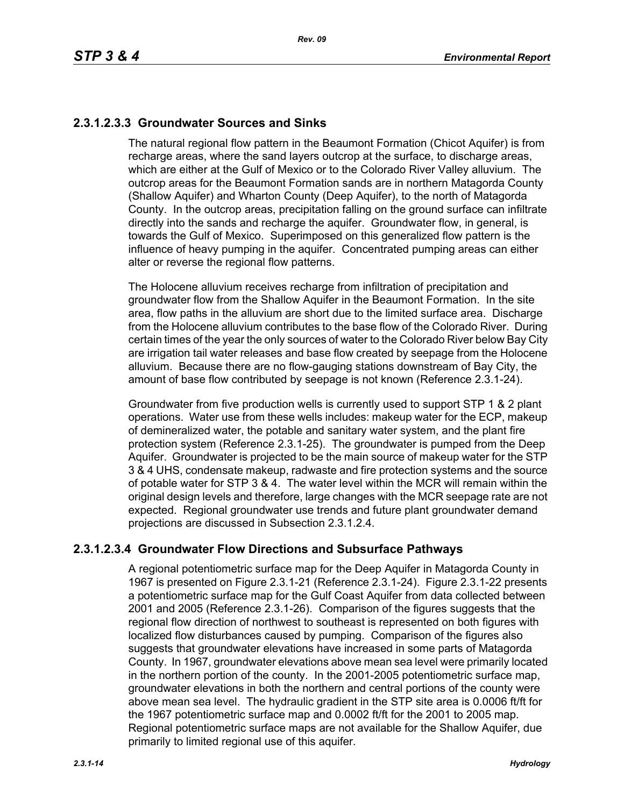# **2.3.1.2.3.3 Groundwater Sources and Sinks**

The natural regional flow pattern in the Beaumont Formation (Chicot Aquifer) is from recharge areas, where the sand layers outcrop at the surface, to discharge areas, which are either at the Gulf of Mexico or to the Colorado River Valley alluvium. The outcrop areas for the Beaumont Formation sands are in northern Matagorda County (Shallow Aquifer) and Wharton County (Deep Aquifer), to the north of Matagorda County. In the outcrop areas, precipitation falling on the ground surface can infiltrate directly into the sands and recharge the aquifer. Groundwater flow, in general, is towards the Gulf of Mexico. Superimposed on this generalized flow pattern is the influence of heavy pumping in the aquifer. Concentrated pumping areas can either alter or reverse the regional flow patterns.

The Holocene alluvium receives recharge from infiltration of precipitation and groundwater flow from the Shallow Aquifer in the Beaumont Formation. In the site area, flow paths in the alluvium are short due to the limited surface area. Discharge from the Holocene alluvium contributes to the base flow of the Colorado River. During certain times of the year the only sources of water to the Colorado River below Bay City are irrigation tail water releases and base flow created by seepage from the Holocene alluvium. Because there are no flow-gauging stations downstream of Bay City, the amount of base flow contributed by seepage is not known (Reference 2.3.1-24).

Groundwater from five production wells is currently used to support STP 1 & 2 plant operations. Water use from these wells includes: makeup water for the ECP, makeup of demineralized water, the potable and sanitary water system, and the plant fire protection system (Reference 2.3.1-25). The groundwater is pumped from the Deep Aquifer. Groundwater is projected to be the main source of makeup water for the STP 3 & 4 UHS, condensate makeup, radwaste and fire protection systems and the source of potable water for STP 3 & 4. The water level within the MCR will remain within the original design levels and therefore, large changes with the MCR seepage rate are not expected. Regional groundwater use trends and future plant groundwater demand projections are discussed in Subsection 2.3.1.2.4.

# **2.3.1.2.3.4 Groundwater Flow Directions and Subsurface Pathways**

A regional potentiometric surface map for the Deep Aquifer in Matagorda County in 1967 is presented on Figure 2.3.1-21 (Reference 2.3.1-24). Figure 2.3.1-22 presents a potentiometric surface map for the Gulf Coast Aquifer from data collected between 2001 and 2005 (Reference 2.3.1-26). Comparison of the figures suggests that the regional flow direction of northwest to southeast is represented on both figures with localized flow disturbances caused by pumping. Comparison of the figures also suggests that groundwater elevations have increased in some parts of Matagorda County. In 1967, groundwater elevations above mean sea level were primarily located in the northern portion of the county. In the 2001-2005 potentiometric surface map, groundwater elevations in both the northern and central portions of the county were above mean sea level. The hydraulic gradient in the STP site area is 0.0006 ft/ft for the 1967 potentiometric surface map and 0.0002 ft/ft for the 2001 to 2005 map. Regional potentiometric surface maps are not available for the Shallow Aquifer, due primarily to limited regional use of this aquifer.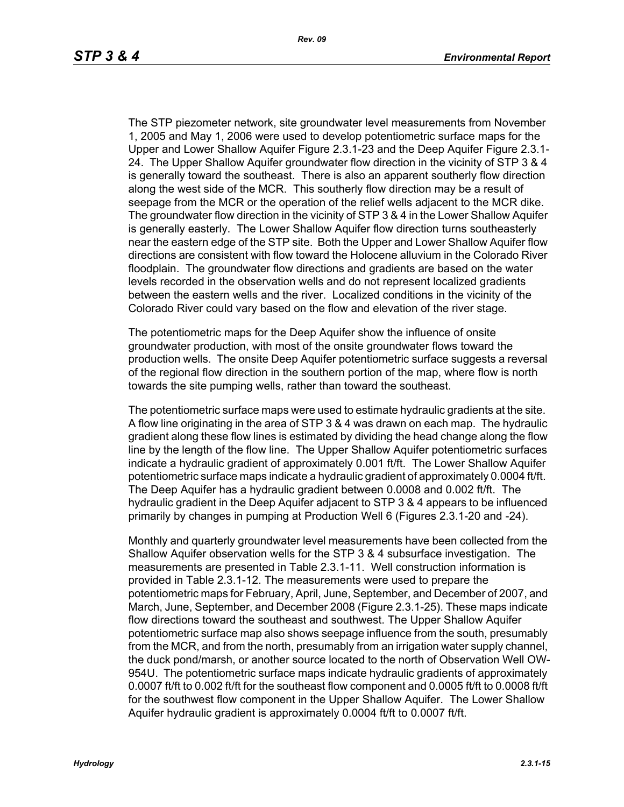The STP piezometer network, site groundwater level measurements from November 1, 2005 and May 1, 2006 were used to develop potentiometric surface maps for the Upper and Lower Shallow Aquifer Figure 2.3.1-23 and the Deep Aquifer Figure 2.3.1- 24. The Upper Shallow Aquifer groundwater flow direction in the vicinity of STP 3 & 4 is generally toward the southeast. There is also an apparent southerly flow direction along the west side of the MCR. This southerly flow direction may be a result of seepage from the MCR or the operation of the relief wells adjacent to the MCR dike. The groundwater flow direction in the vicinity of STP 3 & 4 in the Lower Shallow Aquifer is generally easterly. The Lower Shallow Aquifer flow direction turns southeasterly near the eastern edge of the STP site. Both the Upper and Lower Shallow Aquifer flow directions are consistent with flow toward the Holocene alluvium in the Colorado River floodplain. The groundwater flow directions and gradients are based on the water levels recorded in the observation wells and do not represent localized gradients between the eastern wells and the river. Localized conditions in the vicinity of the Colorado River could vary based on the flow and elevation of the river stage.

The potentiometric maps for the Deep Aquifer show the influence of onsite groundwater production, with most of the onsite groundwater flows toward the production wells. The onsite Deep Aquifer potentiometric surface suggests a reversal of the regional flow direction in the southern portion of the map, where flow is north towards the site pumping wells, rather than toward the southeast.

The potentiometric surface maps were used to estimate hydraulic gradients at the site. A flow line originating in the area of STP 3 & 4 was drawn on each map. The hydraulic gradient along these flow lines is estimated by dividing the head change along the flow line by the length of the flow line. The Upper Shallow Aquifer potentiometric surfaces indicate a hydraulic gradient of approximately 0.001 ft/ft. The Lower Shallow Aquifer potentiometric surface maps indicate a hydraulic gradient of approximately 0.0004 ft/ft. The Deep Aquifer has a hydraulic gradient between 0.0008 and 0.002 ft/ft. The hydraulic gradient in the Deep Aquifer adjacent to STP 3 & 4 appears to be influenced primarily by changes in pumping at Production Well 6 (Figures 2.3.1-20 and -24).

Monthly and quarterly groundwater level measurements have been collected from the Shallow Aquifer observation wells for the STP 3 & 4 subsurface investigation. The measurements are presented in Table 2.3.1-11. Well construction information is provided in Table 2.3.1-12. The measurements were used to prepare the potentiometric maps for February, April, June, September, and December of 2007, and March, June, September, and December 2008 (Figure 2.3.1-25). These maps indicate flow directions toward the southeast and southwest. The Upper Shallow Aquifer potentiometric surface map also shows seepage influence from the south, presumably from the MCR, and from the north, presumably from an irrigation water supply channel, the duck pond/marsh, or another source located to the north of Observation Well OW-954U. The potentiometric surface maps indicate hydraulic gradients of approximately 0.0007 ft/ft to 0.002 ft/ft for the southeast flow component and 0.0005 ft/ft to 0.0008 ft/ft for the southwest flow component in the Upper Shallow Aquifer. The Lower Shallow Aquifer hydraulic gradient is approximately 0.0004 ft/ft to 0.0007 ft/ft.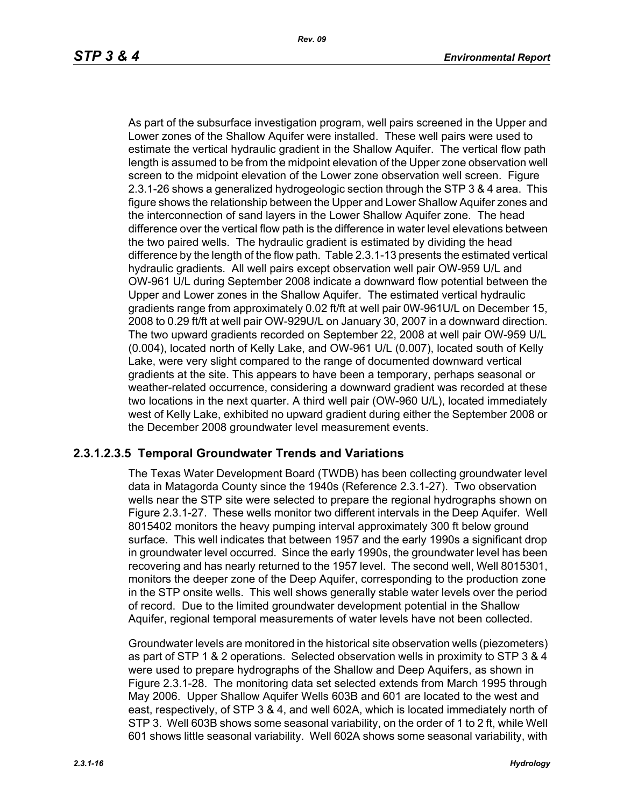As part of the subsurface investigation program, well pairs screened in the Upper and Lower zones of the Shallow Aquifer were installed. These well pairs were used to estimate the vertical hydraulic gradient in the Shallow Aquifer. The vertical flow path length is assumed to be from the midpoint elevation of the Upper zone observation well screen to the midpoint elevation of the Lower zone observation well screen. Figure 2.3.1-26 shows a generalized hydrogeologic section through the STP 3 & 4 area. This figure shows the relationship between the Upper and Lower Shallow Aquifer zones and the interconnection of sand layers in the Lower Shallow Aquifer zone. The head difference over the vertical flow path is the difference in water level elevations between the two paired wells. The hydraulic gradient is estimated by dividing the head difference by the length of the flow path. Table 2.3.1-13 presents the estimated vertical hydraulic gradients. All well pairs except observation well pair OW-959 U/L and OW-961 U/L during September 2008 indicate a downward flow potential between the Upper and Lower zones in the Shallow Aquifer. The estimated vertical hydraulic gradients range from approximately 0.02 ft/ft at well pair 0W-961U/L on December 15, 2008 to 0.29 ft/ft at well pair OW-929U/L on January 30, 2007 in a downward direction. The two upward gradients recorded on September 22, 2008 at well pair OW-959 U/L (0.004), located north of Kelly Lake, and OW-961 U/L (0.007), located south of Kelly Lake, were very slight compared to the range of documented downward vertical gradients at the site. This appears to have been a temporary, perhaps seasonal or weather-related occurrence, considering a downward gradient was recorded at these two locations in the next quarter. A third well pair (OW-960 U/L), located immediately west of Kelly Lake, exhibited no upward gradient during either the September 2008 or the December 2008 groundwater level measurement events.

# **2.3.1.2.3.5 Temporal Groundwater Trends and Variations**

The Texas Water Development Board (TWDB) has been collecting groundwater level data in Matagorda County since the 1940s (Reference 2.3.1-27). Two observation wells near the STP site were selected to prepare the regional hydrographs shown on Figure 2.3.1-27. These wells monitor two different intervals in the Deep Aquifer. Well 8015402 monitors the heavy pumping interval approximately 300 ft below ground surface. This well indicates that between 1957 and the early 1990s a significant drop in groundwater level occurred. Since the early 1990s, the groundwater level has been recovering and has nearly returned to the 1957 level. The second well, Well 8015301, monitors the deeper zone of the Deep Aquifer, corresponding to the production zone in the STP onsite wells. This well shows generally stable water levels over the period of record. Due to the limited groundwater development potential in the Shallow Aquifer, regional temporal measurements of water levels have not been collected.

Groundwater levels are monitored in the historical site observation wells (piezometers) as part of STP 1 & 2 operations. Selected observation wells in proximity to STP 3 & 4 were used to prepare hydrographs of the Shallow and Deep Aquifers, as shown in Figure 2.3.1-28. The monitoring data set selected extends from March 1995 through May 2006. Upper Shallow Aquifer Wells 603B and 601 are located to the west and east, respectively, of STP 3 & 4, and well 602A, which is located immediately north of STP 3. Well 603B shows some seasonal variability, on the order of 1 to 2 ft, while Well 601 shows little seasonal variability. Well 602A shows some seasonal variability, with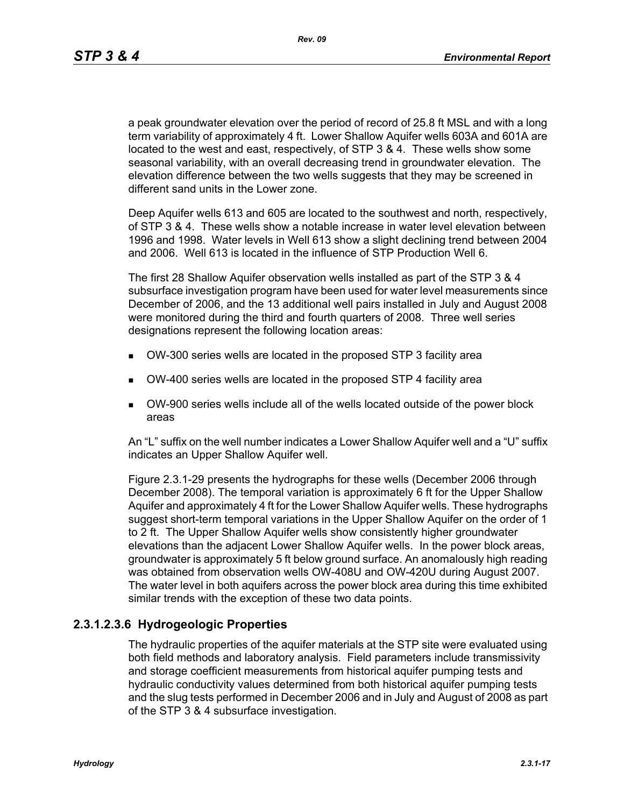*Rev. 09*

a peak groundwater elevation over the period of record of 25.8 ft MSL and with a long term variability of approximately 4 ft. Lower Shallow Aquifer wells 603A and 601A are located to the west and east, respectively, of STP 3 & 4. These wells show some seasonal variability, with an overall decreasing trend in groundwater elevation. The elevation difference between the two wells suggests that they may be screened in different sand units in the Lower zone.

Deep Aquifer wells 613 and 605 are located to the southwest and north, respectively, of STP 3 & 4. These wells show a notable increase in water level elevation between 1996 and 1998. Water levels in Well 613 show a slight declining trend between 2004 and 2006. Well 613 is located in the influence of STP Production Well 6.

The first 28 Shallow Aquifer observation wells installed as part of the STP 3 & 4 subsurface investigation program have been used for water level measurements since December of 2006, and the 13 additional well pairs installed in July and August 2008 were monitored during the third and fourth quarters of 2008. Three well series designations represent the following location areas:

- OW-300 series wells are located in the proposed STP 3 facility area
- OW-400 series wells are located in the proposed STP 4 facility area
- OW-900 series wells include all of the wells located outside of the power block areas

An "L" suffix on the well number indicates a Lower Shallow Aquifer well and a "U" suffix indicates an Upper Shallow Aquifer well.

Figure 2.3.1-29 presents the hydrographs for these wells (December 2006 through December 2008). The temporal variation is approximately 6 ft for the Upper Shallow Aquifer and approximately 4 ft for the Lower Shallow Aquifer wells. These hydrographs suggest short-term temporal variations in the Upper Shallow Aquifer on the order of 1 to 2 ft. The Upper Shallow Aquifer wells show consistently higher groundwater elevations than the adjacent Lower Shallow Aquifer wells. In the power block areas, groundwater is approximately 5 ft below ground surface. An anomalously high reading was obtained from observation wells OW-408U and OW-420U during August 2007. The water level in both aquifers across the power block area during this time exhibited similar trends with the exception of these two data points.

# **2.3.1.2.3.6 Hydrogeologic Properties**

The hydraulic properties of the aquifer materials at the STP site were evaluated using both field methods and laboratory analysis. Field parameters include transmissivity and storage coefficient measurements from historical aquifer pumping tests and hydraulic conductivity values determined from both historical aquifer pumping tests and the slug tests performed in December 2006 and in July and August of 2008 as part of the STP 3 & 4 subsurface investigation.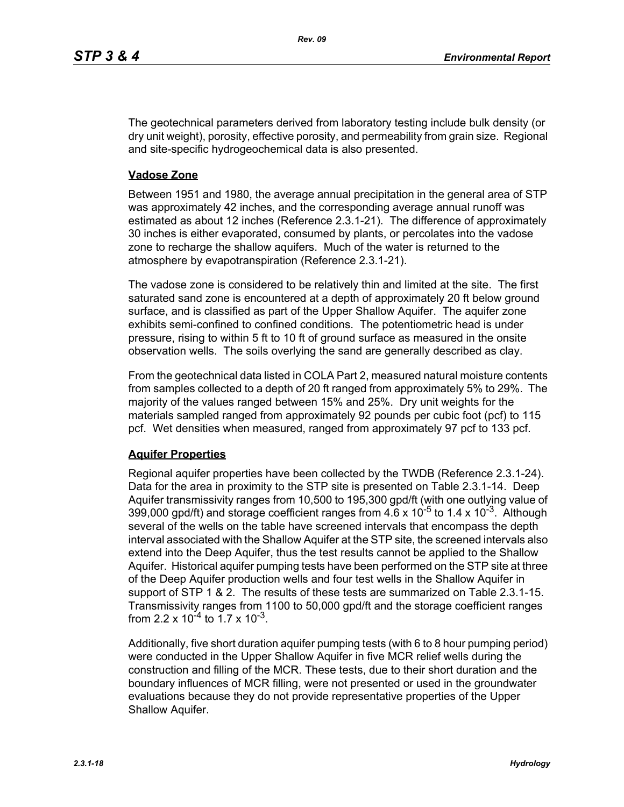The geotechnical parameters derived from laboratory testing include bulk density (or dry unit weight), porosity, effective porosity, and permeability from grain size. Regional and site-specific hydrogeochemical data is also presented.

## **Vadose Zone**

Between 1951 and 1980, the average annual precipitation in the general area of STP was approximately 42 inches, and the corresponding average annual runoff was estimated as about 12 inches (Reference 2.3.1-21). The difference of approximately 30 inches is either evaporated, consumed by plants, or percolates into the vadose zone to recharge the shallow aquifers. Much of the water is returned to the atmosphere by evapotranspiration (Reference 2.3.1-21).

The vadose zone is considered to be relatively thin and limited at the site. The first saturated sand zone is encountered at a depth of approximately 20 ft below ground surface, and is classified as part of the Upper Shallow Aquifer. The aquifer zone exhibits semi-confined to confined conditions. The potentiometric head is under pressure, rising to within 5 ft to 10 ft of ground surface as measured in the onsite observation wells. The soils overlying the sand are generally described as clay.

From the geotechnical data listed in COLA Part 2, measured natural moisture contents from samples collected to a depth of 20 ft ranged from approximately 5% to 29%. The majority of the values ranged between 15% and 25%. Dry unit weights for the materials sampled ranged from approximately 92 pounds per cubic foot (pcf) to 115 pcf. Wet densities when measured, ranged from approximately 97 pcf to 133 pcf.

## **Aquifer Properties**

Regional aquifer properties have been collected by the TWDB (Reference 2.3.1-24). Data for the area in proximity to the STP site is presented on Table 2.3.1-14. Deep Aquifer transmissivity ranges from 10,500 to 195,300 gpd/ft (with one outlying value of 399,000 gpd/ft) and storage coefficient ranges from  $4.6 \times 10^{-5}$  to 1.4 x 10<sup>-3</sup>. Although several of the wells on the table have screened intervals that encompass the depth interval associated with the Shallow Aquifer at the STP site, the screened intervals also extend into the Deep Aquifer, thus the test results cannot be applied to the Shallow Aquifer. Historical aquifer pumping tests have been performed on the STP site at three of the Deep Aquifer production wells and four test wells in the Shallow Aquifer in support of STP 1 & 2. The results of these tests are summarized on Table 2.3.1-15. Transmissivity ranges from 1100 to 50,000 gpd/ft and the storage coefficient ranges from 2.2 x  $10^{-4}$  to 1.7 x  $10^{-3}$ .

Additionally, five short duration aquifer pumping tests (with 6 to 8 hour pumping period) were conducted in the Upper Shallow Aquifer in five MCR relief wells during the construction and filling of the MCR. These tests, due to their short duration and the boundary influences of MCR filling, were not presented or used in the groundwater evaluations because they do not provide representative properties of the Upper Shallow Aquifer.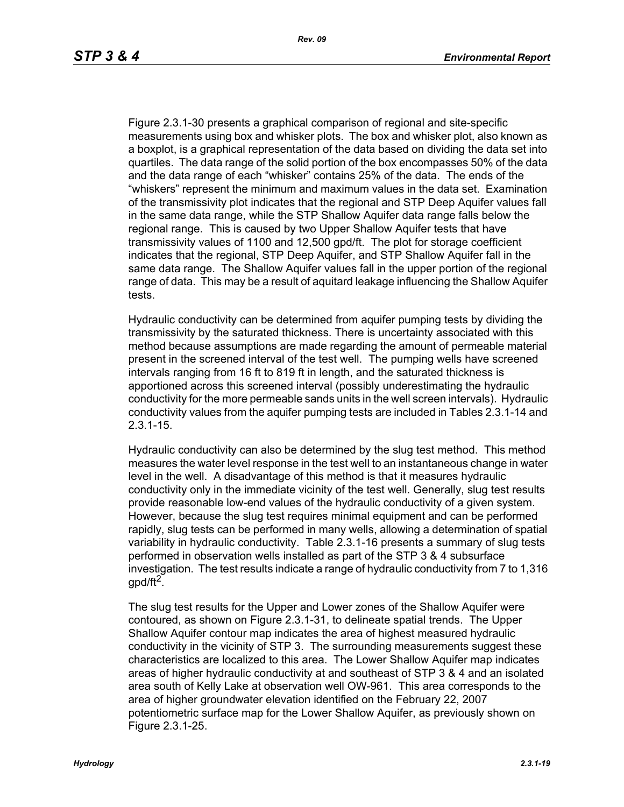Figure 2.3.1-30 presents a graphical comparison of regional and site-specific measurements using box and whisker plots. The box and whisker plot, also known as a boxplot, is a graphical representation of the data based on dividing the data set into quartiles. The data range of the solid portion of the box encompasses 50% of the data and the data range of each "whisker" contains 25% of the data. The ends of the "whiskers" represent the minimum and maximum values in the data set. Examination of the transmissivity plot indicates that the regional and STP Deep Aquifer values fall in the same data range, while the STP Shallow Aquifer data range falls below the regional range. This is caused by two Upper Shallow Aquifer tests that have transmissivity values of 1100 and 12,500 gpd/ft. The plot for storage coefficient indicates that the regional, STP Deep Aquifer, and STP Shallow Aquifer fall in the same data range. The Shallow Aquifer values fall in the upper portion of the regional range of data. This may be a result of aquitard leakage influencing the Shallow Aquifer tests.

Hydraulic conductivity can be determined from aquifer pumping tests by dividing the transmissivity by the saturated thickness. There is uncertainty associated with this method because assumptions are made regarding the amount of permeable material present in the screened interval of the test well. The pumping wells have screened intervals ranging from 16 ft to 819 ft in length, and the saturated thickness is apportioned across this screened interval (possibly underestimating the hydraulic conductivity for the more permeable sands units in the well screen intervals). Hydraulic conductivity values from the aquifer pumping tests are included in Tables 2.3.1-14 and 2.3.1-15.

Hydraulic conductivity can also be determined by the slug test method. This method measures the water level response in the test well to an instantaneous change in water level in the well. A disadvantage of this method is that it measures hydraulic conductivity only in the immediate vicinity of the test well. Generally, slug test results provide reasonable low-end values of the hydraulic conductivity of a given system. However, because the slug test requires minimal equipment and can be performed rapidly, slug tests can be performed in many wells, allowing a determination of spatial variability in hydraulic conductivity. Table 2.3.1-16 presents a summary of slug tests performed in observation wells installed as part of the STP 3 & 4 subsurface investigation. The test results indicate a range of hydraulic conductivity from 7 to 1,316 gpd/ft<sup>2</sup>.

The slug test results for the Upper and Lower zones of the Shallow Aquifer were contoured, as shown on Figure 2.3.1-31, to delineate spatial trends. The Upper Shallow Aquifer contour map indicates the area of highest measured hydraulic conductivity in the vicinity of STP 3. The surrounding measurements suggest these characteristics are localized to this area. The Lower Shallow Aquifer map indicates areas of higher hydraulic conductivity at and southeast of STP 3 & 4 and an isolated area south of Kelly Lake at observation well OW-961. This area corresponds to the area of higher groundwater elevation identified on the February 22, 2007 potentiometric surface map for the Lower Shallow Aquifer, as previously shown on Figure 2.3.1-25.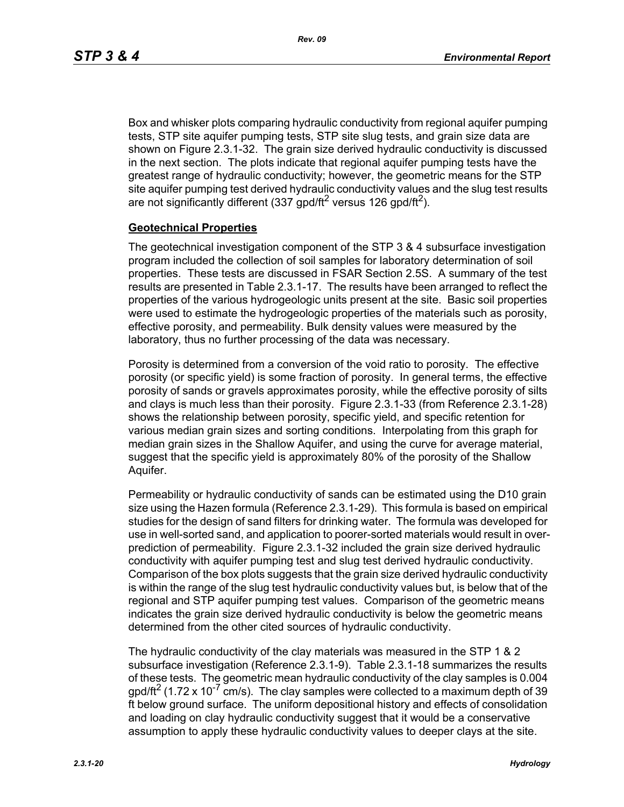Box and whisker plots comparing hydraulic conductivity from regional aquifer pumping tests, STP site aquifer pumping tests, STP site slug tests, and grain size data are shown on Figure 2.3.1-32. The grain size derived hydraulic conductivity is discussed in the next section. The plots indicate that regional aquifer pumping tests have the greatest range of hydraulic conductivity; however, the geometric means for the STP site aquifer pumping test derived hydraulic conductivity values and the slug test results are not significantly different (337 gpd/ft<sup>2</sup> versus 126 gpd/ft<sup>2</sup>).

#### **Geotechnical Properties**

The geotechnical investigation component of the STP 3 & 4 subsurface investigation program included the collection of soil samples for laboratory determination of soil properties. These tests are discussed in FSAR Section 2.5S. A summary of the test results are presented in Table 2.3.1-17. The results have been arranged to reflect the properties of the various hydrogeologic units present at the site. Basic soil properties were used to estimate the hydrogeologic properties of the materials such as porosity, effective porosity, and permeability. Bulk density values were measured by the laboratory, thus no further processing of the data was necessary.

Porosity is determined from a conversion of the void ratio to porosity. The effective porosity (or specific yield) is some fraction of porosity. In general terms, the effective porosity of sands or gravels approximates porosity, while the effective porosity of silts and clays is much less than their porosity. Figure 2.3.1-33 (from Reference 2.3.1-28) shows the relationship between porosity, specific yield, and specific retention for various median grain sizes and sorting conditions. Interpolating from this graph for median grain sizes in the Shallow Aquifer, and using the curve for average material, suggest that the specific yield is approximately 80% of the porosity of the Shallow Aquifer.

Permeability or hydraulic conductivity of sands can be estimated using the D10 grain size using the Hazen formula (Reference 2.3.1-29). This formula is based on empirical studies for the design of sand filters for drinking water. The formula was developed for use in well-sorted sand, and application to poorer-sorted materials would result in overprediction of permeability. Figure 2.3.1-32 included the grain size derived hydraulic conductivity with aquifer pumping test and slug test derived hydraulic conductivity. Comparison of the box plots suggests that the grain size derived hydraulic conductivity is within the range of the slug test hydraulic conductivity values but, is below that of the regional and STP aquifer pumping test values. Comparison of the geometric means indicates the grain size derived hydraulic conductivity is below the geometric means determined from the other cited sources of hydraulic conductivity.

The hydraulic conductivity of the clay materials was measured in the STP 1 & 2 subsurface investigation (Reference 2.3.1-9). Table 2.3.1-18 summarizes the results of these tests. The geometric mean hydraulic conductivity of the clay samples is 0.004  $q$  apd/ft<sup>2</sup> (1.72 x 10<sup>-7</sup> cm/s). The clay samples were collected to a maximum depth of 39 ft below ground surface. The uniform depositional history and effects of consolidation and loading on clay hydraulic conductivity suggest that it would be a conservative assumption to apply these hydraulic conductivity values to deeper clays at the site.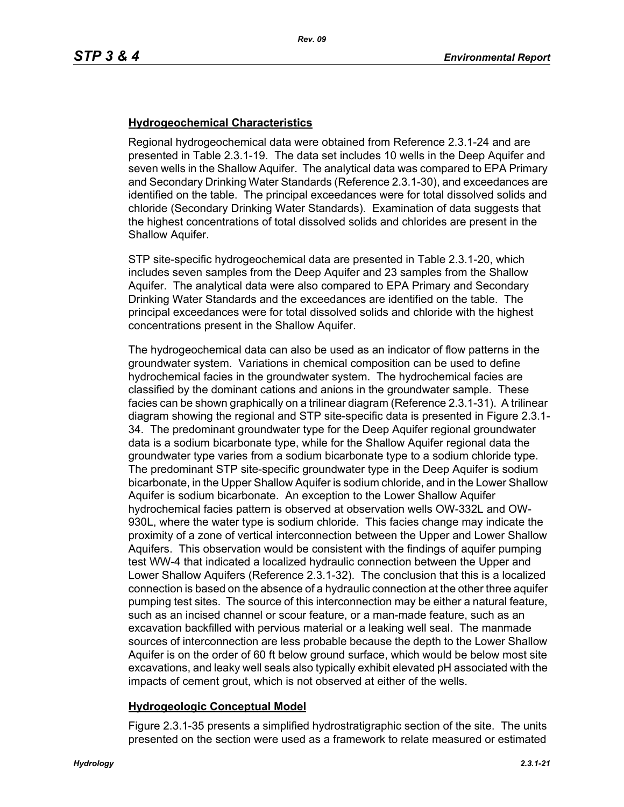## **Hydrogeochemical Characteristics**

Regional hydrogeochemical data were obtained from Reference 2.3.1-24 and are presented in Table 2.3.1-19. The data set includes 10 wells in the Deep Aquifer and seven wells in the Shallow Aquifer. The analytical data was compared to EPA Primary and Secondary Drinking Water Standards (Reference 2.3.1-30), and exceedances are identified on the table. The principal exceedances were for total dissolved solids and chloride (Secondary Drinking Water Standards). Examination of data suggests that the highest concentrations of total dissolved solids and chlorides are present in the Shallow Aquifer.

STP site-specific hydrogeochemical data are presented in Table 2.3.1-20, which includes seven samples from the Deep Aquifer and 23 samples from the Shallow Aquifer. The analytical data were also compared to EPA Primary and Secondary Drinking Water Standards and the exceedances are identified on the table. The principal exceedances were for total dissolved solids and chloride with the highest concentrations present in the Shallow Aquifer.

The hydrogeochemical data can also be used as an indicator of flow patterns in the groundwater system. Variations in chemical composition can be used to define hydrochemical facies in the groundwater system. The hydrochemical facies are classified by the dominant cations and anions in the groundwater sample. These facies can be shown graphically on a trilinear diagram (Reference 2.3.1-31). A trilinear diagram showing the regional and STP site-specific data is presented in Figure 2.3.1- 34. The predominant groundwater type for the Deep Aquifer regional groundwater data is a sodium bicarbonate type, while for the Shallow Aquifer regional data the groundwater type varies from a sodium bicarbonate type to a sodium chloride type. The predominant STP site-specific groundwater type in the Deep Aquifer is sodium bicarbonate, in the Upper Shallow Aquifer is sodium chloride, and in the Lower Shallow Aquifer is sodium bicarbonate. An exception to the Lower Shallow Aquifer hydrochemical facies pattern is observed at observation wells OW-332L and OW-930L, where the water type is sodium chloride. This facies change may indicate the proximity of a zone of vertical interconnection between the Upper and Lower Shallow Aquifers. This observation would be consistent with the findings of aquifer pumping test WW-4 that indicated a localized hydraulic connection between the Upper and Lower Shallow Aquifers (Reference 2.3.1-32). The conclusion that this is a localized connection is based on the absence of a hydraulic connection at the other three aquifer pumping test sites. The source of this interconnection may be either a natural feature, such as an incised channel or scour feature, or a man-made feature, such as an excavation backfilled with pervious material or a leaking well seal. The manmade sources of interconnection are less probable because the depth to the Lower Shallow Aquifer is on the order of 60 ft below ground surface, which would be below most site excavations, and leaky well seals also typically exhibit elevated pH associated with the impacts of cement grout, which is not observed at either of the wells.

## **Hydrogeologic Conceptual Model**

Figure 2.3.1-35 presents a simplified hydrostratigraphic section of the site. The units presented on the section were used as a framework to relate measured or estimated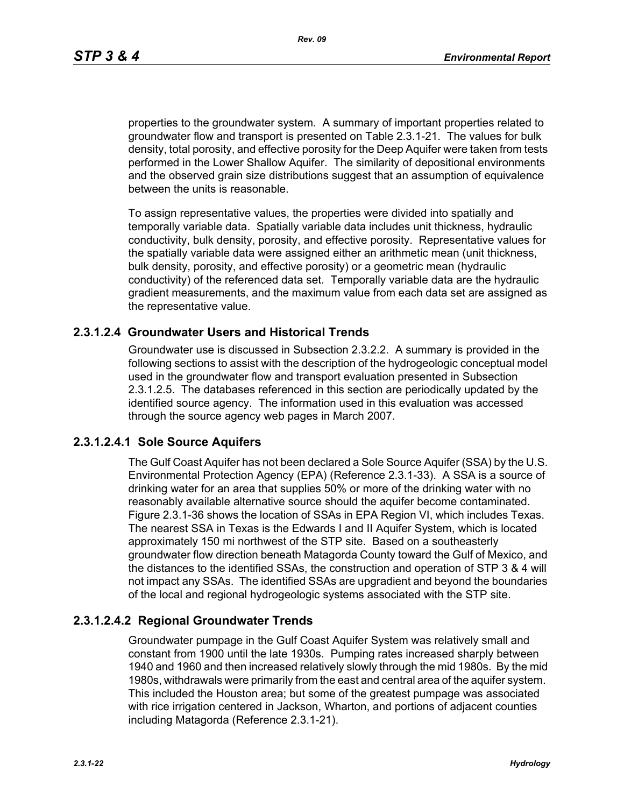*Rev. 09*

properties to the groundwater system. A summary of important properties related to groundwater flow and transport is presented on Table 2.3.1-21. The values for bulk density, total porosity, and effective porosity for the Deep Aquifer were taken from tests performed in the Lower Shallow Aquifer. The similarity of depositional environments and the observed grain size distributions suggest that an assumption of equivalence between the units is reasonable.

To assign representative values, the properties were divided into spatially and temporally variable data. Spatially variable data includes unit thickness, hydraulic conductivity, bulk density, porosity, and effective porosity. Representative values for the spatially variable data were assigned either an arithmetic mean (unit thickness, bulk density, porosity, and effective porosity) or a geometric mean (hydraulic conductivity) of the referenced data set. Temporally variable data are the hydraulic gradient measurements, and the maximum value from each data set are assigned as the representative value.

## **2.3.1.2.4 Groundwater Users and Historical Trends**

Groundwater use is discussed in Subsection 2.3.2.2. A summary is provided in the following sections to assist with the description of the hydrogeologic conceptual model used in the groundwater flow and transport evaluation presented in Subsection 2.3.1.2.5. The databases referenced in this section are periodically updated by the identified source agency. The information used in this evaluation was accessed through the source agency web pages in March 2007.

# **2.3.1.2.4.1 Sole Source Aquifers**

The Gulf Coast Aquifer has not been declared a Sole Source Aquifer (SSA) by the U.S. Environmental Protection Agency (EPA) (Reference 2.3.1-33). A SSA is a source of drinking water for an area that supplies 50% or more of the drinking water with no reasonably available alternative source should the aquifer become contaminated. Figure 2.3.1-36 shows the location of SSAs in EPA Region VI, which includes Texas. The nearest SSA in Texas is the Edwards I and II Aquifer System, which is located approximately 150 mi northwest of the STP site. Based on a southeasterly groundwater flow direction beneath Matagorda County toward the Gulf of Mexico, and the distances to the identified SSAs, the construction and operation of STP 3 & 4 will not impact any SSAs. The identified SSAs are upgradient and beyond the boundaries of the local and regional hydrogeologic systems associated with the STP site.

# **2.3.1.2.4.2 Regional Groundwater Trends**

Groundwater pumpage in the Gulf Coast Aquifer System was relatively small and constant from 1900 until the late 1930s. Pumping rates increased sharply between 1940 and 1960 and then increased relatively slowly through the mid 1980s. By the mid 1980s, withdrawals were primarily from the east and central area of the aquifer system. This included the Houston area; but some of the greatest pumpage was associated with rice irrigation centered in Jackson, Wharton, and portions of adjacent counties including Matagorda (Reference 2.3.1-21).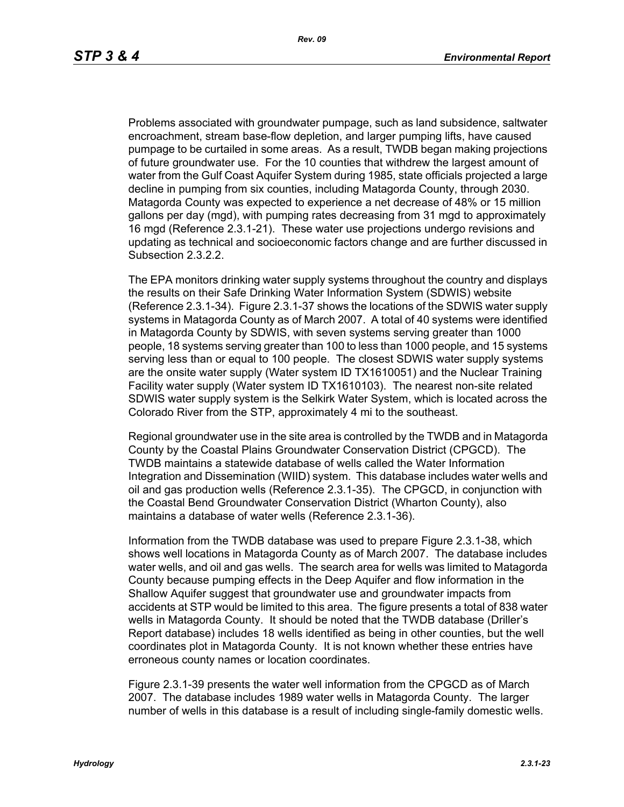Problems associated with groundwater pumpage, such as land subsidence, saltwater encroachment, stream base-flow depletion, and larger pumping lifts, have caused pumpage to be curtailed in some areas. As a result, TWDB began making projections of future groundwater use. For the 10 counties that withdrew the largest amount of water from the Gulf Coast Aquifer System during 1985, state officials projected a large decline in pumping from six counties, including Matagorda County, through 2030. Matagorda County was expected to experience a net decrease of 48% or 15 million gallons per day (mgd), with pumping rates decreasing from 31 mgd to approximately 16 mgd (Reference 2.3.1-21). These water use projections undergo revisions and updating as technical and socioeconomic factors change and are further discussed in Subsection 2.3.2.2.

The EPA monitors drinking water supply systems throughout the country and displays the results on their Safe Drinking Water Information System (SDWIS) website (Reference 2.3.1-34). Figure 2.3.1-37 shows the locations of the SDWIS water supply systems in Matagorda County as of March 2007. A total of 40 systems were identified in Matagorda County by SDWIS, with seven systems serving greater than 1000 people, 18 systems serving greater than 100 to less than 1000 people, and 15 systems serving less than or equal to 100 people. The closest SDWIS water supply systems are the onsite water supply (Water system ID TX1610051) and the Nuclear Training Facility water supply (Water system ID TX1610103). The nearest non-site related SDWIS water supply system is the Selkirk Water System, which is located across the Colorado River from the STP, approximately 4 mi to the southeast.

Regional groundwater use in the site area is controlled by the TWDB and in Matagorda County by the Coastal Plains Groundwater Conservation District (CPGCD). The TWDB maintains a statewide database of wells called the Water Information Integration and Dissemination (WIID) system. This database includes water wells and oil and gas production wells (Reference 2.3.1-35). The CPGCD, in conjunction with the Coastal Bend Groundwater Conservation District (Wharton County), also maintains a database of water wells (Reference 2.3.1-36).

Information from the TWDB database was used to prepare Figure 2.3.1-38, which shows well locations in Matagorda County as of March 2007. The database includes water wells, and oil and gas wells. The search area for wells was limited to Matagorda County because pumping effects in the Deep Aquifer and flow information in the Shallow Aquifer suggest that groundwater use and groundwater impacts from accidents at STP would be limited to this area. The figure presents a total of 838 water wells in Matagorda County. It should be noted that the TWDB database (Driller's Report database) includes 18 wells identified as being in other counties, but the well coordinates plot in Matagorda County. It is not known whether these entries have erroneous county names or location coordinates.

Figure 2.3.1-39 presents the water well information from the CPGCD as of March 2007. The database includes 1989 water wells in Matagorda County. The larger number of wells in this database is a result of including single-family domestic wells.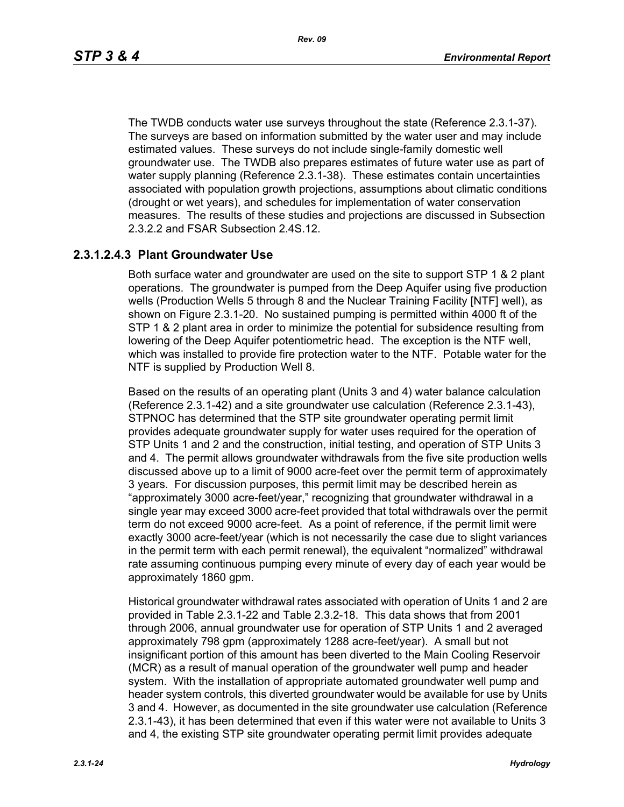The TWDB conducts water use surveys throughout the state (Reference 2.3.1-37). The surveys are based on information submitted by the water user and may include estimated values. These surveys do not include single-family domestic well groundwater use. The TWDB also prepares estimates of future water use as part of water supply planning (Reference 2.3.1-38). These estimates contain uncertainties associated with population growth projections, assumptions about climatic conditions (drought or wet years), and schedules for implementation of water conservation measures. The results of these studies and projections are discussed in Subsection 2.3.2.2 and FSAR Subsection 2.4S.12.

# **2.3.1.2.4.3 Plant Groundwater Use**

Both surface water and groundwater are used on the site to support STP 1 & 2 plant operations. The groundwater is pumped from the Deep Aquifer using five production wells (Production Wells 5 through 8 and the Nuclear Training Facility [NTF] well), as shown on Figure 2.3.1-20. No sustained pumping is permitted within 4000 ft of the STP 1 & 2 plant area in order to minimize the potential for subsidence resulting from lowering of the Deep Aquifer potentiometric head. The exception is the NTF well, which was installed to provide fire protection water to the NTF. Potable water for the NTF is supplied by Production Well 8.

Based on the results of an operating plant (Units 3 and 4) water balance calculation (Reference 2.3.1-42) and a site groundwater use calculation (Reference 2.3.1-43), STPNOC has determined that the STP site groundwater operating permit limit provides adequate groundwater supply for water uses required for the operation of STP Units 1 and 2 and the construction, initial testing, and operation of STP Units 3 and 4. The permit allows groundwater withdrawals from the five site production wells discussed above up to a limit of 9000 acre-feet over the permit term of approximately 3 years. For discussion purposes, this permit limit may be described herein as "approximately 3000 acre-feet/year," recognizing that groundwater withdrawal in a single year may exceed 3000 acre-feet provided that total withdrawals over the permit term do not exceed 9000 acre-feet. As a point of reference, if the permit limit were exactly 3000 acre-feet/year (which is not necessarily the case due to slight variances in the permit term with each permit renewal), the equivalent "normalized" withdrawal rate assuming continuous pumping every minute of every day of each year would be approximately 1860 gpm.

Historical groundwater withdrawal rates associated with operation of Units 1 and 2 are provided in Table 2.3.1-22 and Table 2.3.2-18. This data shows that from 2001 through 2006, annual groundwater use for operation of STP Units 1 and 2 averaged approximately 798 gpm (approximately 1288 acre-feet/year). A small but not insignificant portion of this amount has been diverted to the Main Cooling Reservoir (MCR) as a result of manual operation of the groundwater well pump and header system. With the installation of appropriate automated groundwater well pump and header system controls, this diverted groundwater would be available for use by Units 3 and 4. However, as documented in the site groundwater use calculation (Reference 2.3.1-43), it has been determined that even if this water were not available to Units 3 and 4, the existing STP site groundwater operating permit limit provides adequate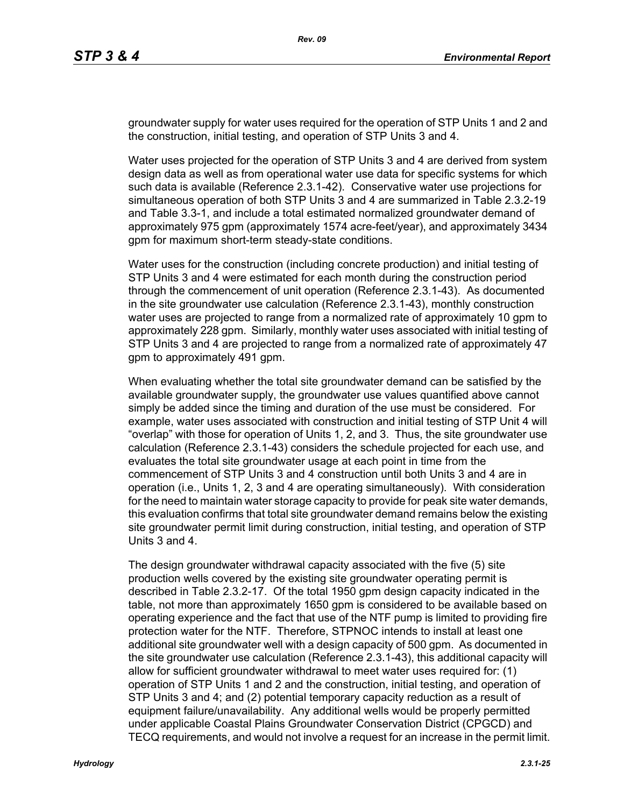groundwater supply for water uses required for the operation of STP Units 1 and 2 and the construction, initial testing, and operation of STP Units 3 and 4.

Water uses projected for the operation of STP Units 3 and 4 are derived from system design data as well as from operational water use data for specific systems for which such data is available (Reference 2.3.1-42). Conservative water use projections for simultaneous operation of both STP Units 3 and 4 are summarized in Table 2.3.2-19 and Table 3.3-1, and include a total estimated normalized groundwater demand of approximately 975 gpm (approximately 1574 acre-feet/year), and approximately 3434 gpm for maximum short-term steady-state conditions.

Water uses for the construction (including concrete production) and initial testing of STP Units 3 and 4 were estimated for each month during the construction period through the commencement of unit operation (Reference 2.3.1-43). As documented in the site groundwater use calculation (Reference 2.3.1-43), monthly construction water uses are projected to range from a normalized rate of approximately 10 gpm to approximately 228 gpm. Similarly, monthly water uses associated with initial testing of STP Units 3 and 4 are projected to range from a normalized rate of approximately 47 gpm to approximately 491 gpm.

When evaluating whether the total site groundwater demand can be satisfied by the available groundwater supply, the groundwater use values quantified above cannot simply be added since the timing and duration of the use must be considered. For example, water uses associated with construction and initial testing of STP Unit 4 will "overlap" with those for operation of Units 1, 2, and 3. Thus, the site groundwater use calculation (Reference 2.3.1-43) considers the schedule projected for each use, and evaluates the total site groundwater usage at each point in time from the commencement of STP Units 3 and 4 construction until both Units 3 and 4 are in operation (i.e., Units 1, 2, 3 and 4 are operating simultaneously). With consideration for the need to maintain water storage capacity to provide for peak site water demands, this evaluation confirms that total site groundwater demand remains below the existing site groundwater permit limit during construction, initial testing, and operation of STP Units 3 and 4.

The design groundwater withdrawal capacity associated with the five (5) site production wells covered by the existing site groundwater operating permit is described in Table 2.3.2-17. Of the total 1950 gpm design capacity indicated in the table, not more than approximately 1650 gpm is considered to be available based on operating experience and the fact that use of the NTF pump is limited to providing fire protection water for the NTF. Therefore, STPNOC intends to install at least one additional site groundwater well with a design capacity of 500 gpm. As documented in the site groundwater use calculation (Reference 2.3.1-43), this additional capacity will allow for sufficient groundwater withdrawal to meet water uses required for: (1) operation of STP Units 1 and 2 and the construction, initial testing, and operation of STP Units 3 and 4; and (2) potential temporary capacity reduction as a result of equipment failure/unavailability. Any additional wells would be properly permitted under applicable Coastal Plains Groundwater Conservation District (CPGCD) and TECQ requirements, and would not involve a request for an increase in the permit limit.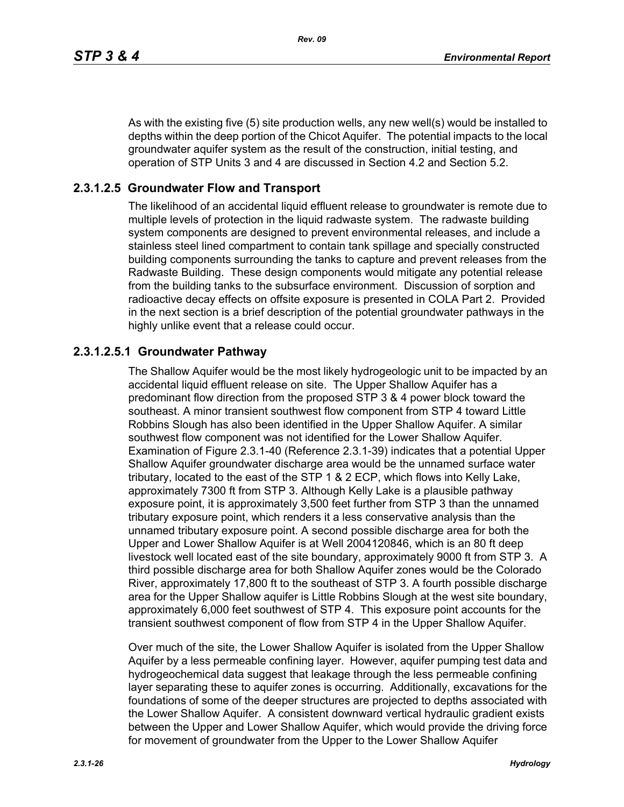As with the existing five (5) site production wells, any new well(s) would be installed to depths within the deep portion of the Chicot Aquifer. The potential impacts to the local groundwater aquifer system as the result of the construction, initial testing, and operation of STP Units 3 and 4 are discussed in Section 4.2 and Section 5.2.

# **2.3.1.2.5 Groundwater Flow and Transport**

The likelihood of an accidental liquid effluent release to groundwater is remote due to multiple levels of protection in the liquid radwaste system. The radwaste building system components are designed to prevent environmental releases, and include a stainless steel lined compartment to contain tank spillage and specially constructed building components surrounding the tanks to capture and prevent releases from the Radwaste Building. These design components would mitigate any potential release from the building tanks to the subsurface environment. Discussion of sorption and radioactive decay effects on offsite exposure is presented in COLA Part 2. Provided in the next section is a brief description of the potential groundwater pathways in the highly unlike event that a release could occur.

# **2.3.1.2.5.1 Groundwater Pathway**

The Shallow Aquifer would be the most likely hydrogeologic unit to be impacted by an accidental liquid effluent release on site. The Upper Shallow Aquifer has a predominant flow direction from the proposed STP 3 & 4 power block toward the southeast. A minor transient southwest flow component from STP 4 toward Little Robbins Slough has also been identified in the Upper Shallow Aquifer. A similar southwest flow component was not identified for the Lower Shallow Aquifer. Examination of Figure 2.3.1-40 (Reference 2.3.1-39) indicates that a potential Upper Shallow Aquifer groundwater discharge area would be the unnamed surface water tributary, located to the east of the STP 1 & 2 ECP, which flows into Kelly Lake, approximately 7300 ft from STP 3. Although Kelly Lake is a plausible pathway exposure point, it is approximately 3,500 feet further from STP 3 than the unnamed tributary exposure point, which renders it a less conservative analysis than the unnamed tributary exposure point. A second possible discharge area for both the Upper and Lower Shallow Aquifer is at Well 2004120846, which is an 80 ft deep livestock well located east of the site boundary, approximately 9000 ft from STP 3. A third possible discharge area for both Shallow Aquifer zones would be the Colorado River, approximately 17,800 ft to the southeast of STP 3. A fourth possible discharge area for the Upper Shallow aquifer is Little Robbins Slough at the west site boundary, approximately 6,000 feet southwest of STP 4. This exposure point accounts for the transient southwest component of flow from STP 4 in the Upper Shallow Aquifer.

Over much of the site, the Lower Shallow Aquifer is isolated from the Upper Shallow Aquifer by a less permeable confining layer. However, aquifer pumping test data and hydrogeochemical data suggest that leakage through the less permeable confining layer separating these to aquifer zones is occurring. Additionally, excavations for the foundations of some of the deeper structures are projected to depths associated with the Lower Shallow Aquifer. A consistent downward vertical hydraulic gradient exists between the Upper and Lower Shallow Aquifer, which would provide the driving force for movement of groundwater from the Upper to the Lower Shallow Aquifer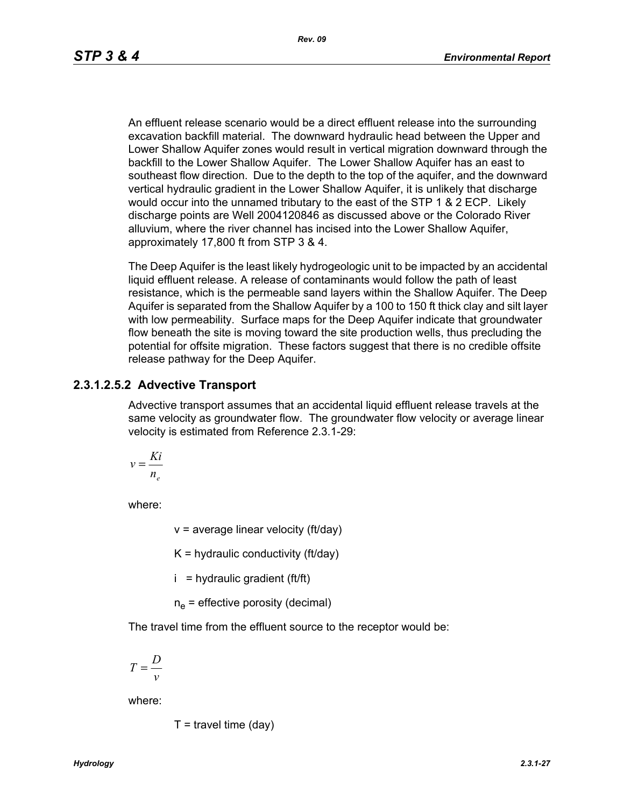An effluent release scenario would be a direct effluent release into the surrounding excavation backfill material. The downward hydraulic head between the Upper and Lower Shallow Aquifer zones would result in vertical migration downward through the backfill to the Lower Shallow Aquifer. The Lower Shallow Aquifer has an east to southeast flow direction. Due to the depth to the top of the aquifer, and the downward vertical hydraulic gradient in the Lower Shallow Aquifer, it is unlikely that discharge would occur into the unnamed tributary to the east of the STP 1 & 2 ECP. Likely discharge points are Well 2004120846 as discussed above or the Colorado River alluvium, where the river channel has incised into the Lower Shallow Aquifer, approximately 17,800 ft from STP 3 & 4.

The Deep Aquifer is the least likely hydrogeologic unit to be impacted by an accidental liquid effluent release. A release of contaminants would follow the path of least resistance, which is the permeable sand layers within the Shallow Aquifer. The Deep Aquifer is separated from the Shallow Aquifer by a 100 to 150 ft thick clay and silt layer with low permeability. Surface maps for the Deep Aquifer indicate that groundwater flow beneath the site is moving toward the site production wells, thus precluding the potential for offsite migration. These factors suggest that there is no credible offsite release pathway for the Deep Aquifer.

#### **2.3.1.2.5.2 Advective Transport**

Advective transport assumes that an accidental liquid effluent release travels at the same velocity as groundwater flow. The groundwater flow velocity or average linear velocity is estimated from Reference 2.3.1-29:

$$
v = \frac{Ki}{n_e}
$$

where:

 $v =$  average linear velocity (ft/day)

 $K =$  hydraulic conductivity (ft/day)

 $i =$  hydraulic gradient (ft/ft)

 $n_e$  = effective porosity (decimal)

The travel time from the effluent source to the receptor would be:

$$
T = \frac{D}{v}
$$

where:

$$
T =
$$
travel time (day)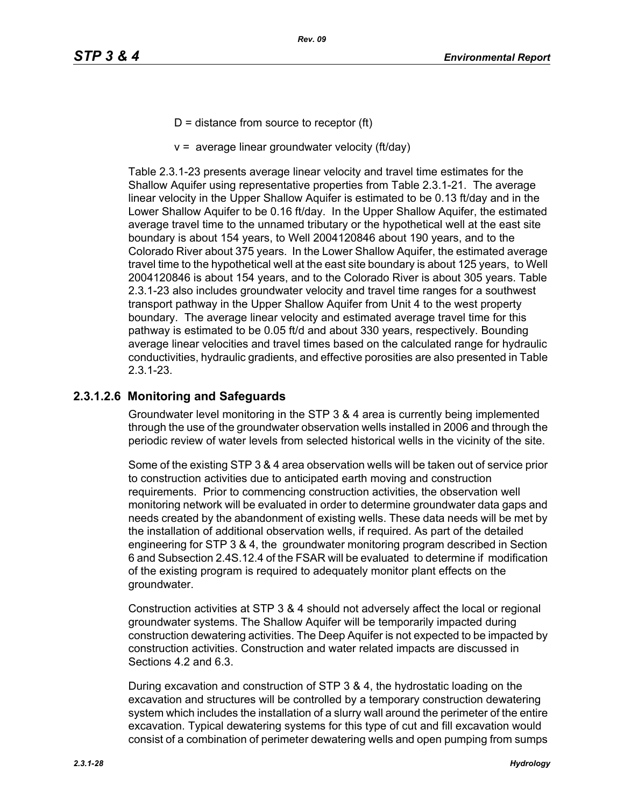- $D =$  distance from source to receptor (ft)
- $v =$  average linear groundwater velocity (ft/day)

Table 2.3.1-23 presents average linear velocity and travel time estimates for the Shallow Aquifer using representative properties from Table 2.3.1-21. The average linear velocity in the Upper Shallow Aquifer is estimated to be 0.13 ft/day and in the Lower Shallow Aquifer to be 0.16 ft/day. In the Upper Shallow Aquifer, the estimated average travel time to the unnamed tributary or the hypothetical well at the east site boundary is about 154 years, to Well 2004120846 about 190 years, and to the Colorado River about 375 years. In the Lower Shallow Aquifer, the estimated average travel time to the hypothetical well at the east site boundary is about 125 years, to Well 2004120846 is about 154 years, and to the Colorado River is about 305 years. Table 2.3.1-23 also includes groundwater velocity and travel time ranges for a southwest transport pathway in the Upper Shallow Aquifer from Unit 4 to the west property boundary. The average linear velocity and estimated average travel time for this pathway is estimated to be 0.05 ft/d and about 330 years, respectively. Bounding average linear velocities and travel times based on the calculated range for hydraulic conductivities, hydraulic gradients, and effective porosities are also presented in Table 2.3.1-23.

# **2.3.1.2.6 Monitoring and Safeguards**

Groundwater level monitoring in the STP 3 & 4 area is currently being implemented through the use of the groundwater observation wells installed in 2006 and through the periodic review of water levels from selected historical wells in the vicinity of the site.

Some of the existing STP 3 & 4 area observation wells will be taken out of service prior to construction activities due to anticipated earth moving and construction requirements. Prior to commencing construction activities, the observation well monitoring network will be evaluated in order to determine groundwater data gaps and needs created by the abandonment of existing wells. These data needs will be met by the installation of additional observation wells, if required. As part of the detailed engineering for STP 3 & 4, the groundwater monitoring program described in Section 6 and Subsection 2.4S.12.4 of the FSAR will be evaluated to determine if modification of the existing program is required to adequately monitor plant effects on the groundwater.

Construction activities at STP 3 & 4 should not adversely affect the local or regional groundwater systems. The Shallow Aquifer will be temporarily impacted during construction dewatering activities. The Deep Aquifer is not expected to be impacted by construction activities. Construction and water related impacts are discussed in Sections 4.2 and 6.3.

During excavation and construction of STP 3 & 4, the hydrostatic loading on the excavation and structures will be controlled by a temporary construction dewatering system which includes the installation of a slurry wall around the perimeter of the entire excavation. Typical dewatering systems for this type of cut and fill excavation would consist of a combination of perimeter dewatering wells and open pumping from sumps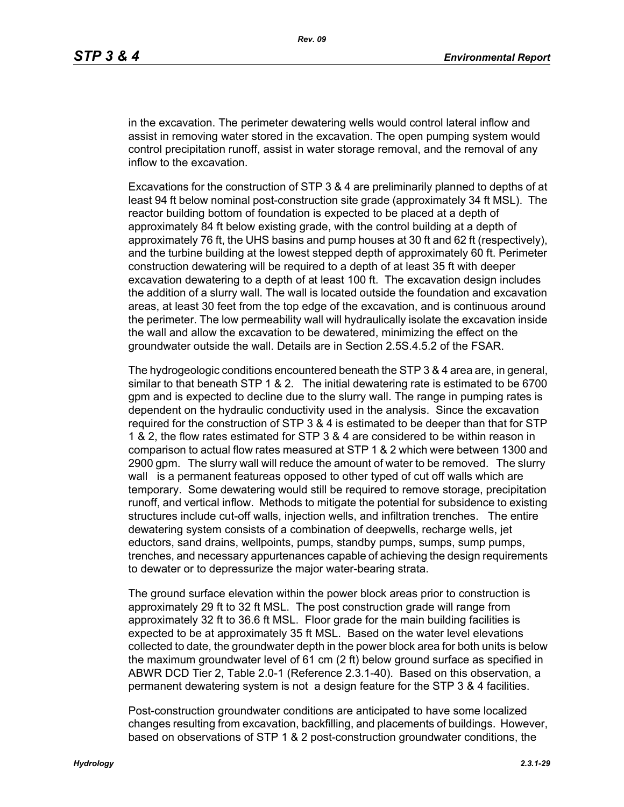in the excavation. The perimeter dewatering wells would control lateral inflow and assist in removing water stored in the excavation. The open pumping system would control precipitation runoff, assist in water storage removal, and the removal of any inflow to the excavation.

Excavations for the construction of STP 3 & 4 are preliminarily planned to depths of at least 94 ft below nominal post-construction site grade (approximately 34 ft MSL). The reactor building bottom of foundation is expected to be placed at a depth of approximately 84 ft below existing grade, with the control building at a depth of approximately 76 ft, the UHS basins and pump houses at 30 ft and 62 ft (respectively), and the turbine building at the lowest stepped depth of approximately 60 ft. Perimeter construction dewatering will be required to a depth of at least 35 ft with deeper excavation dewatering to a depth of at least 100 ft. The excavation design includes the addition of a slurry wall. The wall is located outside the foundation and excavation areas, at least 30 feet from the top edge of the excavation, and is continuous around the perimeter. The low permeability wall will hydraulically isolate the excavation inside the wall and allow the excavation to be dewatered, minimizing the effect on the groundwater outside the wall. Details are in Section 2.5S.4.5.2 of the FSAR.

The hydrogeologic conditions encountered beneath the STP 3 & 4 area are, in general, similar to that beneath STP 1 & 2. The initial dewatering rate is estimated to be 6700 gpm and is expected to decline due to the slurry wall. The range in pumping rates is dependent on the hydraulic conductivity used in the analysis. Since the excavation required for the construction of STP 3 & 4 is estimated to be deeper than that for STP 1 & 2, the flow rates estimated for STP 3 & 4 are considered to be within reason in comparison to actual flow rates measured at STP 1 & 2 which were between 1300 and 2900 gpm. The slurry wall will reduce the amount of water to be removed. The slurry wall is a permanent featureas opposed to other typed of cut off walls which are temporary. Some dewatering would still be required to remove storage, precipitation runoff, and vertical inflow. Methods to mitigate the potential for subsidence to existing structures include cut-off walls, injection wells, and infiltration trenches. The entire dewatering system consists of a combination of deepwells, recharge wells, jet eductors, sand drains, wellpoints, pumps, standby pumps, sumps, sump pumps, trenches, and necessary appurtenances capable of achieving the design requirements to dewater or to depressurize the major water-bearing strata.

The ground surface elevation within the power block areas prior to construction is approximately 29 ft to 32 ft MSL. The post construction grade will range from approximately 32 ft to 36.6 ft MSL. Floor grade for the main building facilities is expected to be at approximately 35 ft MSL. Based on the water level elevations collected to date, the groundwater depth in the power block area for both units is below the maximum groundwater level of 61 cm (2 ft) below ground surface as specified in ABWR DCD Tier 2, Table 2.0-1 (Reference 2.3.1-40). Based on this observation, a permanent dewatering system is not a design feature for the STP 3 & 4 facilities.

Post-construction groundwater conditions are anticipated to have some localized changes resulting from excavation, backfilling, and placements of buildings. However, based on observations of STP 1 & 2 post-construction groundwater conditions, the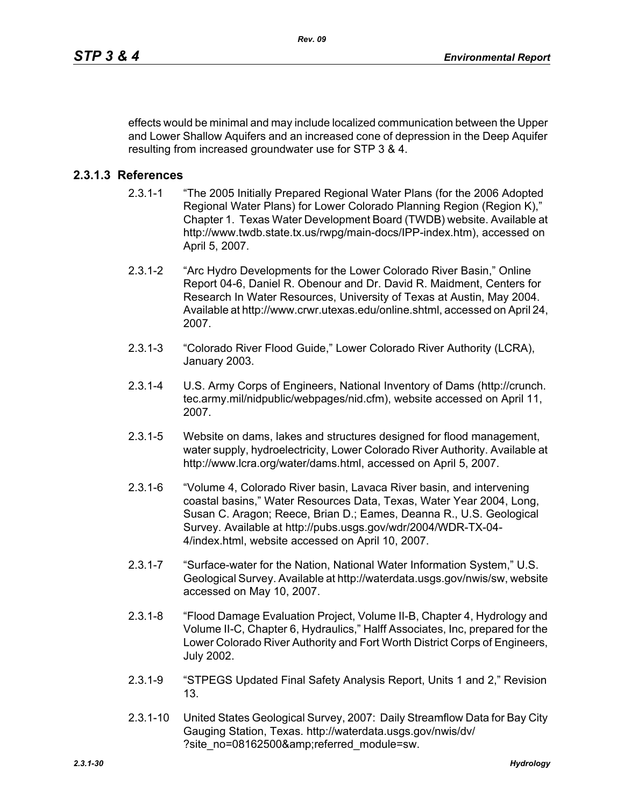effects would be minimal and may include localized communication between the Upper and Lower Shallow Aquifers and an increased cone of depression in the Deep Aquifer resulting from increased groundwater use for STP 3 & 4.

## **2.3.1.3 References**

- 2.3.1-1 "The 2005 Initially Prepared Regional Water Plans (for the 2006 Adopted Regional Water Plans) for Lower Colorado Planning Region (Region K)," Chapter 1. Texas Water Development Board (TWDB) website. Available at http://www.twdb.state.tx.us/rwpg/main-docs/IPP-index.htm), accessed on April 5, 2007.
- 2.3.1-2 "Arc Hydro Developments for the Lower Colorado River Basin," Online Report 04-6, Daniel R. Obenour and Dr. David R. Maidment, Centers for Research In Water Resources, University of Texas at Austin, May 2004. Available at http://www.crwr.utexas.edu/online.shtml, accessed on April 24, 2007.
- 2.3.1-3 "Colorado River Flood Guide," Lower Colorado River Authority (LCRA), January 2003.
- 2.3.1-4 U.S. Army Corps of Engineers, National Inventory of Dams (http://crunch. tec.army.mil/nidpublic/webpages/nid.cfm), website accessed on April 11, 2007.
- 2.3.1-5 Website on dams, lakes and structures designed for flood management, water supply, hydroelectricity, Lower Colorado River Authority. Available at http://www.lcra.org/water/dams.html, accessed on April 5, 2007.
- 2.3.1-6 "Volume 4, Colorado River basin, Lavaca River basin, and intervening coastal basins," Water Resources Data, Texas, Water Year 2004, Long, Susan C. Aragon; Reece, Brian D.; Eames, Deanna R., U.S. Geological Survey. Available at http://pubs.usgs.gov/wdr/2004/WDR-TX-04- 4/index.html, website accessed on April 10, 2007.
- 2.3.1-7 "Surface-water for the Nation, National Water Information System," U.S. Geological Survey. Available at http://waterdata.usgs.gov/nwis/sw, website accessed on May 10, 2007.
- 2.3.1-8 "Flood Damage Evaluation Project, Volume II-B, Chapter 4, Hydrology and Volume II-C, Chapter 6, Hydraulics," Halff Associates, Inc, prepared for the Lower Colorado River Authority and Fort Worth District Corps of Engineers, July 2002.
- 2.3.1-9 "STPEGS Updated Final Safety Analysis Report, Units 1 and 2," Revision 13.
- 2.3.1-10 United States Geological Survey, 2007: Daily Streamflow Data for Bay City Gauging Station, Texas. http://waterdata.usgs.gov/nwis/dv/ ?site\_no=08162500&referred\_module=sw.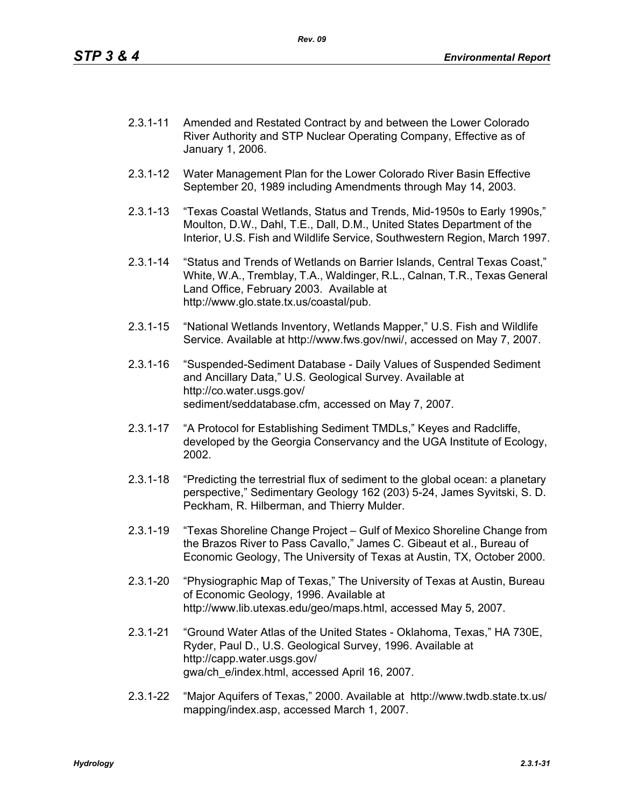- 2.3.1-11 Amended and Restated Contract by and between the Lower Colorado River Authority and STP Nuclear Operating Company, Effective as of January 1, 2006.
- 2.3.1-12 Water Management Plan for the Lower Colorado River Basin Effective September 20, 1989 including Amendments through May 14, 2003.
- 2.3.1-13 "Texas Coastal Wetlands, Status and Trends, Mid-1950s to Early 1990s," Moulton, D.W., Dahl, T.E., Dall, D.M., United States Department of the Interior, U.S. Fish and Wildlife Service, Southwestern Region, March 1997.
- 2.3.1-14 "Status and Trends of Wetlands on Barrier Islands, Central Texas Coast," White, W.A., Tremblay, T.A., Waldinger, R.L., Calnan, T.R., Texas General Land Office, February 2003. Available at http://www.glo.state.tx.us/coastal/pub.
- 2.3.1-15 "National Wetlands Inventory, Wetlands Mapper," U.S. Fish and Wildlife Service. Available at http://www.fws.gov/nwi/, accessed on May 7, 2007.
- 2.3.1-16 "Suspended-Sediment Database Daily Values of Suspended Sediment and Ancillary Data," U.S. Geological Survey. Available at http://co.water.usgs.gov/ sediment/seddatabase.cfm, accessed on May 7, 2007.
- 2.3.1-17 "A Protocol for Establishing Sediment TMDLs," Keyes and Radcliffe, developed by the Georgia Conservancy and the UGA Institute of Ecology, 2002.
- 2.3.1-18 "Predicting the terrestrial flux of sediment to the global ocean: a planetary perspective," Sedimentary Geology 162 (203) 5-24, James Syvitski, S. D. Peckham, R. Hilberman, and Thierry Mulder.
- 2.3.1-19 "Texas Shoreline Change Project Gulf of Mexico Shoreline Change from the Brazos River to Pass Cavallo," James C. Gibeaut et al., Bureau of Economic Geology, The University of Texas at Austin, TX, October 2000.
- 2.3.1-20 "Physiographic Map of Texas," The University of Texas at Austin, Bureau of Economic Geology, 1996. Available at http://www.lib.utexas.edu/geo/maps.html, accessed May 5, 2007.
- 2.3.1-21 "Ground Water Atlas of the United States Oklahoma, Texas," HA 730E, Ryder, Paul D., U.S. Geological Survey, 1996. Available at http://capp.water.usgs.gov/ gwa/ch\_e/index.html, accessed April 16, 2007.
- 2.3.1-22 "Major Aquifers of Texas," 2000. Available at http://www.twdb.state.tx.us/ mapping/index.asp, accessed March 1, 2007.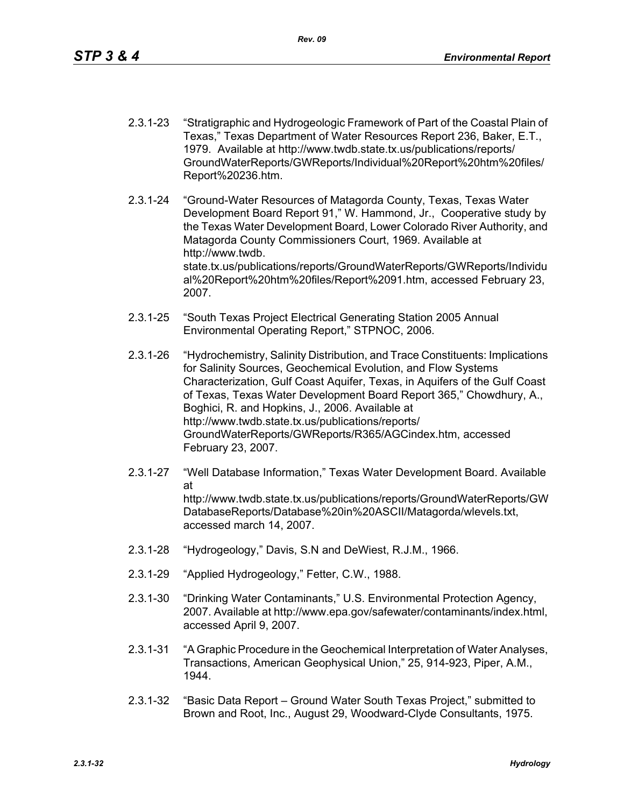- 2.3.1-23 "Stratigraphic and Hydrogeologic Framework of Part of the Coastal Plain of Texas," Texas Department of Water Resources Report 236, Baker, E.T., 1979. Available at http://www.twdb.state.tx.us/publications/reports/ GroundWaterReports/GWReports/Individual%20Report%20htm%20files/ Report%20236.htm.
- 2.3.1-24 "Ground-Water Resources of Matagorda County, Texas, Texas Water Development Board Report 91," W. Hammond, Jr., Cooperative study by the Texas Water Development Board, Lower Colorado River Authority, and Matagorda County Commissioners Court, 1969. Available at http://www.twdb. state.tx.us/publications/reports/GroundWaterReports/GWReports/Individu al%20Report%20htm%20files/Report%2091.htm, accessed February 23, 2007.
- 2.3.1-25 "South Texas Project Electrical Generating Station 2005 Annual Environmental Operating Report," STPNOC, 2006.
- 2.3.1-26 "Hydrochemistry, Salinity Distribution, and Trace Constituents: Implications for Salinity Sources, Geochemical Evolution, and Flow Systems Characterization, Gulf Coast Aquifer, Texas, in Aquifers of the Gulf Coast of Texas, Texas Water Development Board Report 365," Chowdhury, A., Boghici, R. and Hopkins, J., 2006. Available at http://www.twdb.state.tx.us/publications/reports/ GroundWaterReports/GWReports/R365/AGCindex.htm, accessed February 23, 2007.
- 2.3.1-27 "Well Database Information," Texas Water Development Board. Available at http://www.twdb.state.tx.us/publications/reports/GroundWaterReports/GW DatabaseReports/Database%20in%20ASCII/Matagorda/wlevels.txt, accessed march 14, 2007.
- 2.3.1-28 "Hydrogeology," Davis, S.N and DeWiest, R.J.M., 1966.
- 2.3.1-29 "Applied Hydrogeology," Fetter, C.W., 1988.
- 2.3.1-30 "Drinking Water Contaminants," U.S. Environmental Protection Agency, 2007. Available at http://www.epa.gov/safewater/contaminants/index.html, accessed April 9, 2007.
- 2.3.1-31 "A Graphic Procedure in the Geochemical Interpretation of Water Analyses, Transactions, American Geophysical Union," 25, 914-923, Piper, A.M., 1944.
- 2.3.1-32 "Basic Data Report Ground Water South Texas Project," submitted to Brown and Root, Inc., August 29, Woodward-Clyde Consultants, 1975.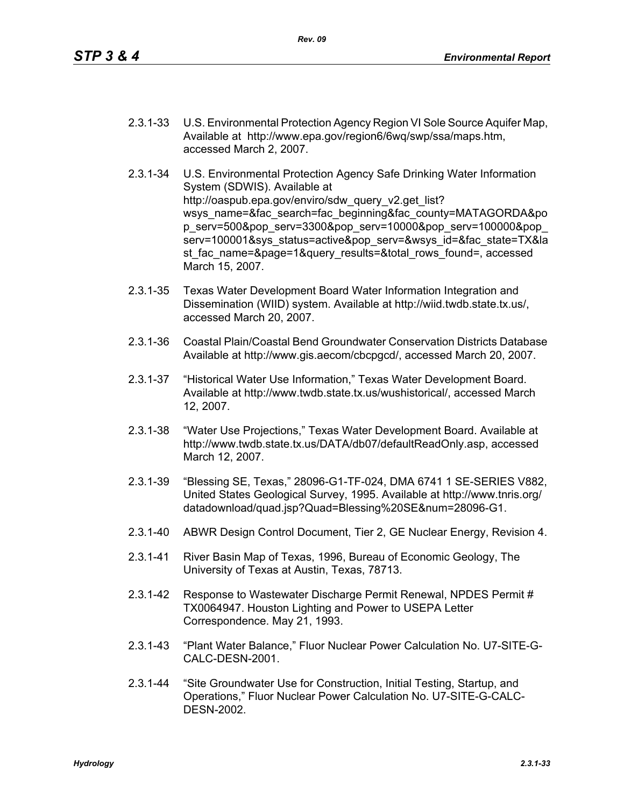- 2.3.1-33 U.S. Environmental Protection Agency Region VI Sole Source Aquifer Map, Available at http://www.epa.gov/region6/6wq/swp/ssa/maps.htm, accessed March 2, 2007.
- 2.3.1-34 U.S. Environmental Protection Agency Safe Drinking Water Information System (SDWIS). Available at http://oaspub.epa.gov/enviro/sdw\_query\_v2.get\_list? wsys\_name=&fac\_search=fac\_beginning&fac\_county=MATAGORDA&po p\_serv=500&pop\_serv=3300&pop\_serv=10000&pop\_serv=100000&pop\_ serv=100001&sys\_status=active&pop\_serv=&wsys\_id=&fac\_state=TX&la st fac\_name=&page=1&query\_results=&total\_rows\_found=, accessed March 15, 2007.
- 2.3.1-35 Texas Water Development Board Water Information Integration and Dissemination (WIID) system. Available at http://wiid.twdb.state.tx.us/, accessed March 20, 2007.
- 2.3.1-36 Coastal Plain/Coastal Bend Groundwater Conservation Districts Database Available at http://www.gis.aecom/cbcpgcd/, accessed March 20, 2007.
- 2.3.1-37 "Historical Water Use Information," Texas Water Development Board. Available at http://www.twdb.state.tx.us/wushistorical/, accessed March 12, 2007.
- 2.3.1-38 "Water Use Projections," Texas Water Development Board. Available at http://www.twdb.state.tx.us/DATA/db07/defaultReadOnly.asp, accessed March 12, 2007.
- 2.3.1-39 "Blessing SE, Texas," 28096-G1-TF-024, DMA 6741 1 SE-SERIES V882, United States Geological Survey, 1995. Available at http://www.tnris.org/ datadownload/quad.jsp?Quad=Blessing%20SE&num=28096-G1.
- 2.3.1-40 ABWR Design Control Document, Tier 2, GE Nuclear Energy, Revision 4.
- 2.3.1-41 River Basin Map of Texas, 1996, Bureau of Economic Geology, The University of Texas at Austin, Texas, 78713.
- 2.3.1-42 Response to Wastewater Discharge Permit Renewal, NPDES Permit # TX0064947. Houston Lighting and Power to USEPA Letter Correspondence. May 21, 1993.
- 2.3.1-43 "Plant Water Balance," Fluor Nuclear Power Calculation No. U7-SITE-G-CALC-DESN-2001.
- 2.3.1-44 "Site Groundwater Use for Construction, Initial Testing, Startup, and Operations," Fluor Nuclear Power Calculation No. U7-SITE-G-CALC-DESN-2002.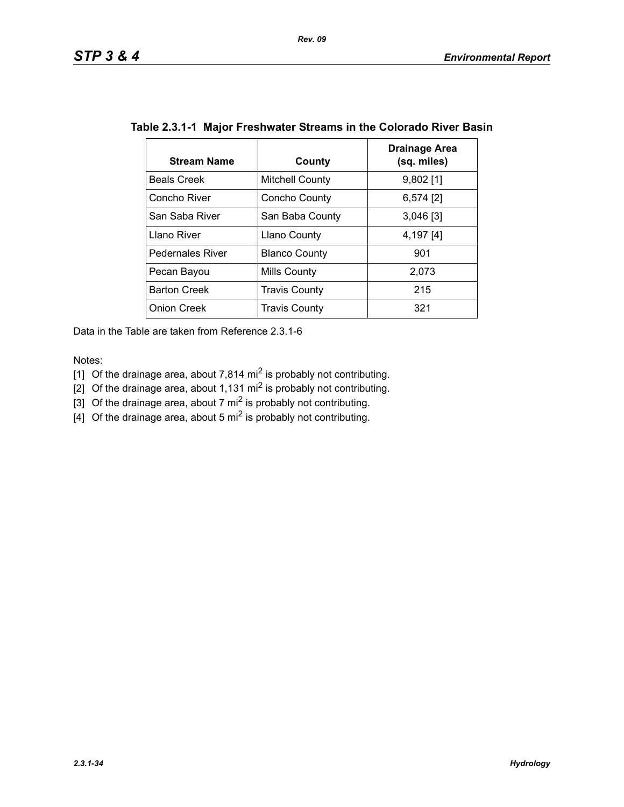| <b>Stream Name</b>      | County                 | Drainage Area<br>(sq. miles) |
|-------------------------|------------------------|------------------------------|
| <b>Beals Creek</b>      | <b>Mitchell County</b> | $9,802$ [1]                  |
| Concho River            | Concho County          | $6,574$ [2]                  |
| San Saba River          | San Baba County        | $3,046$ [3]                  |
| Llano River             | <b>Llano County</b>    | 4,197 [4]                    |
| <b>Pedernales River</b> | <b>Blanco County</b>   | 901                          |
| Pecan Bayou             | Mills County           | 2,073                        |
| <b>Barton Creek</b>     | <b>Travis County</b>   | 215                          |
| <b>Onion Creek</b>      | <b>Travis County</b>   | 321                          |

# **Table 2.3.1-1 Major Freshwater Streams in the Colorado River Basin**

Data in the Table are taken from Reference 2.3.1-6

Notes:

- [1] Of the drainage area, about 7,814 mi<sup>2</sup> is probably not contributing.
- [2] Of the drainage area, about 1,131 mi<sup>2</sup> is probably not contributing.
- [3] Of the drainage area, about 7 mi<sup>2</sup> is probably not contributing.
- $\left[4\right]$  Of the drainage area, about 5 mi<sup>2</sup> is probably not contributing.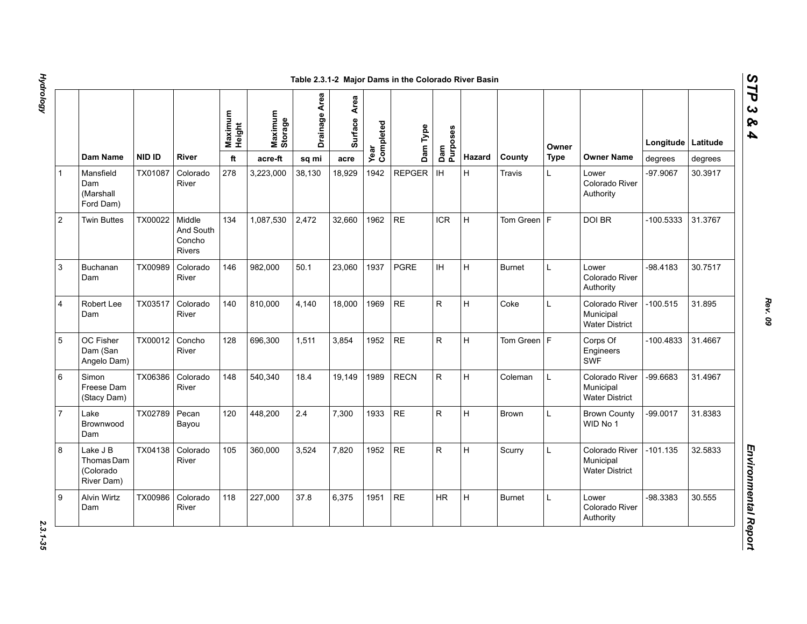1 Mansfield Dam (Marshall Ford Dam)

3 Buchanan Dam

4 Robert Lee Dam

5 OC Fisher Dam (San Angelo Dam)

Brownwood Dam

Thomas Dam (Colorado River Dam)

6 Simon

7 Lake

8 Lake J B

9 Alvin Wirtz Dam

2 Twin Buttes | TX00022 | Middle

|                                                   |               |                                                | Maximum<br>Height | Maximum<br>Storage | Drainage Area | Area<br>Surface | Year<br>Completed | Dam Type      | Dam<br>  Purposes<br> |        |               | Owner |                                                      | Longitude  | Latitude |
|---------------------------------------------------|---------------|------------------------------------------------|-------------------|--------------------|---------------|-----------------|-------------------|---------------|-----------------------|--------|---------------|-------|------------------------------------------------------|------------|----------|
| Dam Name                                          | <b>NID ID</b> | <b>River</b>                                   | ft                | acre-ft            | sq mi         | acre            |                   |               |                       | Hazard | County        | Type  | <b>Owner Name</b>                                    | degrees    | degrees  |
| Mansfield<br>Dam<br>(Marshall<br>Ford Dam)        | TX01087       | Colorado<br>River                              | 278               | 3,223,000          | 38,130        | 18,929          | 1942              | <b>REPGER</b> | IH                    | H.     | Travis        |       | Lower<br>Colorado River<br>Authority                 | -97.9067   | 30.3917  |
| <b>Twin Buttes</b>                                | TX00022       | Middle<br>And South<br>Concho<br><b>Rivers</b> | 134               | 1,087,530          | 2,472         | 32,660          | 1962              | <b>RE</b>     | <b>ICR</b>            | H      | Tom Green   F |       | <b>DOI BR</b>                                        | -100.5333  | 31.3767  |
| Buchanan<br>Dam                                   | TX00989       | Colorado<br>River                              | 146               | 982.000            | 50.1          | 23.060          | 1937              | <b>PGRE</b>   | <b>IH</b>             | H      | <b>Burnet</b> | L     | Lower<br>Colorado River<br>Authority                 | -98.4183   | 30.7517  |
| Robert Lee<br>Dam                                 | TX03517       | Colorado<br>River                              | 140               | 810,000            | 4,140         | 18.000          | 1969              | <b>RE</b>     | R                     | H      | Coke          | L     | Colorado River<br>Municipal<br><b>Water District</b> | $-100.515$ | 31.895   |
| OC Fisher<br>Dam (San<br>Angelo Dam)              | TX00012       | Concho<br>River                                | 128               | 696,300            | 1,511         | 3,854           | 1952              | <b>RE</b>     | ${\sf R}$             | H      | Tom Green   F |       | Corps Of<br>Engineers<br><b>SWF</b>                  | -100.4833  | 31.4667  |
| Simon<br>Freese Dam<br>(Stacy Dam)                | TX06386       | Colorado<br>River                              | 148               | 540,340            | 18.4          | 19,149          | 1989              | <b>RECN</b>   | $\mathsf{R}$          | H      | Coleman       | L     | Colorado River<br>Municipal<br><b>Water District</b> | -99.6683   | 31.4967  |
| Lake<br>Brownwood<br>Dam                          | TX02789       | Pecan<br>Bayou                                 | 120               | 448,200            | 2.4           | 7,300           | 1933              | <b>RE</b>     | $\mathsf{R}$          | H      | <b>Brown</b>  |       | <b>Brown County</b><br>WID No 1                      | $-99.0017$ | 31.8383  |
| Lake J B<br>Thomas Dam<br>(Colorado<br>River Dam) | TX04138       | Colorado<br>River                              | 105               | 360,000            | 3,524         | 7,820           | 1952              | <b>RE</b>     | ${\sf R}$             | H      | Scurry        |       | Colorado River<br>Municipal<br><b>Water District</b> | $-101.135$ | 32.5833  |
| Alvin Wirtz<br>Dam                                | TX00986       | Colorado<br>River                              | 118               | 227,000            | 37.8          | 6.375           | 1951              | <b>RE</b>     | <b>HR</b>             | H      | <b>Burnet</b> |       | Lower<br>Colorado River<br>Authority                 | -98.3383   | 30.555   |

*STP 3 & 4*

2.3.1-35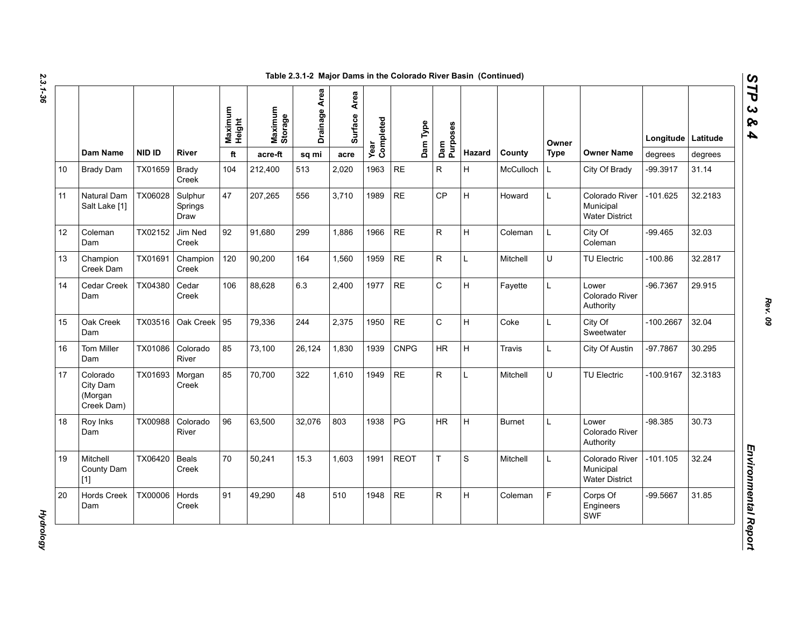|    |                                               |               |                            | Maximum<br>Height | Maximum<br>Storage | Drainage Area | Area<br>Surface | Year<br>Completed | Dam Type    | Purposes                |        |               | Owner       |                                                      | Longitude   Latitude |         |
|----|-----------------------------------------------|---------------|----------------------------|-------------------|--------------------|---------------|-----------------|-------------------|-------------|-------------------------|--------|---------------|-------------|------------------------------------------------------|----------------------|---------|
|    | <b>Dam Name</b>                               | <b>NID ID</b> | River                      | ft                | acre-ft            | sq mi         | acre            |                   |             | Dam                     | Hazard | County        | <b>Type</b> | <b>Owner Name</b>                                    | degrees              | degrees |
| 10 | <b>Brady Dam</b>                              | TX01659       | <b>Brady</b><br>Creek      | 104               | 212,400            | 513           | 2,020           | 1963              | <b>RE</b>   | $\mathsf{R}$            | H      | McCulloch     | L           | City Of Brady                                        | -99.3917             | 31.14   |
| 11 | Natural Dam<br>Salt Lake [1]                  | TX06028       | Sulphur<br>Springs<br>Draw | 47                | 207,265            | 556           | 3,710           | 1989              | <b>RE</b>   | CP                      | H      | Howard        | L           | Colorado River<br>Municipal<br><b>Water District</b> | $-101.625$           | 32.2183 |
| 12 | Coleman<br>Dam                                | TX02152       | Jim Ned<br>Creek           | 92                | 91,680             | 299           | 1.886           | 1966              | <b>RE</b>   | $\overline{\mathsf{R}}$ | H      | Coleman       | L           | City Of<br>Coleman                                   | $-99.465$            | 32.03   |
| 13 | Champion<br>Creek Dam                         | TX01691       | Champion<br>Creek          | 120               | 90,200             | 164           | 1.560           | 1959              | <b>RE</b>   | $\mathsf{R}$            | L      | Mitchell      | U           | <b>TU Electric</b>                                   | $-100.86$            | 32.2817 |
| 14 | Cedar Creek<br>Dam                            | TX04380       | Cedar<br>Creek             | 106               | 88,628             | 6.3           | 2,400           | 1977              | <b>RE</b>   | $\mathsf C$             | Н      | Fayette       | L           | Lower<br>Colorado River<br>Authority                 | $-96.7367$           | 29.915  |
| 15 | Oak Creek<br>Dam                              | TX03516       | Oak Creek 95               |                   | 79,336             | 244           | 2,375           | 1950              | <b>RE</b>   | $\mathsf{C}$            | H      | Coke          | L           | City Of<br>Sweetwater                                | $-100.2667$          | 32.04   |
| 16 | <b>Tom Miller</b><br>Dam                      | TX01086       | Colorado<br>River          | 85                | 73,100             | 26,124        | 1,830           | 1939              | <b>CNPG</b> | <b>HR</b>               | H      | Travis        | L           | City Of Austin                                       | -97.7867             | 30.295  |
| 17 | Colorado<br>City Dam<br>(Morgan<br>Creek Dam) | TX01693       | Morgan<br>Creek            | 85                | 70.700             | 322           | 1.610           | 1949              | <b>RE</b>   | $\mathsf{R}$            | L      | Mitchell      | U           | <b>TU Electric</b>                                   | $-100.9167$          | 32.3183 |
| 18 | Roy Inks<br>Dam                               | TX00988       | Colorado<br>River          | 96                | 63,500             | 32,076        | 803             | 1938              | PG          | <b>HR</b>               | H      | <b>Burnet</b> | L           | Lower<br>Colorado River<br>Authority                 | $-98.385$            | 30.73   |
| 19 | Mitchell<br>County Dam<br>$[1]$               | TX06420       | Beals<br>Creek             | 70                | 50,241             | 15.3          | 1,603           | 1991              | <b>REOT</b> | T                       | S      | Mitchell      | L           | Colorado River<br>Municipal<br><b>Water District</b> | $-101.105$           | 32.24   |
| 20 | <b>Hords Creek</b><br>Dam                     | TX00006       | Hords<br>Creek             | 91                | 49,290             | 48            | 510             | 1948              | <b>RE</b>   | $\mathsf{R}$            | Н      | Coleman       | F           | Corps Of<br>Engineers<br>SWF                         | $-99.5667$           | 31.85   |

*Rev. 09*

**Hydrology** *Hydrology*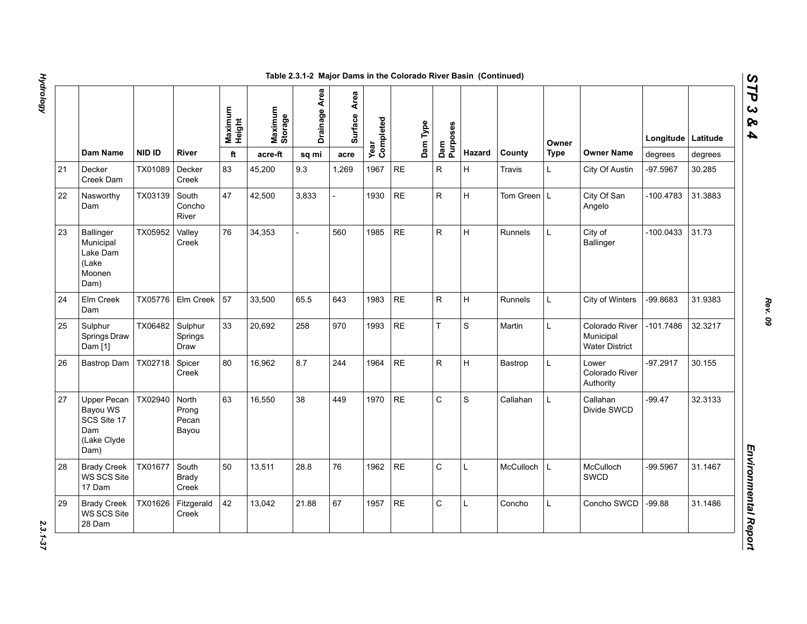|    |                                                                             |         |                                  |                   |                    | Table 2.3.1-2 Major Dams in the Colorado River Basin (Continued) |                 |                   |           |          |                 |              |                |             |                                                      |             |          |
|----|-----------------------------------------------------------------------------|---------|----------------------------------|-------------------|--------------------|------------------------------------------------------------------|-----------------|-------------------|-----------|----------|-----------------|--------------|----------------|-------------|------------------------------------------------------|-------------|----------|
|    |                                                                             |         |                                  | Maximum<br>Height | Maximum<br>Storage | Drainage Area                                                    | Area<br>Surface | Year<br>Completed |           | Dam Type | Dam<br>Purposes |              |                | Owner       |                                                      | Longitude   | Latitude |
|    | Dam Name                                                                    | NID ID  | River                            | ft                | acre-ft            | sq mi                                                            | acre            |                   |           |          |                 | Hazard       | County         | <b>Type</b> | <b>Owner Name</b>                                    | degrees     | degrees  |
| 21 | Decker<br>Creek Dam                                                         | TX01089 | Decker<br>Creek                  | 83                | 45,200             | 9.3                                                              | 1,269           | 1967              | <b>RE</b> |          | $\mathsf{R}$    | H            | <b>Travis</b>  | L           | City Of Austin                                       | -97.5967    | 30.285   |
| 22 | Nasworthy<br>Dam                                                            | TX03139 | South<br>Concho<br>River         | 47                | 42,500             | 3,833                                                            |                 | 1930              | <b>RE</b> |          | ${\sf R}$       | Iн.          | Tom Green L    |             | City Of San<br>Angelo                                | $-100.4783$ | 31.3883  |
| 23 | <b>Ballinger</b><br>Municipal<br>Lake Dam<br>(Lake<br>Moonen<br>Dam)        | TX05952 | Valley<br>Creek                  | 76                | 34,353             |                                                                  | 560             | 1985              | <b>RE</b> |          | ${\sf R}$       | H            | <b>Runnels</b> | L.          | City of<br>Ballinger                                 | -100.0433   | 31.73    |
| 24 | Elm Creek<br>Dam                                                            | TX05776 | Elm Creek                        | 57                | 33,500             | 65.5                                                             | 643             | 1983              | <b>RE</b> |          | ${\sf R}$       | H            | Runnels        | L           | City of Winters                                      | -99.8683    | 31.9383  |
| 25 | Sulphur<br>Springs Draw<br>Dam [1]                                          | TX06482 | Sulphur<br>Springs<br>Draw       | 33                | 20,692             | 258                                                              | 970             | 1993              | <b>RE</b> |          | $\bar{T}$       | S            | Martin         | L           | Colorado River<br>Municipal<br><b>Water District</b> | -101.7486   | 32.3217  |
| 26 | Bastrop Dam                                                                 | TX02718 | Spicer<br>Creek                  | 80                | 16,962             | 8.7                                                              | 244             | 1964              | <b>RE</b> |          | ${\sf R}$       | H            | Bastrop        | L           | Lower<br>Colorado River<br>Authority                 | $-97.2917$  | 30.155   |
| 27 | <b>Upper Pecan</b><br>Bayou WS<br>SCS Site 17<br>Dam<br>(Lake Clyde<br>Dam) | TX02940 | North<br>Prong<br>Pecan<br>Bayou | 63                | 16,550             | 38                                                               | 449             | 1970              | <b>RE</b> |          | $\mathsf{C}$    | S            | Callahan       | L.          | Callahan<br>Divide SWCD                              | $-99.47$    | 32.3133  |
| 28 | <b>Brady Creek</b><br>WS SCS Site<br>17 Dam                                 | TX01677 | South<br>Brady<br>Creek          | 50                | 13,511             | 28.8                                                             | 76              | 1962              | <b>RE</b> |          | $\mathsf{C}$    | $\mathsf{L}$ | McCulloch      | L           | McCulloch<br><b>SWCD</b>                             | -99.5967    | 31.1467  |
| 29 | <b>Brady Creek</b><br>WS SCS Site<br>28 Dam                                 | TX01626 | Fitzgerald<br>Creek              | 42                | 13,042             | 21.88                                                            | 67              | 1957              | <b>RE</b> |          | $\mathsf C$     | $\mathbf{L}$ | Concho         | L           | Concho SWCD                                          | $-99.88$    | 31.1486  |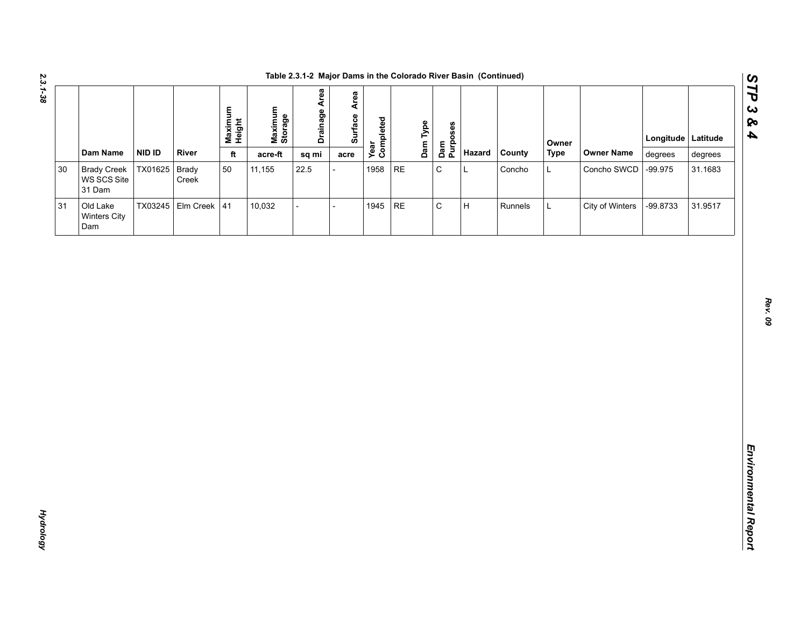| Dam Name<br><b>NID ID</b><br>River<br>Hazard<br>County<br><b>Type</b><br><b>Owner Name</b><br>ft<br>acre-ft<br>degrees<br>sq mi<br>degrees<br>acre<br>$\mathsf C$<br>TX01625 Brady<br>50<br>1958<br>$\sf RE$<br><b>Brady Creek</b><br>11,155<br>22.5<br>L<br>Concho<br>Concho SWCD<br>$-99.975$<br>31.1683<br>L<br>WS SCS Site<br>Creek<br>31 Dam<br>$\mathsf C$<br>TX03245 Elm Creek 41<br>$\sf RE$<br>$\sf H$<br>10,032<br>1945<br>City of Winters<br>-99.8733<br>31.9517<br>Old Lake<br>Runnels<br>$\overline{a}$<br>L<br>$\overline{a}$<br>Winters City<br>Dam |        |  | Maximum<br>Height | Maximum<br>Storage | <b>Drainage Area</b> | Surface Area | Year<br>Completed | Dam Type<br>Dam<br>Purposes |  | Owner | Longitude Latitude |  |
|--------------------------------------------------------------------------------------------------------------------------------------------------------------------------------------------------------------------------------------------------------------------------------------------------------------------------------------------------------------------------------------------------------------------------------------------------------------------------------------------------------------------------------------------------------------------|--------|--|-------------------|--------------------|----------------------|--------------|-------------------|-----------------------------|--|-------|--------------------|--|
|                                                                                                                                                                                                                                                                                                                                                                                                                                                                                                                                                                    |        |  |                   |                    |                      |              |                   |                             |  |       |                    |  |
|                                                                                                                                                                                                                                                                                                                                                                                                                                                                                                                                                                    | $30\,$ |  |                   |                    |                      |              |                   |                             |  |       |                    |  |
|                                                                                                                                                                                                                                                                                                                                                                                                                                                                                                                                                                    | 31     |  |                   |                    |                      |              |                   |                             |  |       |                    |  |
|                                                                                                                                                                                                                                                                                                                                                                                                                                                                                                                                                                    |        |  |                   |                    |                      |              |                   |                             |  |       |                    |  |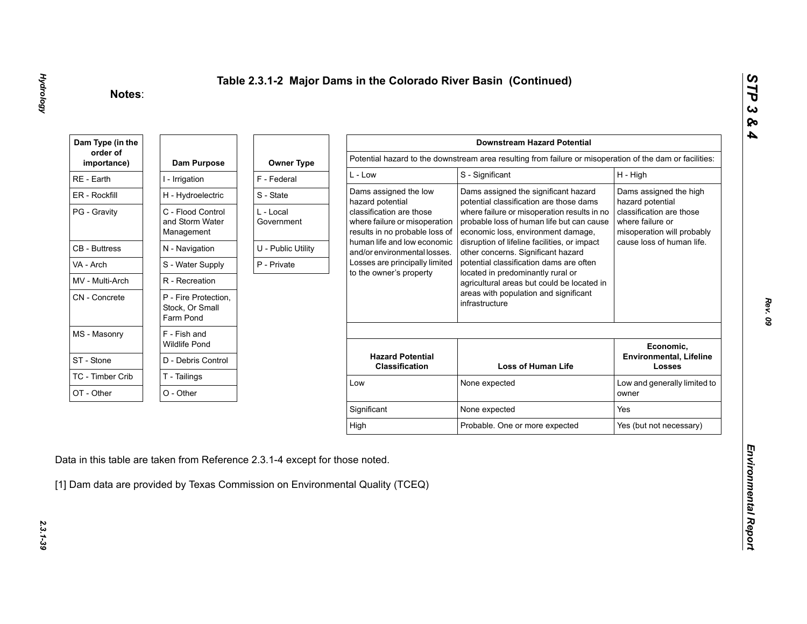| Dam Type (in the        |                                                      |                         |                                                                                             | <b>Downstream Hazard Potential</b>                                                                                             |                                                                            |
|-------------------------|------------------------------------------------------|-------------------------|---------------------------------------------------------------------------------------------|--------------------------------------------------------------------------------------------------------------------------------|----------------------------------------------------------------------------|
| order of<br>importance) | Dam Purpose                                          | <b>Owner Type</b>       |                                                                                             | Potential hazard to the downstream area resulting from failure or misoperation of the dam or facilities:                       |                                                                            |
| RE - Earth              | I - Irrigation                                       | F - Federal             | $L - Low$                                                                                   | S - Significant                                                                                                                | H - High                                                                   |
| ER - Rockfill           | H - Hydroelectric                                    | S - State               | Dams assigned the low<br>hazard potential                                                   | Dams assigned the significant hazard<br>potential classification are those dams                                                | Dams assigned the high<br>hazard potential                                 |
| PG - Gravity            | C - Flood Control<br>and Storm Water<br>Management   | L - Local<br>Government | classification are those<br>where failure or misoperation<br>results in no probable loss of | where failure or misoperation results in no<br>probable loss of human life but can cause<br>economic loss, environment damage, | classification are those<br>where failure or<br>misoperation will probably |
| <b>CB</b> - Buttress    | N - Navigation                                       | U - Public Utility      | human life and low economic<br>and/or environmental losses.                                 | disruption of lifeline facilities, or impact<br>other concerns. Significant hazard                                             | cause loss of human life.                                                  |
| VA - Arch               | S - Water Supply                                     | P - Private             | Losses are principally limited                                                              | potential classification dams are often                                                                                        |                                                                            |
| MV - Multi-Arch         | R - Recreation                                       |                         | to the owner's property                                                                     | located in predominantly rural or<br>agricultural areas but could be located in                                                |                                                                            |
| CN - Concrete           | P - Fire Protection,<br>Stock, Or Small<br>Farm Pond |                         |                                                                                             | areas with population and significant<br>infrastructure                                                                        |                                                                            |
| MS - Masonry            | F - Fish and<br><b>Wildlife Pond</b>                 |                         |                                                                                             |                                                                                                                                | Economic,                                                                  |
| ST - Stone              | D - Debris Control                                   |                         | <b>Hazard Potential</b><br><b>Classification</b>                                            | <b>Loss of Human Life</b>                                                                                                      | <b>Environmental, Lifeline</b><br><b>Losses</b>                            |
| TC - Timber Crib        | T - Tailings                                         |                         | Low                                                                                         | None expected                                                                                                                  | Low and generally limited to                                               |
| OT - Other              | O - Other                                            |                         |                                                                                             |                                                                                                                                | owner                                                                      |
|                         |                                                      |                         | Significant                                                                                 | None expected                                                                                                                  | Yes                                                                        |
|                         |                                                      |                         |                                                                                             |                                                                                                                                | Yes (but not necessary)                                                    |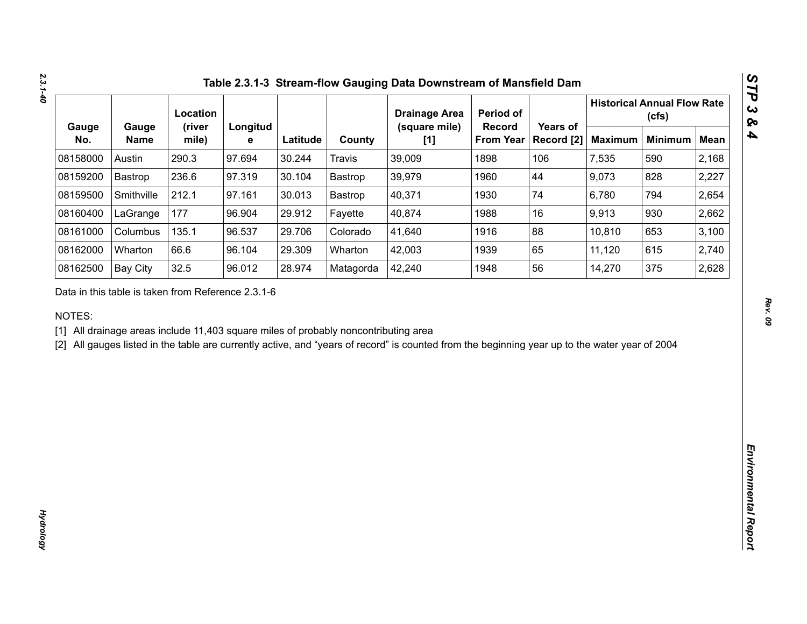|              |                                                    | Location        |               |          |                                                                                     | <b>Drainage Area</b>                                                                                                                           | Period of                  |                        |                | <b>Historical Annual Flow Rate</b><br>(cfs) |             |
|--------------|----------------------------------------------------|-----------------|---------------|----------|-------------------------------------------------------------------------------------|------------------------------------------------------------------------------------------------------------------------------------------------|----------------------------|------------------------|----------------|---------------------------------------------|-------------|
| Gauge<br>No. | Gauge<br><b>Name</b>                               | (river<br>mile) | Longitud<br>е | Latitude | County                                                                              | (square mile)<br>[1]                                                                                                                           | Record<br><b>From Year</b> | Years of<br>Record [2] | <b>Maximum</b> | <b>Minimum</b>                              | <b>Mean</b> |
| 08158000     | Austin                                             | 290.3           | 97.694        | 30.244   | <b>Travis</b>                                                                       | 39,009                                                                                                                                         | 1898                       | 106                    | 7,535          | 590                                         | 2,168       |
| 08159200     | Bastrop                                            | 236.6           | 97.319        | 30.104   | Bastrop                                                                             | 39,979                                                                                                                                         | 1960                       | 44                     | 9,073          | 828                                         | 2,227       |
| 08159500     | Smithville                                         | 212.1           | 97.161        | 30.013   | Bastrop                                                                             | 40,371                                                                                                                                         | 1930                       | 74                     | 6,780          | 794                                         | 2,654       |
| 08160400     | LaGrange                                           | 177             | 96.904        | 29.912   | Fayette                                                                             | 40,874                                                                                                                                         | 1988                       | 16                     | 9,913          | 930                                         | 2,662       |
| 08161000     | Columbus                                           | 135.1           | 96.537        | 29.706   | Colorado                                                                            | 41,640                                                                                                                                         | 1916                       | 88                     | 10,810         | 653                                         | 3,100       |
| 08162000     | Wharton                                            | 66.6            | 96.104        | 29.309   | Wharton                                                                             | 42,003                                                                                                                                         | 1939                       | 65                     | 11,120         | 615                                         | 2,740       |
| 08162500     | <b>Bay City</b>                                    | 32.5            | 96.012        | 28.974   | Matagorda                                                                           | 42,240                                                                                                                                         | 1948                       | 56                     | 14,270         | 375                                         | 2,628       |
| NOTES:       | Data in this table is taken from Reference 2.3.1-6 |                 |               |          | [1] All drainage areas include 11,403 square miles of probably noncontributing area | [2] All gauges listed in the table are currently active, and "years of record" is counted from the beginning year up to the water year of 2004 |                            |                        |                |                                             |             |
|              |                                                    |                 |               |          |                                                                                     |                                                                                                                                                |                            |                        |                |                                             |             |
|              |                                                    |                 |               |          |                                                                                     |                                                                                                                                                |                            |                        |                |                                             |             |
|              |                                                    |                 |               |          |                                                                                     |                                                                                                                                                |                            |                        |                |                                             |             |
|              |                                                    |                 |               |          |                                                                                     |                                                                                                                                                |                            |                        |                |                                             |             |
|              |                                                    |                 |               |          |                                                                                     |                                                                                                                                                |                            |                        |                |                                             |             |
|              |                                                    |                 |               |          |                                                                                     |                                                                                                                                                |                            |                        |                |                                             |             |
|              |                                                    |                 |               |          |                                                                                     |                                                                                                                                                |                            |                        |                |                                             |             |
|              |                                                    |                 |               |          |                                                                                     |                                                                                                                                                |                            |                        |                |                                             |             |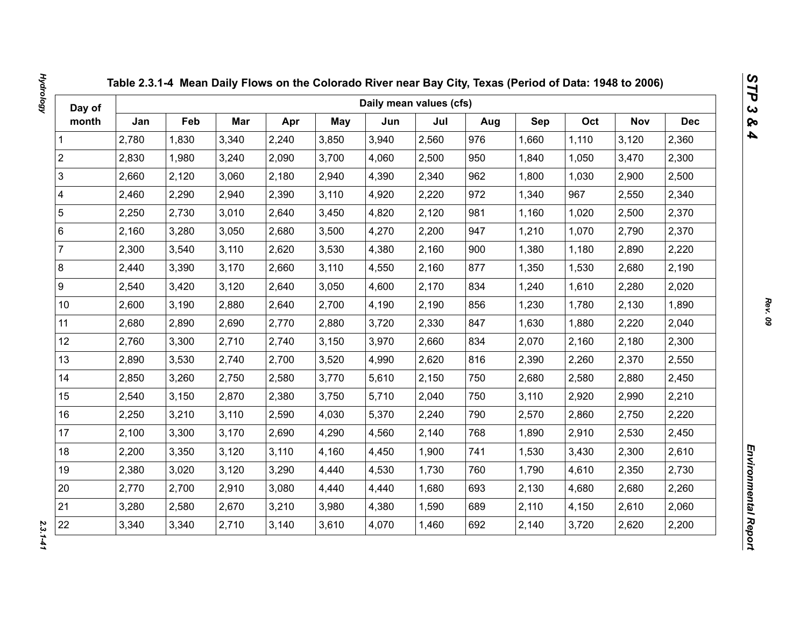| Day of                  |       |       |       |       |            | Daily mean values (cfs) |       |     |       |       |            |            |
|-------------------------|-------|-------|-------|-------|------------|-------------------------|-------|-----|-------|-------|------------|------------|
| month                   | Jan   | Feb   | Mar   | Apr   | <b>May</b> | Jun                     | Jul   | Aug | Sep   | Oct   | <b>Nov</b> | <b>Dec</b> |
| 1                       | 2,780 | 1,830 | 3,340 | 2,240 | 3,850      | 3,940                   | 2,560 | 976 | 1,660 | 1,110 | 3,120      | 2,360      |
| $\overline{2}$          | 2,830 | 1,980 | 3,240 | 2,090 | 3,700      | 4,060                   | 2,500 | 950 | 1,840 | 1,050 | 3,470      | 2,300      |
| 3                       | 2,660 | 2,120 | 3,060 | 2,180 | 2,940      | 4,390                   | 2,340 | 962 | 1,800 | 1,030 | 2,900      | 2,500      |
| $\overline{\mathbf{4}}$ | 2,460 | 2,290 | 2,940 | 2,390 | 3,110      | 4,920                   | 2,220 | 972 | 1,340 | 967   | 2,550      | 2,340      |
| $\sqrt{5}$              | 2,250 | 2,730 | 3,010 | 2,640 | 3,450      | 4,820                   | 2,120 | 981 | 1,160 | 1,020 | 2,500      | 2,370      |
| $\,6\,$                 | 2,160 | 3,280 | 3,050 | 2,680 | 3,500      | 4,270                   | 2,200 | 947 | 1,210 | 1,070 | 2,790      | 2,370      |
| $\overline{7}$          | 2,300 | 3,540 | 3,110 | 2,620 | 3,530      | 4,380                   | 2,160 | 900 | 1,380 | 1,180 | 2,890      | 2,220      |
| $\bf 8$                 | 2,440 | 3,390 | 3,170 | 2,660 | 3,110      | 4,550                   | 2,160 | 877 | 1,350 | 1,530 | 2,680      | 2,190      |
| $\boldsymbol{9}$        | 2,540 | 3,420 | 3,120 | 2,640 | 3,050      | 4,600                   | 2,170 | 834 | 1,240 | 1,610 | 2,280      | 2,020      |
| 10 <sup>1</sup>         | 2,600 | 3,190 | 2,880 | 2,640 | 2,700      | 4,190                   | 2,190 | 856 | 1,230 | 1,780 | 2,130      | 1,890      |
| 11                      | 2,680 | 2,890 | 2,690 | 2,770 | 2,880      | 3,720                   | 2,330 | 847 | 1,630 | 1,880 | 2,220      | 2,040      |
| 12                      | 2,760 | 3,300 | 2,710 | 2,740 | 3,150      | 3,970                   | 2,660 | 834 | 2,070 | 2,160 | 2,180      | 2,300      |
| 13                      | 2,890 | 3,530 | 2,740 | 2,700 | 3,520      | 4,990                   | 2,620 | 816 | 2,390 | 2,260 | 2,370      | 2,550      |
| 14                      | 2,850 | 3,260 | 2,750 | 2,580 | 3,770      | 5,610                   | 2,150 | 750 | 2,680 | 2,580 | 2,880      | 2,450      |
| 15                      | 2,540 | 3,150 | 2,870 | 2,380 | 3,750      | 5,710                   | 2,040 | 750 | 3,110 | 2,920 | 2,990      | 2,210      |
| 16                      | 2,250 | 3,210 | 3,110 | 2,590 | 4,030      | 5,370                   | 2,240 | 790 | 2,570 | 2,860 | 2,750      | 2,220      |
| 17                      | 2,100 | 3,300 | 3,170 | 2,690 | 4,290      | 4,560                   | 2,140 | 768 | 1,890 | 2,910 | 2,530      | 2,450      |
| 18                      | 2,200 | 3,350 | 3,120 | 3,110 | 4,160      | 4,450                   | 1,900 | 741 | 1,530 | 3,430 | 2,300      | 2,610      |
| 19                      | 2,380 | 3,020 | 3,120 | 3,290 | 4,440      | 4,530                   | 1,730 | 760 | 1,790 | 4,610 | 2,350      | 2,730      |
| 20                      | 2,770 | 2,700 | 2,910 | 3,080 | 4,440      | 4,440                   | 1,680 | 693 | 2,130 | 4,680 | 2,680      | 2,260      |
| 21                      | 3,280 | 2,580 | 2,670 | 3,210 | 3,980      | 4,380                   | 1,590 | 689 | 2,110 | 4,150 | 2,610      | 2,060      |
| 22                      | 3,340 | 3,340 | 2,710 | 3,140 | 3,610      | 4,070                   | 1,460 | 692 | 2,140 | 3,720 | 2,620      | 2,200      |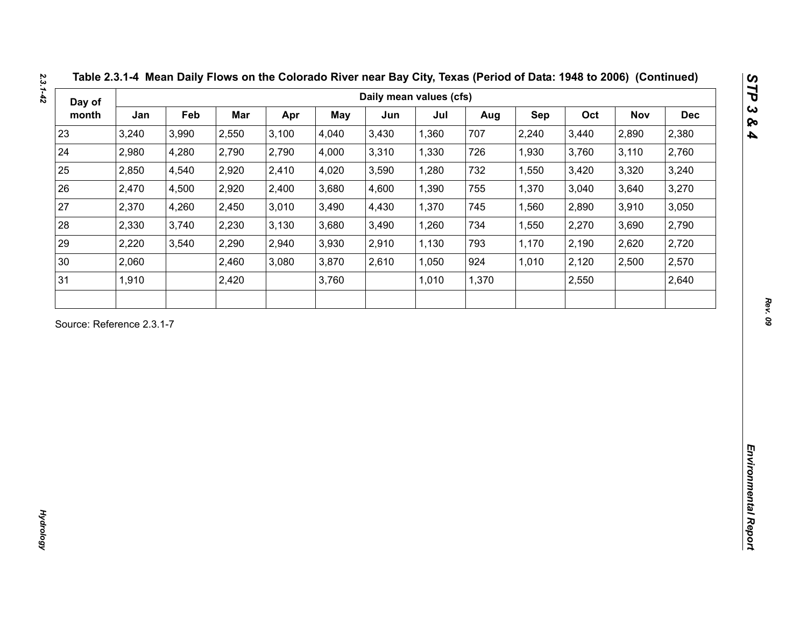| Day of                    |       |       |       |       |       | Daily mean values (cfs) |       |       |            |       |       |            |
|---------------------------|-------|-------|-------|-------|-------|-------------------------|-------|-------|------------|-------|-------|------------|
| month                     | Jan   | Feb   | Mar   | Apr   | May   | Jun                     | Jul   | Aug   | <b>Sep</b> | Oct   | Nov   | <b>Dec</b> |
| 23                        | 3,240 | 3,990 | 2,550 | 3,100 | 4,040 | 3,430                   | 1,360 | 707   | 2,240      | 3,440 | 2,890 | 2,380      |
| 24                        | 2,980 | 4,280 | 2,790 | 2,790 | 4,000 | 3,310                   | 1,330 | 726   | 1,930      | 3,760 | 3,110 | 2,760      |
| 25                        | 2,850 | 4,540 | 2,920 | 2,410 | 4,020 | 3,590                   | 1,280 | 732   | 1,550      | 3,420 | 3,320 | 3,240      |
| 26                        | 2,470 | 4,500 | 2,920 | 2,400 | 3,680 | 4,600                   | 1,390 | 755   | 1,370      | 3,040 | 3,640 | 3,270      |
| 27                        | 2,370 | 4,260 | 2,450 | 3,010 | 3,490 | 4,430                   | 1,370 | 745   | 1,560      | 2,890 | 3,910 | 3,050      |
| 28                        | 2,330 | 3,740 | 2,230 | 3,130 | 3,680 | 3,490                   | 1,260 | 734   | 1,550      | 2,270 | 3,690 | 2,790      |
| 29                        | 2,220 | 3,540 | 2,290 | 2,940 | 3,930 | 2,910                   | 1,130 | 793   | 1,170      | 2,190 | 2,620 | 2,720      |
| 30                        | 2,060 |       | 2,460 | 3,080 | 3,870 | 2,610                   | 1,050 | 924   | 1,010      | 2,120 | 2,500 | 2,570      |
| 31                        | 1,910 |       | 2,420 |       | 3,760 |                         | 1,010 | 1,370 |            | 2,550 |       | 2,640      |
| Source: Reference 2.3.1-7 |       |       |       |       |       |                         |       |       |            |       |       |            |
|                           |       |       |       |       |       |                         |       |       |            |       |       |            |

*Hydrology* 

**Hydrology**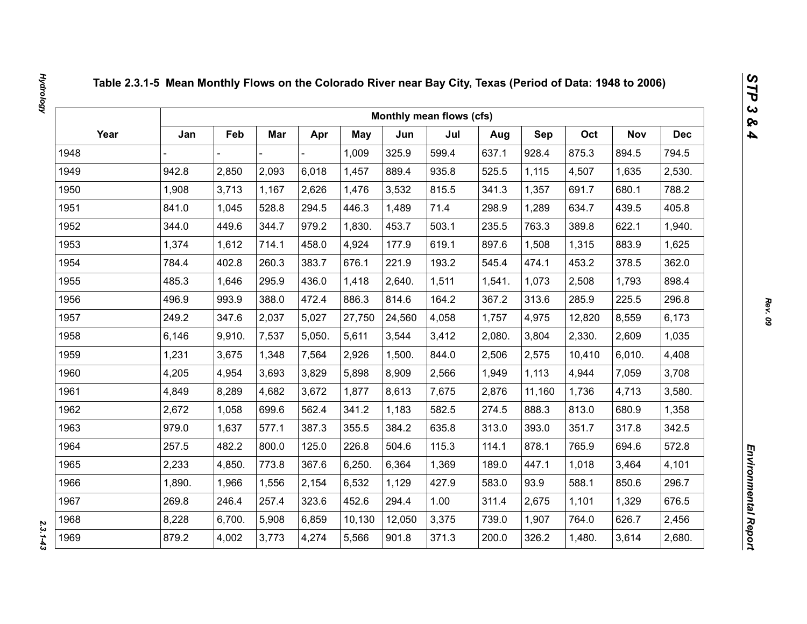|      |        |        |       |        |        |        | Monthly mean flows (cfs) |        |            |        |            |            |
|------|--------|--------|-------|--------|--------|--------|--------------------------|--------|------------|--------|------------|------------|
| Year | Jan    | Feb    | Mar   | Apr    | May    | Jun    | Jul                      | Aug    | <b>Sep</b> | Oct    | <b>Nov</b> | <b>Dec</b> |
| 1948 |        |        |       |        | 1,009  | 325.9  | 599.4                    | 637.1  | 928.4      | 875.3  | 894.5      | 794.5      |
| 1949 | 942.8  | 2,850  | 2,093 | 6,018  | 1,457  | 889.4  | 935.8                    | 525.5  | 1,115      | 4,507  | 1,635      | 2,530.     |
| 1950 | 1,908  | 3,713  | 1,167 | 2,626  | 1,476  | 3,532  | 815.5                    | 341.3  | 1,357      | 691.7  | 680.1      | 788.2      |
| 1951 | 841.0  | 1,045  | 528.8 | 294.5  | 446.3  | 1,489  | 71.4                     | 298.9  | 1,289      | 634.7  | 439.5      | 405.8      |
| 1952 | 344.0  | 449.6  | 344.7 | 979.2  | 1,830. | 453.7  | 503.1                    | 235.5  | 763.3      | 389.8  | 622.1      | 1,940.     |
| 1953 | 1,374  | 1,612  | 714.1 | 458.0  | 4,924  | 177.9  | 619.1                    | 897.6  | 1,508      | 1,315  | 883.9      | 1,625      |
| 1954 | 784.4  | 402.8  | 260.3 | 383.7  | 676.1  | 221.9  | 193.2                    | 545.4  | 474.1      | 453.2  | 378.5      | 362.0      |
| 1955 | 485.3  | 1,646  | 295.9 | 436.0  | 1,418  | 2,640. | 1,511                    | 1,541. | 1,073      | 2,508  | 1,793      | 898.4      |
| 1956 | 496.9  | 993.9  | 388.0 | 472.4  | 886.3  | 814.6  | 164.2                    | 367.2  | 313.6      | 285.9  | 225.5      | 296.8      |
| 1957 | 249.2  | 347.6  | 2,037 | 5,027  | 27,750 | 24,560 | 4,058                    | 1,757  | 4,975      | 12,820 | 8,559      | 6,173      |
| 1958 | 6,146  | 9,910. | 7,537 | 5,050. | 5,611  | 3,544  | 3,412                    | 2,080. | 3,804      | 2,330. | 2,609      | 1,035      |
| 1959 | 1,231  | 3,675  | 1,348 | 7,564  | 2,926  | 1,500. | 844.0                    | 2,506  | 2,575      | 10,410 | 6,010.     | 4,408      |
| 1960 | 4,205  | 4,954  | 3,693 | 3,829  | 5,898  | 8,909  | 2,566                    | 1,949  | 1,113      | 4,944  | 7,059      | 3,708      |
| 1961 | 4,849  | 8,289  | 4,682 | 3,672  | 1,877  | 8,613  | 7,675                    | 2,876  | 11,160     | 1,736  | 4,713      | 3,580.     |
| 1962 | 2,672  | 1,058  | 699.6 | 562.4  | 341.2  | 1,183  | 582.5                    | 274.5  | 888.3      | 813.0  | 680.9      | 1,358      |
| 1963 | 979.0  | 1,637  | 577.1 | 387.3  | 355.5  | 384.2  | 635.8                    | 313.0  | 393.0      | 351.7  | 317.8      | 342.5      |
| 1964 | 257.5  | 482.2  | 800.0 | 125.0  | 226.8  | 504.6  | 115.3                    | 114.1  | 878.1      | 765.9  | 694.6      | 572.8      |
| 1965 | 2,233  | 4,850. | 773.8 | 367.6  | 6,250. | 6,364  | 1,369                    | 189.0  | 447.1      | 1,018  | 3,464      | 4,101      |
| 1966 | 1,890. | 1,966  | 1,556 | 2,154  | 6,532  | 1,129  | 427.9                    | 583.0  | 93.9       | 588.1  | 850.6      | 296.7      |
| 1967 | 269.8  | 246.4  | 257.4 | 323.6  | 452.6  | 294.4  | 1.00                     | 311.4  | 2,675      | 1,101  | 1,329      | 676.5      |
| 1968 | 8,228  | 6,700. | 5,908 | 6,859  | 10,130 | 12,050 | 3,375                    | 739.0  | 1,907      | 764.0  | 626.7      | 2,456      |
| 1969 | 879.2  | 4,002  | 3,773 | 4,274  | 5,566  | 901.8  | 371.3                    | 200.0  | 326.2      | 1,480. | 3,614      | 2,680.     |

 $2.3.1 - 4.3$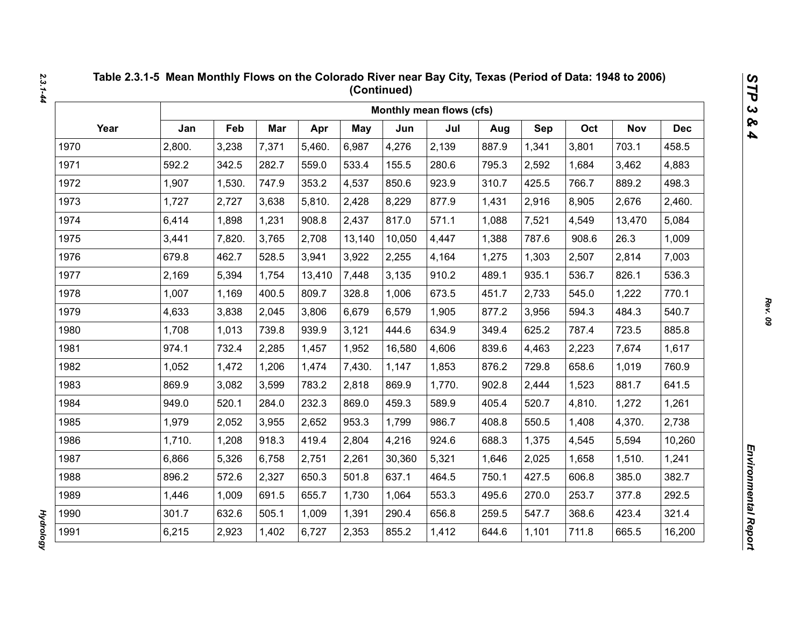|      |        |        |       |        |        |        | Monthly mean flows (cfs) |       |       |        |            |            |
|------|--------|--------|-------|--------|--------|--------|--------------------------|-------|-------|--------|------------|------------|
| Year | Jan    | Feb    | Mar   | Apr    | May    | Jun    | Jul                      | Aug   | Sep   | Oct    | <b>Nov</b> | <b>Dec</b> |
| 1970 | 2,800. | 3,238  | 7,371 | 5,460. | 6,987  | 4,276  | 2,139                    | 887.9 | 1,341 | 3,801  | 703.1      | 458.5      |
| 1971 | 592.2  | 342.5  | 282.7 | 559.0  | 533.4  | 155.5  | 280.6                    | 795.3 | 2,592 | 1,684  | 3,462      | 4,883      |
| 1972 | 1,907  | 1,530. | 747.9 | 353.2  | 4,537  | 850.6  | 923.9                    | 310.7 | 425.5 | 766.7  | 889.2      | 498.3      |
| 1973 | 1,727  | 2,727  | 3,638 | 5,810. | 2,428  | 8,229  | 877.9                    | 1,431 | 2,916 | 8,905  | 2,676      | 2,460.     |
| 1974 | 6,414  | 1,898  | 1,231 | 908.8  | 2,437  | 817.0  | 571.1                    | 1,088 | 7,521 | 4,549  | 13,470     | 5,084      |
| 1975 | 3,441  | 7,820. | 3,765 | 2,708  | 13,140 | 10,050 | 4,447                    | 1,388 | 787.6 | 908.6  | 26.3       | 1,009      |
| 1976 | 679.8  | 462.7  | 528.5 | 3,941  | 3,922  | 2,255  | 4,164                    | 1,275 | 1,303 | 2,507  | 2,814      | 7,003      |
| 1977 | 2,169  | 5,394  | 1,754 | 13,410 | 7,448  | 3,135  | 910.2                    | 489.1 | 935.1 | 536.7  | 826.1      | 536.3      |
| 1978 | 1,007  | 1,169  | 400.5 | 809.7  | 328.8  | 1,006  | 673.5                    | 451.7 | 2,733 | 545.0  | 1,222      | 770.1      |
| 1979 | 4,633  | 3,838  | 2,045 | 3,806  | 6,679  | 6,579  | 1,905                    | 877.2 | 3,956 | 594.3  | 484.3      | 540.7      |
| 1980 | 1,708  | 1,013  | 739.8 | 939.9  | 3,121  | 444.6  | 634.9                    | 349.4 | 625.2 | 787.4  | 723.5      | 885.8      |
| 1981 | 974.1  | 732.4  | 2,285 | 1,457  | 1,952  | 16,580 | 4,606                    | 839.6 | 4,463 | 2,223  | 7,674      | 1,617      |
| 1982 | 1,052  | 1,472  | 1,206 | 1,474  | 7,430. | 1,147  | 1,853                    | 876.2 | 729.8 | 658.6  | 1,019      | 760.9      |
| 1983 | 869.9  | 3,082  | 3,599 | 783.2  | 2,818  | 869.9  | 1,770.                   | 902.8 | 2,444 | 1,523  | 881.7      | 641.5      |
| 1984 | 949.0  | 520.1  | 284.0 | 232.3  | 869.0  | 459.3  | 589.9                    | 405.4 | 520.7 | 4,810. | 1,272      | 1,261      |
| 1985 | 1,979  | 2,052  | 3,955 | 2,652  | 953.3  | 1,799  | 986.7                    | 408.8 | 550.5 | 1,408  | 4,370.     | 2,738      |
| 1986 | 1,710. | 1,208  | 918.3 | 419.4  | 2,804  | 4,216  | 924.6                    | 688.3 | 1,375 | 4,545  | 5,594      | 10,260     |
| 1987 | 6,866  | 5,326  | 6,758 | 2,751  | 2,261  | 30,360 | 5,321                    | 1,646 | 2,025 | 1,658  | 1,510.     | 1,241      |
| 1988 | 896.2  | 572.6  | 2,327 | 650.3  | 501.8  | 637.1  | 464.5                    | 750.1 | 427.5 | 606.8  | 385.0      | 382.7      |
| 1989 | 1,446  | 1,009  | 691.5 | 655.7  | 1,730  | 1,064  | 553.3                    | 495.6 | 270.0 | 253.7  | 377.8      | 292.5      |
| 1990 | 301.7  | 632.6  | 505.1 | 1,009  | 1,391  | 290.4  | 656.8                    | 259.5 | 547.7 | 368.6  | 423.4      | 321.4      |
| 1991 | 6,215  | 2,923  | 1,402 | 6,727  | 2,353  | 855.2  | 1,412                    | 644.6 | 1,101 | 711.8  | 665.5      | 16,200     |

**Hydrology** *Hydrology*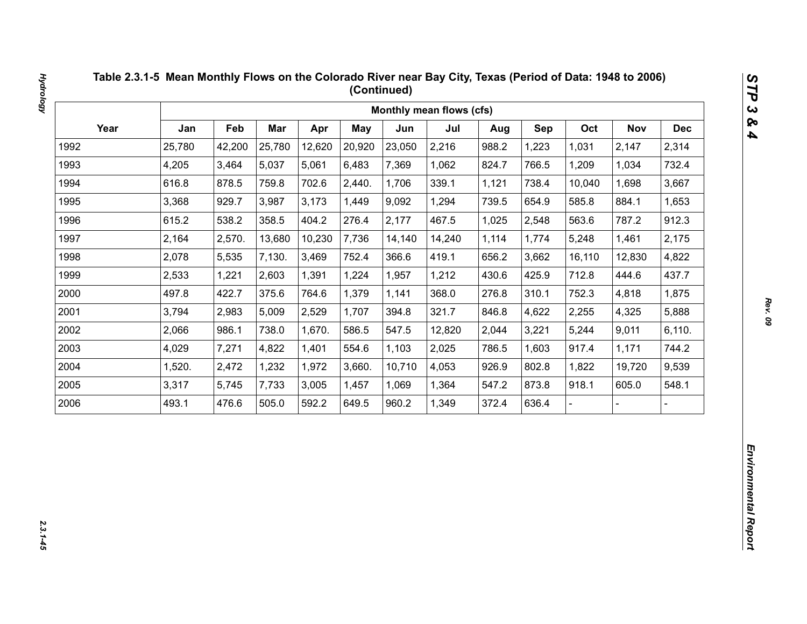|      |        |        |        |        |        |        | Monthly mean flows (cfs) |       |       |        |            |            |
|------|--------|--------|--------|--------|--------|--------|--------------------------|-------|-------|--------|------------|------------|
| Year | Jan    | Feb    | Mar    | Apr    | May    | Jun    | Jul                      | Aug   | Sep   | Oct    | <b>Nov</b> | <b>Dec</b> |
| 1992 | 25,780 | 42,200 | 25,780 | 12,620 | 20,920 | 23,050 | 2,216                    | 988.2 | 1,223 | 1,031  | 2,147      | 2,314      |
| 1993 | 4,205  | 3,464  | 5,037  | 5,061  | 6,483  | 7,369  | 1,062                    | 824.7 | 766.5 | 1,209  | 1,034      | 732.4      |
| 1994 | 616.8  | 878.5  | 759.8  | 702.6  | 2,440. | 1,706  | 339.1                    | 1,121 | 738.4 | 10,040 | 1,698      | 3,667      |
| 1995 | 3,368  | 929.7  | 3,987  | 3,173  | 1,449  | 9,092  | 1,294                    | 739.5 | 654.9 | 585.8  | 884.1      | 1,653      |
| 1996 | 615.2  | 538.2  | 358.5  | 404.2  | 276.4  | 2,177  | 467.5                    | 1,025 | 2,548 | 563.6  | 787.2      | 912.3      |
| 1997 | 2,164  | 2,570. | 13,680 | 10,230 | 7,736  | 14,140 | 14,240                   | 1,114 | 1,774 | 5,248  | 1,461      | 2,175      |
| 1998 | 2,078  | 5,535  | 7,130. | 3,469  | 752.4  | 366.6  | 419.1                    | 656.2 | 3,662 | 16,110 | 12,830     | 4,822      |
| 1999 | 2,533  | 1,221  | 2,603  | 1,391  | 1,224  | 1,957  | 1,212                    | 430.6 | 425.9 | 712.8  | 444.6      | 437.7      |
| 2000 | 497.8  | 422.7  | 375.6  | 764.6  | 1,379  | 1,141  | 368.0                    | 276.8 | 310.1 | 752.3  | 4,818      | 1,875      |
| 2001 | 3,794  | 2,983  | 5,009  | 2,529  | 1,707  | 394.8  | 321.7                    | 846.8 | 4,622 | 2,255  | 4,325      | 5,888      |
| 2002 | 2,066  | 986.1  | 738.0  | 1,670. | 586.5  | 547.5  | 12,820                   | 2,044 | 3,221 | 5,244  | 9,011      | 6,110.     |
| 2003 | 4,029  | 7,271  | 4,822  | 1,401  | 554.6  | 1,103  | 2,025                    | 786.5 | 1,603 | 917.4  | 1,171      | 744.2      |
| 2004 | 1,520. | 2,472  | 1,232  | 1,972  | 3,660. | 10,710 | 4,053                    | 926.9 | 802.8 | 1,822  | 19,720     | 9,539      |
| 2005 | 3,317  | 5,745  | 7,733  | 3,005  | 1,457  | 1,069  | 1,364                    | 547.2 | 873.8 | 918.1  | 605.0      | 548.1      |
| 2006 | 493.1  | 476.6  | 505.0  | 592.2  | 649.5  | 960.2  | 1,349                    | 372.4 | 636.4 |        |            |            |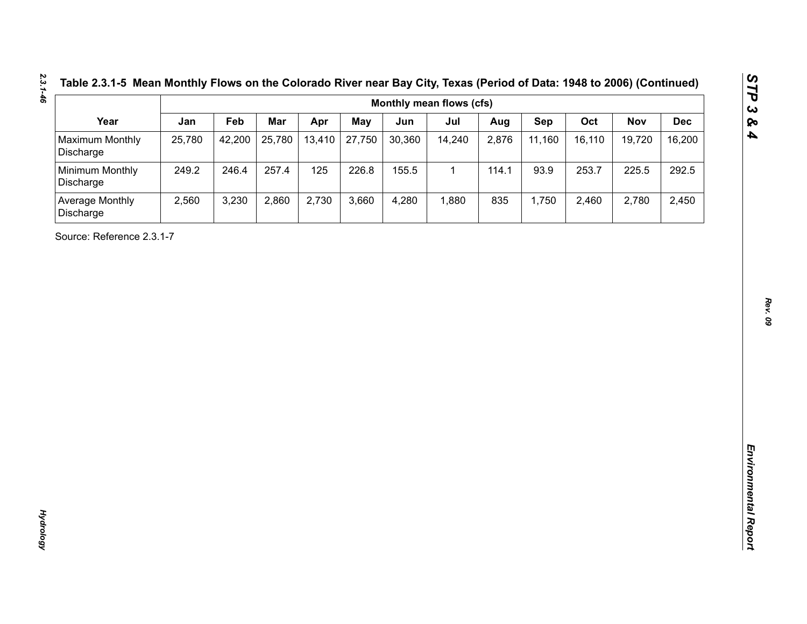| Table 2.3.1-5 Mean Monthly Flows on the Colorado River near Bay City, Texas (Period of Data: 1948 to 2006) (Continue |  |  |
|----------------------------------------------------------------------------------------------------------------------|--|--|
|----------------------------------------------------------------------------------------------------------------------|--|--|

| Year<br><b>Maximum Monthly</b><br>Discharge<br>Minimum Monthly<br>Discharge<br>Average Monthly<br>Discharge<br>Source: Reference 2.3.1-7 | Jan<br>25,780<br>249.2<br>2,560 | Feb<br>42,200<br>246.4<br>3,230 | Mar<br>25,780<br>257.4<br>2,860 | Apr<br>13,410<br>125<br>2,730 | <b>May</b><br>27,750<br>226.8<br>3,660 | Jun<br>30,360<br>155.5<br>4,280 | Jul<br>14,240<br>$\mathbf{1}$<br>1,880 | Aug<br>2,876<br>114.1<br>835 | Sep<br>11,160<br>93.9<br>1,750 | Oct<br>16,110<br>253.7<br>2,460 | <b>Nov</b><br>19,720<br>225.5<br>2,780 | <b>Dec</b><br>16,200<br>292.5<br>2,450 |
|------------------------------------------------------------------------------------------------------------------------------------------|---------------------------------|---------------------------------|---------------------------------|-------------------------------|----------------------------------------|---------------------------------|----------------------------------------|------------------------------|--------------------------------|---------------------------------|----------------------------------------|----------------------------------------|
|                                                                                                                                          |                                 |                                 |                                 |                               |                                        |                                 |                                        |                              |                                |                                 |                                        |                                        |
|                                                                                                                                          |                                 |                                 |                                 |                               |                                        |                                 |                                        |                              |                                |                                 |                                        |                                        |
|                                                                                                                                          |                                 |                                 |                                 |                               |                                        |                                 |                                        |                              |                                |                                 |                                        |                                        |
|                                                                                                                                          |                                 |                                 |                                 |                               |                                        |                                 |                                        |                              |                                |                                 |                                        |                                        |
|                                                                                                                                          |                                 |                                 |                                 |                               |                                        |                                 |                                        |                              |                                |                                 |                                        |                                        |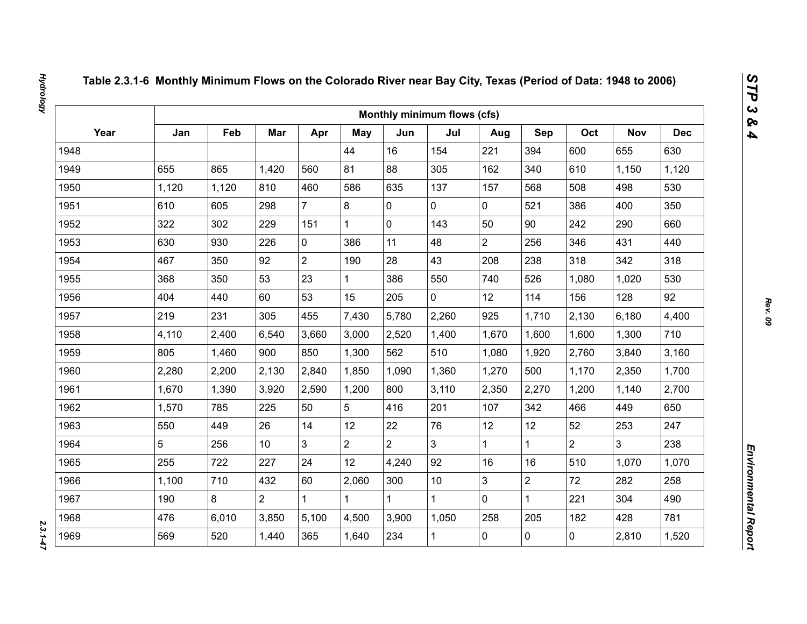|      |       |       |                 |                |                |                | Monthly minimum flows (cfs) |                |                |                |                |            |
|------|-------|-------|-----------------|----------------|----------------|----------------|-----------------------------|----------------|----------------|----------------|----------------|------------|
| Year | Jan   | Feb   | Mar             | Apr            | May            | Jun            | Jul                         | Aug            | Sep            | Oct            | <b>Nov</b>     | <b>Dec</b> |
| 1948 |       |       |                 |                | 44             | 16             | 154                         | 221            | 394            | 600            | 655            | 630        |
| 1949 | 655   | 865   | 1,420           | 560            | 81             | 88             | 305                         | 162            | 340            | 610            | 1,150          | 1,120      |
| 1950 | 1,120 | 1,120 | 810             | 460            | 586            | 635            | 137                         | 157            | 568            | 508            | 498            | 530        |
| 1951 | 610   | 605   | 298             | $\overline{7}$ | 8              | $\mathbf 0$    | 0                           | $\mathbf 0$    | 521            | 386            | 400            | 350        |
| 1952 | 322   | 302   | 229             | 151            | $\mathbf{1}$   | $\mathbf 0$    | 143                         | 50             | 90             | 242            | 290            | 660        |
| 1953 | 630   | 930   | 226             | $\mathbf 0$    | 386            | 11             | 48                          | $\overline{2}$ | 256            | 346            | 431            | 440        |
| 1954 | 467   | 350   | 92              | $\overline{2}$ | 190            | 28             | 43                          | 208            | 238            | 318            | 342            | 318        |
| 1955 | 368   | 350   | 53              | 23             | $\mathbf{1}$   | 386            | 550                         | 740            | 526            | 1,080          | 1,020          | 530        |
| 1956 | 404   | 440   | 60              | 53             | 15             | 205            | $\overline{0}$              | 12             | 114            | 156            | 128            | 92         |
| 1957 | 219   | 231   | 305             | 455            | 7,430          | 5,780          | 2,260                       | 925            | 1,710          | 2,130          | 6,180          | 4,400      |
| 1958 | 4,110 | 2,400 | 6,540           | 3,660          | 3,000          | 2,520          | 1,400                       | 1,670          | 1,600          | 1,600          | 1,300          | 710        |
| 1959 | 805   | 1,460 | 900             | 850            | 1,300          | 562            | 510                         | 1,080          | 1,920          | 2,760          | 3,840          | 3,160      |
| 1960 | 2,280 | 2,200 | 2,130           | 2,840          | 1,850          | 1,090          | 1,360                       | 1,270          | 500            | 1,170          | 2,350          | 1,700      |
| 1961 | 1,670 | 1,390 | 3,920           | 2,590          | 1,200          | 800            | 3,110                       | 2,350          | 2,270          | 1,200          | 1,140          | 2,700      |
| 1962 | 1,570 | 785   | 225             | 50             | 5              | 416            | 201                         | 107            | 342            | 466            | 449            | 650        |
| 1963 | 550   | 449   | 26              | 14             | 12             | 22             | 76                          | 12             | 12             | 52             | 253            | 247        |
| 1964 | 5     | 256   | 10 <sup>°</sup> | $\overline{3}$ | $\overline{2}$ | $\overline{2}$ | $\overline{3}$              | $\mathbf{1}$   | $\mathbf{1}$   | $\overline{2}$ | $\overline{3}$ | 238        |
| 1965 | 255   | 722   | 227             | 24             | 12             | 4,240          | 92                          | 16             | 16             | 510            | 1,070          | 1,070      |
| 1966 | 1,100 | 710   | 432             | 60             | 2,060          | 300            | 10                          | 3              | $\overline{2}$ | 72             | 282            | 258        |
| 1967 | 190   | 8     | $\overline{2}$  | $\mathbf 1$    | $\mathbf{1}$   |                | $\mathbf{1}$                | $\mathbf 0$    | $\mathbf{1}$   | 221            | 304            | 490        |
| 1968 | 476   | 6,010 | 3,850           | 5,100          | 4,500          | 3,900          | 1,050                       | 258            | 205            | 182            | 428            | 781        |
| 1969 | 569   | 520   | 1,440           | 365            | 1,640          | 234            | $\mathbf{1}$                | 0              | $\mathbf 0$    | $\mathbf 0$    | 2,810          | 1,520      |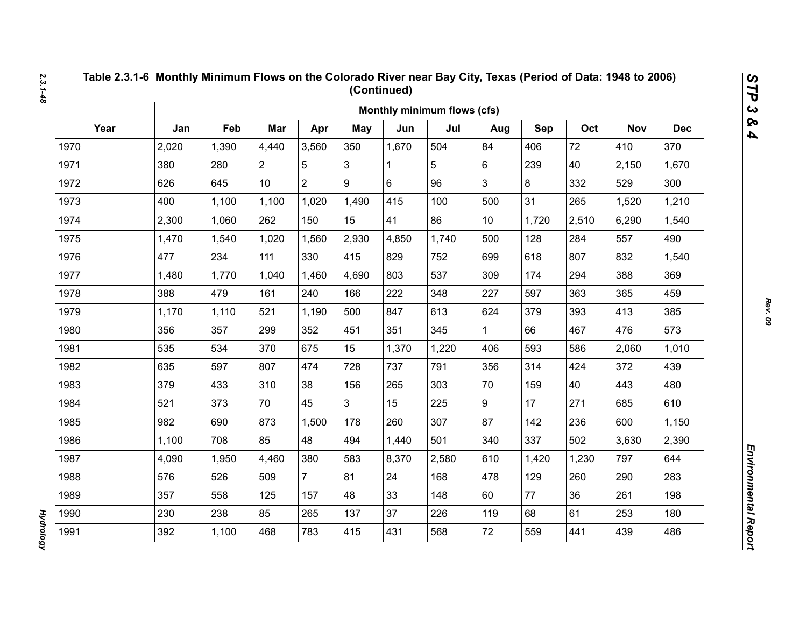|      |       |       |                |                |                |       | Monthly minimum flows (cfs) |                 |       |       |            |            |
|------|-------|-------|----------------|----------------|----------------|-------|-----------------------------|-----------------|-------|-------|------------|------------|
| Year | Jan   | Feb   | Mar            | Apr            | May            | Jun   | Jul                         | Aug             | Sep   | Oct   | <b>Nov</b> | <b>Dec</b> |
| 1970 | 2,020 | 1,390 | 4,440          | 3,560          | 350            | 1,670 | 504                         | 84              | 406   | 72    | 410        | 370        |
| 1971 | 380   | 280   | $\overline{2}$ | 5              | 3              | 1     | 5                           | 6               | 239   | 40    | 2,150      | 1,670      |
| 1972 | 626   | 645   | 10             | $\overline{2}$ | 9              | 6     | 96                          | 3               | 8     | 332   | 529        | 300        |
| 1973 | 400   | 1,100 | 1,100          | 1,020          | 1,490          | 415   | 100                         | 500             | 31    | 265   | 1,520      | 1,210      |
| 1974 | 2,300 | 1,060 | 262            | 150            | 15             | 41    | 86                          | 10 <sup>1</sup> | 1,720 | 2,510 | 6,290      | 1,540      |
| 1975 | 1,470 | 1,540 | 1,020          | 1,560          | 2,930          | 4,850 | 1,740                       | 500             | 128   | 284   | 557        | 490        |
| 1976 | 477   | 234   | 111            | 330            | 415            | 829   | 752                         | 699             | 618   | 807   | 832        | 1,540      |
| 1977 | 1,480 | 1,770 | 1,040          | 1,460          | 4,690          | 803   | 537                         | 309             | 174   | 294   | 388        | 369        |
| 1978 | 388   | 479   | 161            | 240            | 166            | 222   | 348                         | 227             | 597   | 363   | 365        | 459        |
| 1979 | 1,170 | 1,110 | 521            | 1,190          | 500            | 847   | 613                         | 624             | 379   | 393   | 413        | 385        |
| 1980 | 356   | 357   | 299            | 352            | 451            | 351   | 345                         | $\mathbf{1}$    | 66    | 467   | 476        | 573        |
| 1981 | 535   | 534   | 370            | 675            | 15             | 1,370 | 1,220                       | 406             | 593   | 586   | 2,060      | 1,010      |
| 1982 | 635   | 597   | 807            | 474            | 728            | 737   | 791                         | 356             | 314   | 424   | 372        | 439        |
| 1983 | 379   | 433   | 310            | 38             | 156            | 265   | 303                         | 70              | 159   | 40    | 443        | 480        |
| 1984 | 521   | 373   | 70             | 45             | 3 <sup>1</sup> | 15    | 225                         | 9               | 17    | 271   | 685        | 610        |
| 1985 | 982   | 690   | 873            | 1,500          | 178            | 260   | 307                         | 87              | 142   | 236   | 600        | 1,150      |
| 1986 | 1,100 | 708   | 85             | 48             | 494            | 1,440 | 501                         | 340             | 337   | 502   | 3,630      | 2,390      |
| 1987 | 4,090 | 1,950 | 4,460          | 380            | 583            | 8,370 | 2,580                       | 610             | 1,420 | 1,230 | 797        | 644        |
| 1988 | 576   | 526   | 509            | $\overline{7}$ | 81             | 24    | 168                         | 478             | 129   | 260   | 290        | 283        |
| 1989 | 357   | 558   | 125            | 157            | 48             | 33    | 148                         | 60              | 77    | 36    | 261        | 198        |
| 1990 | 230   | 238   | 85             | 265            | 137            | 37    | 226                         | 119             | 68    | 61    | 253        | 180        |
| 1991 | 392   | 1,100 | 468            | 783            | 415            | 431   | 568                         | 72              | 559   | 441   | 439        | 486        |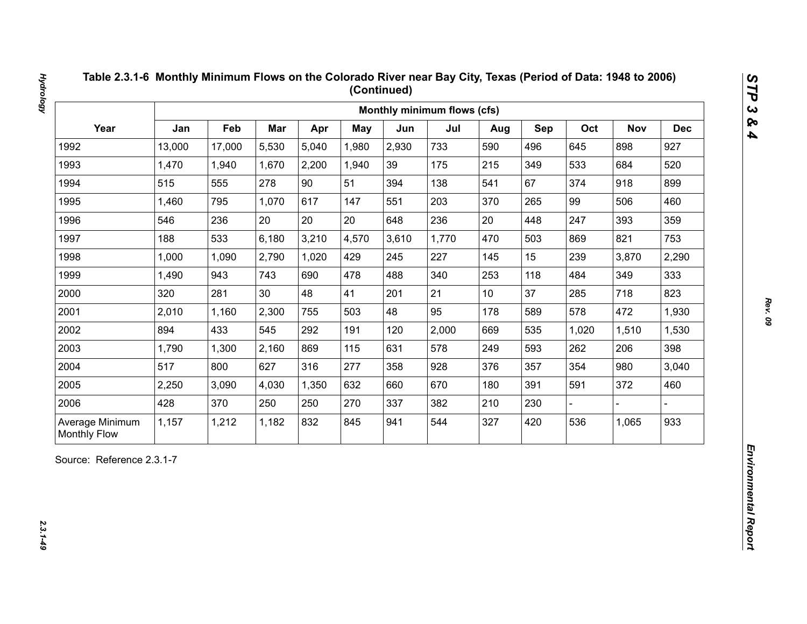| Year<br>Jan<br>Feb<br>Mar<br>Oct<br>Apr<br><b>May</b><br>Jun<br>Jul<br>Sep<br><b>Nov</b><br>Aug<br>13,000<br>5,530<br>5,040<br>2,930<br>733<br>496<br>898<br>1992<br>17,000<br>1,980<br>590<br>645<br>1993<br>1,470<br>2,200<br>39<br>175<br>215<br>349<br>533<br>684<br>1,940<br>1,670<br>1,940<br>90<br>67<br>1994<br>515<br>555<br>278<br>51<br>138<br>374<br>918<br>394<br>541<br>1995<br>1,460<br>795<br>1,070<br>617<br>203<br>265<br>99<br>506<br>147<br>551<br>370<br>20<br>20<br>20<br>236<br>20<br>393<br>1996<br>546<br>236<br>448<br>247<br>648<br>1997<br>188<br>533<br>6,180<br>3,210<br>4,570<br>3,610<br>1,770<br>503<br>821<br>470<br>869<br>2,790<br>1,020<br>227<br>15<br>239<br>1998<br>1,000<br>1,090<br>429<br>245<br>145<br>3,870<br>1999<br>1,490<br>943<br>743<br>690<br>478<br>488<br>340<br>253<br>118<br>349<br>484<br>21<br>37<br>2000<br>281<br>30<br>48<br>41<br>285<br>718<br>320<br>201<br>10 <sub>1</sub><br>2001<br>2,300<br>48<br>95<br>178<br>589<br>578<br>472<br>2,010<br>1,160<br>755<br>503<br>2002<br>894<br>433<br>545<br>292<br>2,000<br>535<br>191<br>120<br>669<br>1,020<br>1,510<br>2003<br>869<br>578<br>593<br>1,790<br>1,300<br>2,160<br>115<br>631<br>249<br>262<br>206<br>2004<br>517<br>277<br>354<br>980<br>800<br>627<br>316<br>928<br>357<br>358<br>376<br>2005<br>670<br>372<br>2,250<br>3,090<br>4,030<br>1,350<br>632<br>180<br>391<br>591<br>660<br>2006<br>428<br>370<br>250<br>250<br>270<br>337<br>382<br>210<br>230 |  |  |  | Monthly minimum flows (cfs) |  |  |            |
|-------------------------------------------------------------------------------------------------------------------------------------------------------------------------------------------------------------------------------------------------------------------------------------------------------------------------------------------------------------------------------------------------------------------------------------------------------------------------------------------------------------------------------------------------------------------------------------------------------------------------------------------------------------------------------------------------------------------------------------------------------------------------------------------------------------------------------------------------------------------------------------------------------------------------------------------------------------------------------------------------------------------------------------------------------------------------------------------------------------------------------------------------------------------------------------------------------------------------------------------------------------------------------------------------------------------------------------------------------------------------------------------------------------------------------------------------------------------------------------|--|--|--|-----------------------------|--|--|------------|
|                                                                                                                                                                                                                                                                                                                                                                                                                                                                                                                                                                                                                                                                                                                                                                                                                                                                                                                                                                                                                                                                                                                                                                                                                                                                                                                                                                                                                                                                                     |  |  |  |                             |  |  | <b>Dec</b> |
|                                                                                                                                                                                                                                                                                                                                                                                                                                                                                                                                                                                                                                                                                                                                                                                                                                                                                                                                                                                                                                                                                                                                                                                                                                                                                                                                                                                                                                                                                     |  |  |  |                             |  |  | 927        |
|                                                                                                                                                                                                                                                                                                                                                                                                                                                                                                                                                                                                                                                                                                                                                                                                                                                                                                                                                                                                                                                                                                                                                                                                                                                                                                                                                                                                                                                                                     |  |  |  |                             |  |  | 520        |
|                                                                                                                                                                                                                                                                                                                                                                                                                                                                                                                                                                                                                                                                                                                                                                                                                                                                                                                                                                                                                                                                                                                                                                                                                                                                                                                                                                                                                                                                                     |  |  |  |                             |  |  | 899        |
|                                                                                                                                                                                                                                                                                                                                                                                                                                                                                                                                                                                                                                                                                                                                                                                                                                                                                                                                                                                                                                                                                                                                                                                                                                                                                                                                                                                                                                                                                     |  |  |  |                             |  |  | 460        |
|                                                                                                                                                                                                                                                                                                                                                                                                                                                                                                                                                                                                                                                                                                                                                                                                                                                                                                                                                                                                                                                                                                                                                                                                                                                                                                                                                                                                                                                                                     |  |  |  |                             |  |  | 359        |
|                                                                                                                                                                                                                                                                                                                                                                                                                                                                                                                                                                                                                                                                                                                                                                                                                                                                                                                                                                                                                                                                                                                                                                                                                                                                                                                                                                                                                                                                                     |  |  |  |                             |  |  | 753        |
|                                                                                                                                                                                                                                                                                                                                                                                                                                                                                                                                                                                                                                                                                                                                                                                                                                                                                                                                                                                                                                                                                                                                                                                                                                                                                                                                                                                                                                                                                     |  |  |  |                             |  |  | 2,290      |
|                                                                                                                                                                                                                                                                                                                                                                                                                                                                                                                                                                                                                                                                                                                                                                                                                                                                                                                                                                                                                                                                                                                                                                                                                                                                                                                                                                                                                                                                                     |  |  |  |                             |  |  | 333        |
|                                                                                                                                                                                                                                                                                                                                                                                                                                                                                                                                                                                                                                                                                                                                                                                                                                                                                                                                                                                                                                                                                                                                                                                                                                                                                                                                                                                                                                                                                     |  |  |  |                             |  |  | 823        |
|                                                                                                                                                                                                                                                                                                                                                                                                                                                                                                                                                                                                                                                                                                                                                                                                                                                                                                                                                                                                                                                                                                                                                                                                                                                                                                                                                                                                                                                                                     |  |  |  |                             |  |  | 1,930      |
|                                                                                                                                                                                                                                                                                                                                                                                                                                                                                                                                                                                                                                                                                                                                                                                                                                                                                                                                                                                                                                                                                                                                                                                                                                                                                                                                                                                                                                                                                     |  |  |  |                             |  |  | 1,530      |
|                                                                                                                                                                                                                                                                                                                                                                                                                                                                                                                                                                                                                                                                                                                                                                                                                                                                                                                                                                                                                                                                                                                                                                                                                                                                                                                                                                                                                                                                                     |  |  |  |                             |  |  | 398        |
|                                                                                                                                                                                                                                                                                                                                                                                                                                                                                                                                                                                                                                                                                                                                                                                                                                                                                                                                                                                                                                                                                                                                                                                                                                                                                                                                                                                                                                                                                     |  |  |  |                             |  |  | 3,040      |
|                                                                                                                                                                                                                                                                                                                                                                                                                                                                                                                                                                                                                                                                                                                                                                                                                                                                                                                                                                                                                                                                                                                                                                                                                                                                                                                                                                                                                                                                                     |  |  |  |                             |  |  | 460        |
|                                                                                                                                                                                                                                                                                                                                                                                                                                                                                                                                                                                                                                                                                                                                                                                                                                                                                                                                                                                                                                                                                                                                                                                                                                                                                                                                                                                                                                                                                     |  |  |  |                             |  |  |            |
| 832<br>544<br>420<br>536<br>Average Minimum<br>1,157<br>1,212<br>1,182<br>845<br>327<br>1,065<br>941<br><b>Monthly Flow</b>                                                                                                                                                                                                                                                                                                                                                                                                                                                                                                                                                                                                                                                                                                                                                                                                                                                                                                                                                                                                                                                                                                                                                                                                                                                                                                                                                         |  |  |  |                             |  |  | 933        |

 $2.3.1 - 49$ 

*Hydrology 2.3.1-49*

**Hydrology**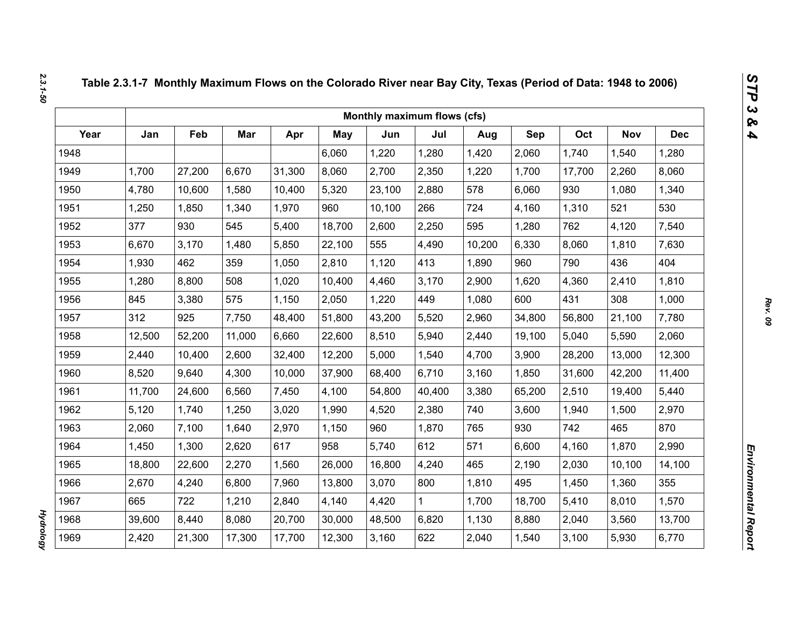|      |        |        |        |        |            | Monthly maximum flows (cfs) |        |        |        |        |            |            |
|------|--------|--------|--------|--------|------------|-----------------------------|--------|--------|--------|--------|------------|------------|
| Year | Jan    | Feb    | Mar    | Apr    | <b>May</b> | Jun                         | Jul    | Aug    | Sep    | Oct    | <b>Nov</b> | <b>Dec</b> |
| 1948 |        |        |        |        | 6,060      | 1,220                       | 1,280  | 1,420  | 2,060  | 1,740  | 1,540      | 1,280      |
| 1949 | 1,700  | 27,200 | 6,670  | 31,300 | 8,060      | 2,700                       | 2,350  | 1,220  | 1,700  | 17,700 | 2,260      | 8,060      |
| 1950 | 4,780  | 10,600 | 1,580  | 10,400 | 5,320      | 23,100                      | 2,880  | 578    | 6,060  | 930    | 1,080      | 1,340      |
| 1951 | 1,250  | 1,850  | 1,340  | 1,970  | 960        | 10,100                      | 266    | 724    | 4,160  | 1,310  | 521        | 530        |
| 1952 | 377    | 930    | 545    | 5,400  | 18,700     | 2,600                       | 2,250  | 595    | 1,280  | 762    | 4,120      | 7,540      |
| 1953 | 6,670  | 3,170  | 1,480  | 5,850  | 22,100     | 555                         | 4,490  | 10,200 | 6,330  | 8,060  | 1,810      | 7,630      |
| 1954 | 1,930  | 462    | 359    | 1,050  | 2,810      | 1,120                       | 413    | 1,890  | 960    | 790    | 436        | 404        |
| 1955 | 1,280  | 8,800  | 508    | 1,020  | 10,400     | 4,460                       | 3,170  | 2,900  | 1,620  | 4,360  | 2,410      | 1,810      |
| 1956 | 845    | 3,380  | 575    | 1,150  | 2,050      | 1,220                       | 449    | 1,080  | 600    | 431    | 308        | 1,000      |
| 1957 | 312    | 925    | 7,750  | 48,400 | 51,800     | 43,200                      | 5,520  | 2,960  | 34,800 | 56,800 | 21,100     | 7,780      |
| 1958 | 12,500 | 52,200 | 11,000 | 6,660  | 22,600     | 8,510                       | 5,940  | 2,440  | 19,100 | 5,040  | 5,590      | 2,060      |
| 1959 | 2,440  | 10,400 | 2,600  | 32,400 | 12,200     | 5,000                       | 1,540  | 4,700  | 3,900  | 28,200 | 13,000     | 12,300     |
| 1960 | 8,520  | 9,640  | 4,300  | 10,000 | 37,900     | 68,400                      | 6,710  | 3,160  | 1,850  | 31,600 | 42,200     | 11,400     |
| 1961 | 11,700 | 24,600 | 6,560  | 7,450  | 4,100      | 54,800                      | 40,400 | 3,380  | 65,200 | 2,510  | 19,400     | 5,440      |
| 1962 | 5,120  | 1,740  | 1,250  | 3,020  | 1,990      | 4,520                       | 2,380  | 740    | 3,600  | 1,940  | 1,500      | 2,970      |
| 1963 | 2,060  | 7,100  | 1,640  | 2,970  | 1,150      | 960                         | 1,870  | 765    | 930    | 742    | 465        | 870        |
| 1964 | 1,450  | 1,300  | 2,620  | 617    | 958        | 5,740                       | 612    | 571    | 6,600  | 4,160  | 1,870      | 2,990      |
| 1965 | 18,800 | 22,600 | 2,270  | 1,560  | 26,000     | 16,800                      | 4,240  | 465    | 2,190  | 2,030  | 10,100     | 14,100     |
| 1966 | 2,670  | 4,240  | 6,800  | 7,960  | 13,800     | 3,070                       | 800    | 1,810  | 495    | 1,450  | 1,360      | 355        |
| 1967 | 665    | 722    | 1,210  | 2,840  | 4,140      | 4,420                       | 1      | 1,700  | 18,700 | 5,410  | 8,010      | 1,570      |
| 1968 | 39,600 | 8,440  | 8,080  | 20,700 | 30,000     | 48,500                      | 6,820  | 1,130  | 8,880  | 2,040  | 3,560      | 13,700     |
| 1969 | 2,420  | 21,300 | 17,300 | 17,700 | 12,300     | 3,160                       | 622    | 2,040  | 1,540  | 3,100  | 5,930      | 6,770      |

*Hydrology* 

**Hydrology**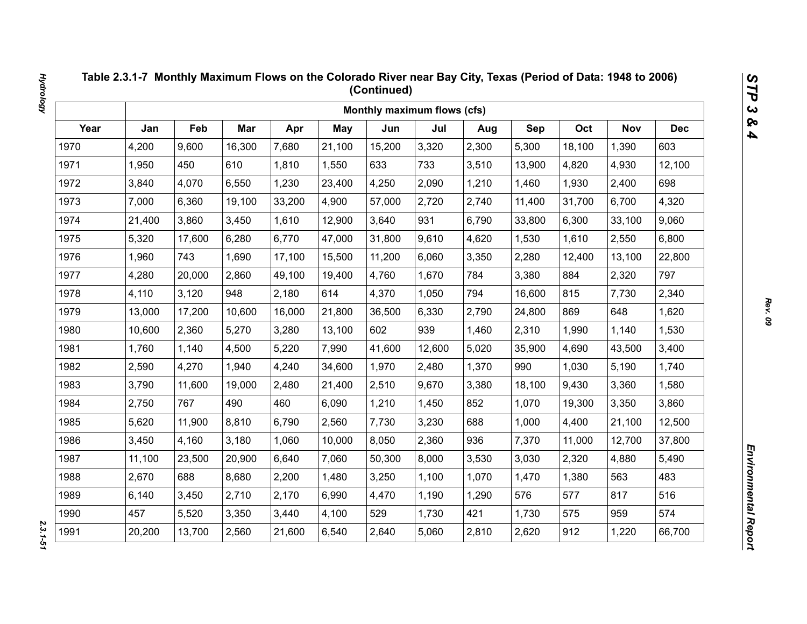|      |        |        |        |        |            | Monthly maximum flows (cfs) |        |       |        |        |            |            |
|------|--------|--------|--------|--------|------------|-----------------------------|--------|-------|--------|--------|------------|------------|
| Year | Jan    | Feb    | Mar    | Apr    | <b>May</b> | Jun                         | Jul    | Aug   | Sep    | Oct    | <b>Nov</b> | <b>Dec</b> |
| 1970 | 4,200  | 9,600  | 16,300 | 7,680  | 21,100     | 15,200                      | 3,320  | 2,300 | 5,300  | 18,100 | 1,390      | 603        |
| 1971 | 1,950  | 450    | 610    | 1,810  | 1,550      | 633                         | 733    | 3,510 | 13,900 | 4,820  | 4,930      | 12,100     |
| 1972 | 3,840  | 4,070  | 6,550  | 1,230  | 23,400     | 4,250                       | 2,090  | 1,210 | 1,460  | 1,930  | 2,400      | 698        |
| 1973 | 7,000  | 6,360  | 19,100 | 33,200 | 4,900      | 57,000                      | 2,720  | 2,740 | 11,400 | 31,700 | 6,700      | 4,320      |
| 1974 | 21,400 | 3,860  | 3,450  | 1,610  | 12,900     | 3,640                       | 931    | 6,790 | 33,800 | 6,300  | 33,100     | 9,060      |
| 1975 | 5,320  | 17,600 | 6,280  | 6,770  | 47,000     | 31,800                      | 9,610  | 4,620 | 1,530  | 1,610  | 2,550      | 6,800      |
| 1976 | 1,960  | 743    | 1,690  | 17,100 | 15,500     | 11,200                      | 6,060  | 3,350 | 2,280  | 12,400 | 13,100     | 22,800     |
| 1977 | 4,280  | 20,000 | 2,860  | 49,100 | 19,400     | 4,760                       | 1,670  | 784   | 3,380  | 884    | 2,320      | 797        |
| 1978 | 4,110  | 3,120  | 948    | 2,180  | 614        | 4,370                       | 1,050  | 794   | 16,600 | 815    | 7,730      | 2,340      |
| 1979 | 13,000 | 17,200 | 10,600 | 16,000 | 21,800     | 36,500                      | 6,330  | 2,790 | 24,800 | 869    | 648        | 1,620      |
| 1980 | 10,600 | 2,360  | 5,270  | 3,280  | 13,100     | 602                         | 939    | 1,460 | 2,310  | 1,990  | 1,140      | 1,530      |
| 1981 | 1,760  | 1,140  | 4,500  | 5,220  | 7,990      | 41,600                      | 12,600 | 5,020 | 35,900 | 4,690  | 43,500     | 3,400      |
| 1982 | 2,590  | 4,270  | 1,940  | 4,240  | 34,600     | 1,970                       | 2,480  | 1,370 | 990    | 1,030  | 5,190      | 1,740      |
| 1983 | 3,790  | 11,600 | 19,000 | 2,480  | 21,400     | 2,510                       | 9,670  | 3,380 | 18,100 | 9,430  | 3,360      | 1,580      |
| 1984 | 2,750  | 767    | 490    | 460    | 6,090      | 1,210                       | 1,450  | 852   | 1,070  | 19,300 | 3,350      | 3,860      |
| 1985 | 5,620  | 11,900 | 8,810  | 6,790  | 2,560      | 7,730                       | 3,230  | 688   | 1,000  | 4,400  | 21,100     | 12,500     |
| 1986 | 3,450  | 4,160  | 3,180  | 1,060  | 10,000     | 8,050                       | 2,360  | 936   | 7,370  | 11,000 | 12,700     | 37,800     |
| 1987 | 11,100 | 23,500 | 20,900 | 6,640  | 7,060      | 50,300                      | 8,000  | 3,530 | 3,030  | 2,320  | 4,880      | 5,490      |
| 1988 | 2,670  | 688    | 8,680  | 2,200  | 1,480      | 3,250                       | 1,100  | 1,070 | 1,470  | 1,380  | 563        | 483        |
| 1989 | 6,140  | 3,450  | 2,710  | 2,170  | 6,990      | 4,470                       | 1,190  | 1,290 | 576    | 577    | 817        | 516        |
| 1990 | 457    | 5,520  | 3,350  | 3,440  | 4,100      | 529                         | 1,730  | 421   | 1,730  | 575    | 959        | 574        |
| 1991 | 20,200 | 13,700 | 2,560  | 21,600 | 6,540      | 2,640                       | 5,060  | 2,810 | 2,620  | 912    | 1,220      | 66,700     |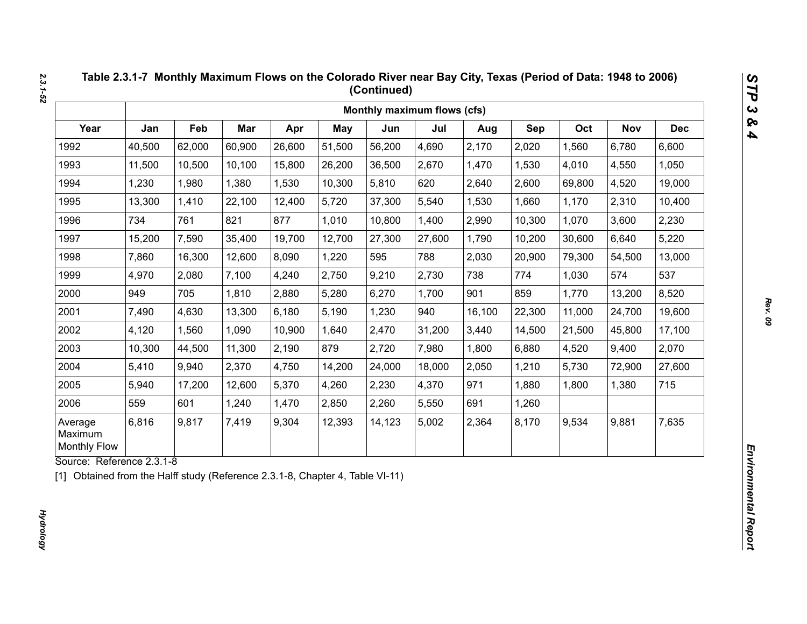|                                           |        |        |        |        |            | Monthly maximum flows (cfs) |        |        |        |        |            |            |
|-------------------------------------------|--------|--------|--------|--------|------------|-----------------------------|--------|--------|--------|--------|------------|------------|
| Year                                      | Jan    | Feb    | Mar    | Apr    | <b>May</b> | Jun                         | Jul    | Aug    | Sep    | Oct    | <b>Nov</b> | <b>Dec</b> |
| 1992                                      | 40,500 | 62,000 | 60,900 | 26,600 | 51,500     | 56,200                      | 4,690  | 2,170  | 2,020  | 1,560  | 6,780      | 6,600      |
| 1993                                      | 11,500 | 10,500 | 10,100 | 15,800 | 26,200     | 36,500                      | 2,670  | 1,470  | 1,530  | 4,010  | 4,550      | 1,050      |
| 1994                                      | 1,230  | 1,980  | 1,380  | 1,530  | 10,300     | 5,810                       | 620    | 2,640  | 2,600  | 69,800 | 4,520      | 19,000     |
| 1995                                      | 13,300 | 1,410  | 22,100 | 12,400 | 5,720      | 37,300                      | 5,540  | 1,530  | 1,660  | 1,170  | 2,310      | 10,400     |
| 1996                                      | 734    | 761    | 821    | 877    | 1,010      | 10,800                      | 1,400  | 2,990  | 10,300 | 1,070  | 3,600      | 2,230      |
| 1997                                      | 15,200 | 7,590  | 35,400 | 19,700 | 12,700     | 27,300                      | 27,600 | 1,790  | 10,200 | 30,600 | 6,640      | 5,220      |
| 1998                                      | 7,860  | 16,300 | 12,600 | 8,090  | 1,220      | 595                         | 788    | 2,030  | 20,900 | 79,300 | 54,500     | 13,000     |
| 1999                                      | 4,970  | 2,080  | 7,100  | 4,240  | 2,750      | 9,210                       | 2,730  | 738    | 774    | 1,030  | 574        | 537        |
| 2000                                      | 949    | 705    | 1,810  | 2,880  | 5,280      | 6,270                       | 1,700  | 901    | 859    | 1,770  | 13,200     | 8,520      |
| 2001                                      | 7,490  | 4,630  | 13,300 | 6,180  | 5,190      | 1,230                       | 940    | 16,100 | 22,300 | 11,000 | 24,700     | 19,600     |
| 2002                                      | 4,120  | 1,560  | 1,090  | 10,900 | 1,640      | 2,470                       | 31,200 | 3,440  | 14,500 | 21,500 | 45,800     | 17,100     |
| 2003                                      | 10,300 | 44,500 | 11,300 | 2,190  | 879        | 2,720                       | 7,980  | 1,800  | 6,880  | 4,520  | 9,400      | 2,070      |
| 2004                                      | 5,410  | 9,940  | 2,370  | 4,750  | 14,200     | 24,000                      | 18,000 | 2,050  | 1,210  | 5,730  | 72,900     | 27,600     |
| 2005                                      | 5,940  | 17,200 | 12,600 | 5,370  | 4,260      | 2,230                       | 4,370  | 971    | 1,880  | 1,800  | 1,380      | 715        |
| 2006                                      | 559    | 601    | 1,240  | 1,470  | 2,850      | 2,260                       | 5,550  | 691    | 1,260  |        |            |            |
| Average<br>Maximum<br><b>Monthly Flow</b> | 6,816  | 9,817  | 7,419  | 9,304  | 12,393     | 14,123                      | 5,002  | 2,364  | 8,170  | 9,534  | 9,881      | 7,635      |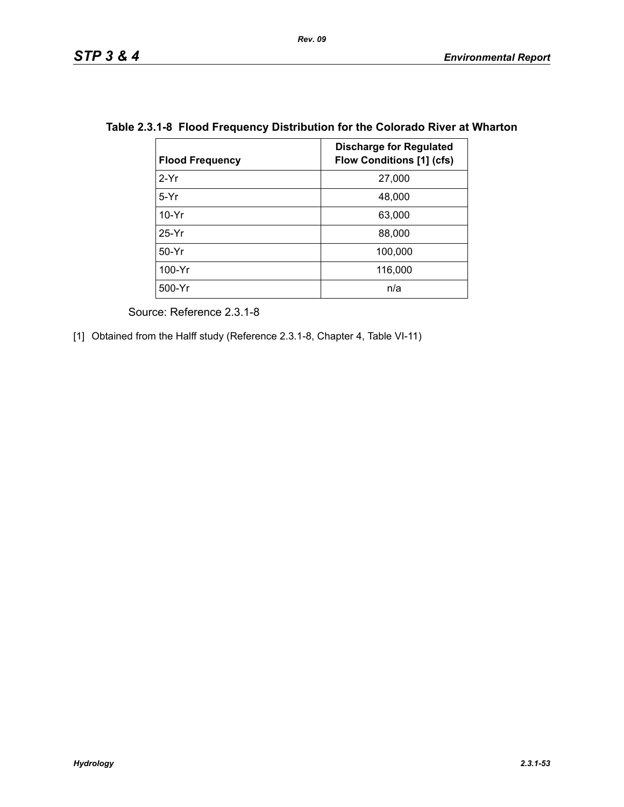| <b>Flood Frequency</b> | <b>Discharge for Regulated</b><br><b>Flow Conditions [1] (cfs)</b> |
|------------------------|--------------------------------------------------------------------|
| $2-Yr$                 | 27,000                                                             |
| $5-Yr$                 | 48,000                                                             |
| $10-Yr$                | 63,000                                                             |
| $25-Yr$                | 88,000                                                             |
| $50-Yr$                | 100,000                                                            |
| 100-Yr                 | 116,000                                                            |
| 500-Yr                 | n/a                                                                |

## **Table 2.3.1-8 Flood Frequency Distribution for the Colorado River at Wharton**

Source: Reference 2.3.1-8

[1] Obtained from the Halff study (Reference 2.3.1-8, Chapter 4, Table VI-11)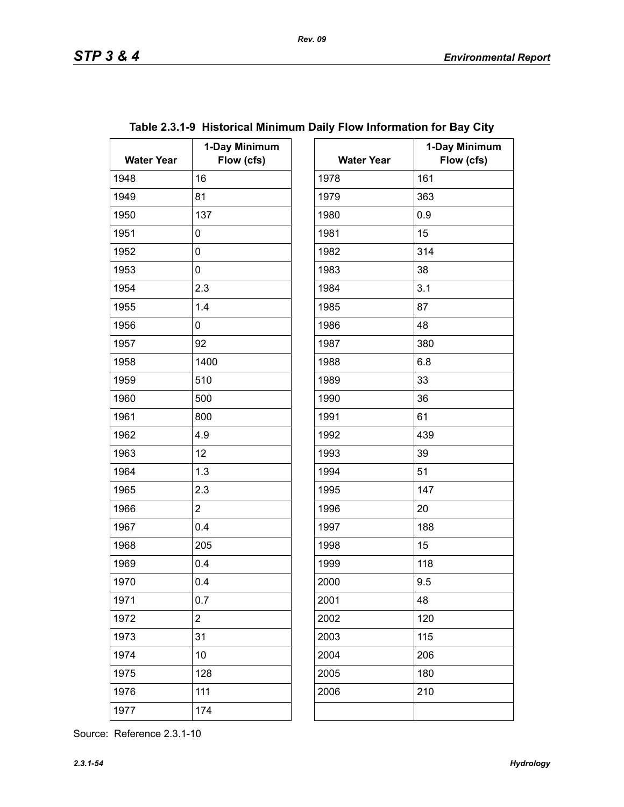| <b>Water Year</b> | 1-Day Minimum<br>Flow (cfs) | <b>Water Year</b> | $\mathbf 1$ |
|-------------------|-----------------------------|-------------------|-------------|
| 1948              | 16                          | 1978              | 161         |
| 1949              | 81                          | 1979              | 363         |
| 1950              | 137                         | 1980              | 0.9         |
| 1951              | 0                           | 1981              | 15          |
| 1952              | 0                           | 1982              | 314         |
| 1953              | 0                           | 1983              | 38          |
| 1954              | 2.3                         | 1984              | 3.1         |
| 1955              | 1.4                         | 1985              | 87          |
| 1956              | 0                           | 1986              | 48          |
| 1957              | 92                          | 1987              | 380         |
| 1958              | 1400                        | 1988              | 6.8         |
| 1959              | 510                         | 1989              | 33          |
| 1960              | 500                         | 1990              | 36          |
| 1961              | 800                         | 1991              | 61          |
| 1962              | 4.9                         | 1992              | 439         |
| 1963              | 12                          | 1993              | 39          |
| 1964              | 1.3                         | 1994              | 51          |
| 1965              | 2.3                         | 1995              | 147         |
| 1966              | $\overline{2}$              | 1996              | 20          |
| 1967              | 0.4                         | 1997              | 188         |
| 1968              | 205                         | 1998              | 15          |
| 1969              | 0.4                         | 1999              | 118         |
| 1970              | 0.4                         | 2000              | 9.5         |
| 1971              | 0.7                         | 2001              | 48          |
| 1972              | $\overline{c}$              | 2002              | 120         |
| 1973              | 31                          | 2003              | 115         |
| 1974              | 10                          | 2004              | 206         |
| 1975              | 128                         | 2005              | 180         |
| 1976              | 111                         | 2006              | 210         |
| 1977              | 174                         |                   |             |

# **Table 2.3.1-9 Historical Minimum Daily Flow Information for Bay City**

| ay Minimum |                   | 1-Day Minimum |
|------------|-------------------|---------------|
| Flow (cfs) | <b>Water Year</b> | Flow (cfs)    |
|            | 1978              | 161           |
|            | 1979              | 363           |
|            | 1980              | 0.9           |
|            | 1981              | 15            |
|            | 1982              | 314           |
|            | 1983              | 38            |
|            | 1984              | 3.1           |
|            | 1985              | 87            |
|            | 1986              | 48            |
|            | 1987              | 380           |
|            | 1988              | 6.8           |
|            | 1989              | 33            |
|            | 1990              | 36            |
|            | 1991              | 61            |
|            | 1992              | 439           |
|            | 1993              | 39            |
|            | 1994              | 51            |
|            | 1995              | 147           |
|            | 1996              | 20            |
|            | 1997              | 188           |
|            | 1998              | 15            |
|            | 1999              | 118           |
|            | 2000              | 9.5           |
|            | 2001              | 48            |
|            | 2002              | 120           |
|            | 2003              | 115           |
|            | 2004              | 206           |
|            | 2005              | 180           |
|            | 2006              | 210           |
|            |                   |               |
|            |                   |               |

Source: Reference 2.3.1-10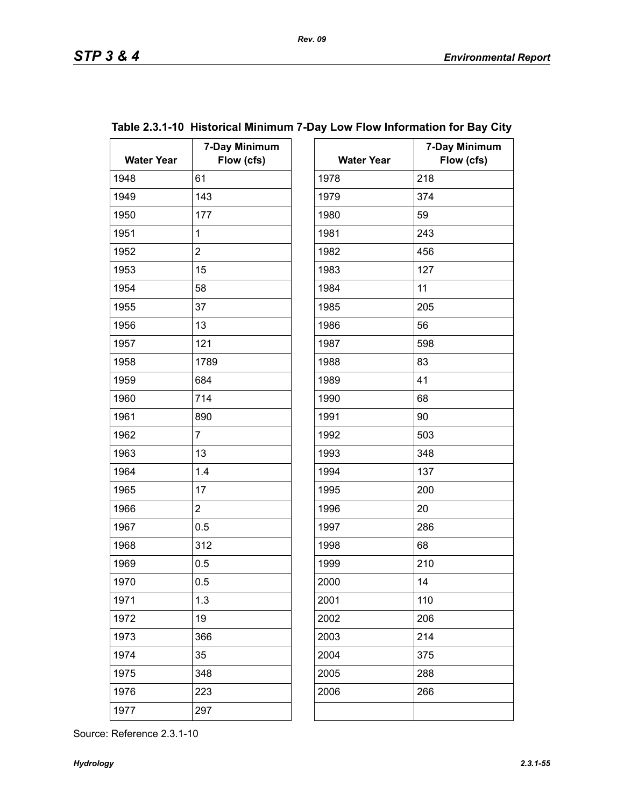| <b>Water Year</b> | 7-Day Minimum<br>Flow (cfs) | <b>Water Year</b> | 7.  |
|-------------------|-----------------------------|-------------------|-----|
| 1948              | 61                          | 1978              | 218 |
| 1949              | 143                         | 1979              | 374 |
| 1950              | 177                         | 1980              | 59  |
| 1951              | $\mathbf{1}$                | 1981              | 243 |
| 1952              | $\overline{2}$              | 1982              | 456 |
| 1953              | 15                          | 1983              | 127 |
| 1954              | 58                          | 1984              | 11  |
| 1955              | 37                          | 1985              | 205 |
| 1956              | 13                          | 1986              | 56  |
| 1957              | 121                         | 1987              | 598 |
| 1958              | 1789                        | 1988              | 83  |
| 1959              | 684                         | 1989              | 41  |
| 1960              | 714                         | 1990              | 68  |
| 1961              | 890                         | 1991              | 90  |
| 1962              | $\overline{7}$              | 1992              | 503 |
| 1963              | 13                          | 1993              | 348 |
| 1964              | 1.4                         | 1994              | 137 |
| 1965              | 17                          | 1995              | 200 |
| 1966              | $\overline{2}$              | 1996              | 20  |
| 1967              | 0.5                         | 1997              | 286 |
| 1968              | 312                         | 1998              | 68  |
| 1969              | 0.5                         | 1999              | 210 |
| 1970              | 0.5                         | 2000              | 14  |
| 1971              | 1.3                         | 2001              | 110 |
| 1972              | 19                          | 2002              | 206 |
| 1973              | 366                         | 2003              | 214 |
| 1974              | 35                          | 2004              | 375 |
| 1975              | 348                         | 2005              | 288 |
| 1976              | 223                         | 2006              | 266 |
| 1977              | 297                         |                   |     |
|                   |                             |                   |     |

|               |  | Table 2.3.1-10 Historical Minimum 7-Day Low Flow Information for Bay City |  |
|---------------|--|---------------------------------------------------------------------------|--|
| 7-Day Minimum |  | 7-Day Minimum                                                             |  |

*Rev. 09*

| ay Minimum<br>Flow (cfs) | <b>Water Year</b> | 7-Day Minimum<br>Flow (cfs) |
|--------------------------|-------------------|-----------------------------|
|                          | 1978              | 218                         |
|                          | 1979              | 374                         |
|                          | 1980              | 59                          |
|                          | 1981              | 243                         |
|                          | 1982              | 456                         |
|                          | 1983              | 127                         |
|                          |                   |                             |
|                          | 1984              | 11                          |
|                          | 1985              | 205                         |
|                          | 1986              | 56                          |
|                          | 1987              | 598                         |
|                          | 1988              | 83                          |
|                          | 1989              | 41                          |
|                          | 1990              | 68                          |
|                          | 1991              | 90                          |
|                          | 1992              | 503                         |
|                          | 1993              | 348                         |
|                          | 1994              | 137                         |
|                          | 1995              | 200                         |
|                          | 1996              | 20                          |
|                          | 1997              | 286                         |
|                          | 1998              | 68                          |
|                          | 1999              | 210                         |
|                          | 2000              | 14                          |
|                          | 2001              | 110                         |
|                          | 2002              | 206                         |
|                          | 2003              | 214                         |
|                          | 2004              | 375                         |
|                          | 2005              | 288                         |
|                          | 2006              | 266                         |
|                          |                   |                             |
|                          |                   |                             |

Source: Reference 2.3.1-10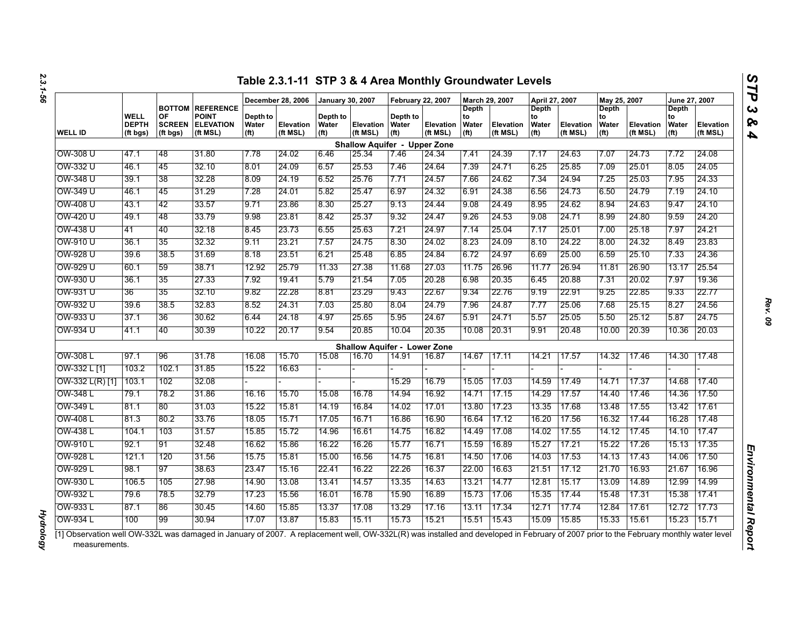|                   |                                  |                                 |                                                                         |                                        | December 28, 2006     | <b>January 30, 2007</b>                |                                     | <b>February 22, 2007</b>               |                       | March 29, 2007                            |                              | April 27, 2007                                   |                              | May 25, 2007                                     |                       | June 27, 2007                             |                       |
|-------------------|----------------------------------|---------------------------------|-------------------------------------------------------------------------|----------------------------------------|-----------------------|----------------------------------------|-------------------------------------|----------------------------------------|-----------------------|-------------------------------------------|------------------------------|--------------------------------------------------|------------------------------|--------------------------------------------------|-----------------------|-------------------------------------------|-----------------------|
| <b>WELL ID</b>    | WELL<br><b>DEPTH</b><br>(ft bgs) | OF<br><b>SCREEN</b><br>(ft bgs) | <b>BOTTOM REFERENCE</b><br><b>POINT</b><br><b>ELEVATION</b><br>(ft MSL) | Depth to<br>Water<br>(f <sup>t</sup> ) | Elevation<br>(ft MSL) | Depth to<br>Water<br>(f <sup>t</sup> ) | <b>Elevation</b><br>(ft MSL)        | Depth to<br>Water<br>(f <sup>t</sup> ) | Elevation<br>(ft MSL) | Depth<br>to<br>Water<br>(f <sup>t</sup> ) | <b>Elevation</b><br>(ft MSL) | <b>Depth</b><br>to<br>Water<br>(f <sup>t</sup> ) | <b>Elevation</b><br>(ft MSL) | <b>Depth</b><br>to<br>Water<br>(f <sup>t</sup> ) | Elevation<br>(ft MSL) | Depth<br>to<br>Water<br>(f <sup>t</sup> ) | Elevation<br>(ft MSL) |
|                   |                                  |                                 |                                                                         |                                        |                       |                                        | <b>Shallow Aquifer - Upper Zone</b> |                                        |                       |                                           |                              |                                                  |                              |                                                  |                       |                                           |                       |
| OW-308 U          | 47.1                             | 48                              | 31.80                                                                   | 7.78                                   | 24.02                 | 6.46                                   | 25.34                               | 7.46                                   | 24.34                 | 7.41                                      | 24.39                        | 7.17                                             | 24.63                        | 7.07                                             | 24.73                 | 7.72                                      | 24.08                 |
| OW-332 U          | 46.1                             | 45                              | 32.10                                                                   | 8.01                                   | 24.09                 | 6.57                                   | 25.53                               | 7.46                                   | 24.64                 | 7.39                                      | 24.71                        | 6.25                                             | 25.85                        | 7.09                                             | 25.01                 | 8.05                                      | 24.05                 |
| OW-348 U          | 39.1                             | 38                              | 32.28                                                                   | 8.09                                   | 24.19                 | 6.52                                   | 25.76                               | 7.71                                   | 24.57                 | 7.66                                      | 24.62                        | 7.34                                             | 24.94                        | 7.25                                             | 25.03                 | 7.95                                      | 24.33                 |
| OW-349 U          | 46.1                             | 45                              | 31.29                                                                   | 7.28                                   | 24.01                 | 5.82                                   | 25.47                               | 6.97                                   | 24.32                 | 6.91                                      | 24.38                        | 6.56                                             | 24.73                        | 6.50                                             | 24.79                 | 7.19                                      | 24.10                 |
| OW-408 U          | 43.1                             | 42                              | 33.57                                                                   | 9.71                                   | 23.86                 | 8.30                                   | 25.27                               | 9.13                                   | 24.44                 | 9.08                                      | 24.49                        | 8.95                                             | 24.62                        | 8.94                                             | 24.63                 | 9.47                                      | 24.10                 |
| OW-420 U          | 49.1                             | 48                              | 33.79                                                                   | 9.98                                   | 23.81                 | 8.42                                   | 25.37                               | 9.32                                   | 24.47                 | 9.26                                      | 24.53                        | 9.08                                             | 24.71                        | 8.99                                             | 24.80                 | 9.59                                      | 24.20                 |
| OW-438 U          | 41                               | 40                              | 32.18                                                                   | 8.45                                   | 23.73                 | 6.55                                   | 25.63                               | 7.21                                   | 24.97                 | 7.14                                      | 25.04                        | 7.17                                             | 25.01                        | 7.00                                             | 25.18                 | 7.97                                      | 24.21                 |
| OW-910 U          | 36.1                             | 35                              | 32.32                                                                   | 9.11                                   | 23.21                 | 7.57                                   | 24.75                               | 8.30                                   | 24.02                 | 8.23                                      | 24.09                        | 8.10                                             | 24.22                        | 8.00                                             | 24.32                 | 8.49                                      | 23.83                 |
| OW-928 U          | 39.6                             | 38.5                            | 31.69                                                                   | 8.18                                   | 23.51                 | 6.21                                   | 25.48                               | 6.85                                   | 24.84                 | 6.72                                      | 24.97                        | 6.69                                             | 25.00                        | 6.59                                             | 25.10                 | 7.33                                      | 24.36                 |
| OW-929 U          | 60.1                             | 59                              | 38.71                                                                   | 12.92                                  | 25.79                 | 11.33                                  | 27.38                               | 11.68                                  | 27.03                 | 11.75                                     | 26.96                        | 11.77                                            | 26.94                        | 11.81                                            | 26.90                 | 13.17                                     | 25.54                 |
| OW-930 U          | 36.1                             | 35                              | 27.33                                                                   | 7.92                                   | 19.41                 | 5.79                                   | 21.54                               | 7.05                                   | 20.28                 | 6.98                                      | 20.35                        | 6.45                                             | 20.88                        | 7.31                                             | 20.02                 | 7.97                                      | 19.36                 |
| OW-931 U          | 36                               | 35                              | 32.10                                                                   | 9.82                                   | 22.28                 | 8.81                                   | 23.29                               | 9.43                                   | 22.67                 | 9.34                                      | 22.76                        | 9.19                                             | 22.91                        | 9.25                                             | 22.85                 | 9.33                                      | 22.77                 |
| OW-932 U          | 39.6                             | 38.5                            | 32.83                                                                   | 8.52                                   | 24.31                 | 7.03                                   | 25.80                               | 8.04                                   | 24.79                 | 7.96                                      | 24.87                        | 7.77                                             | 25.06                        | 7.68                                             | 25.15                 | 8.27                                      | 24.56                 |
| OW-933 U          | 37.1                             | 36                              | 30.62                                                                   | 6.44                                   | 24.18                 | 4.97                                   | 25.65                               | 5.95                                   | 24.67                 | 5.91                                      | 24.71                        | 5.57                                             | 25.05                        | 5.50                                             | 25.12                 | 5.87                                      | 24.75                 |
| OW-934 U          | 41.1                             | 40                              | 30.39                                                                   | 10.22                                  | 20.17                 | 9.54                                   | 20.85                               | 10.04                                  | 20.35                 | 10.08                                     | 20.31                        | 9.91                                             | 20.48                        | 10.00                                            | 20.39                 | 10.36                                     | 20.03                 |
|                   |                                  |                                 |                                                                         |                                        |                       |                                        | <b>Shallow Aquifer - Lower Zone</b> |                                        |                       |                                           |                              |                                                  |                              |                                                  |                       |                                           |                       |
| OW-308 L          | 97.1                             | 96                              | 31.78                                                                   | 16.08                                  | 15.70                 | 15.08                                  | 16.70                               | 14.91                                  | 16.87                 | 14.67                                     | 17.11                        | 14.21                                            | 17.57                        | 14.32                                            | 17.46                 | 14.30                                     | 17.48                 |
| OW-332 L [1]      | 103.2                            | 102.1                           | 31.85                                                                   | 15.22                                  | 16.63                 |                                        |                                     |                                        |                       |                                           |                              |                                                  |                              |                                                  |                       |                                           |                       |
| $OW-332 L(R)$ [1] | 103.1                            | 102                             | 32.08                                                                   |                                        |                       |                                        |                                     | 15.29                                  | 16.79                 | 15.05                                     | 17.03                        | 14.59                                            | 17.49                        | 14.71                                            | 17.37                 | 14.68                                     | 17.40                 |
| OW-348 L          | 79.1                             | 78.2                            | 31.86                                                                   | 16.16                                  | 15.70                 | 15.08                                  | 16.78                               | 14.94                                  | 16.92                 | 14.71                                     | 17.15                        | 14.29                                            | 17.57                        | 14.40                                            | 17.46                 | 14.36                                     | 17.50                 |
| OW-349 L          | 81.1                             | 80                              | 31.03                                                                   | 15.22                                  | 15.81                 | 14.19                                  | 16.84                               | 14.02                                  | 17.01                 | 13.80                                     | 17.23                        | 13.35                                            | 17.68                        | 13.48                                            | 17.55                 | 13.42                                     | 17.61                 |
| OW-408 L          | 81.3                             | 80.2                            | 33.76                                                                   | 18.05                                  | 15.71                 | 17.05                                  | 16.71                               | 16.86                                  | 16.90                 | 16.64                                     | 17.12                        | 16.20                                            | 17.56                        | 16.32                                            | 17.44                 | 16.28                                     | 17.48                 |
| OW-438 L          | 104.1                            | 103                             | 31.57                                                                   | 15.85                                  | 15.72                 | 14.96                                  | 16.61                               | 14.75                                  | 16.82                 | 14.49                                     | 17.08                        | 14.02                                            | 17.55                        | 14.12                                            | 17.45                 | 14.10                                     | 17.47                 |
| OW-910 L          | 92.1                             | 91                              | 32.48                                                                   | 16.62                                  | 15.86                 | 16.22                                  | 16.26                               | 15.77                                  | 16.71                 | 15.59                                     | 16.89                        | 15.27                                            | 17.21                        | 15.22                                            | 17.26                 | 15.13                                     | 17.35                 |
| OW-928 L          | 121.1                            | 120                             | 31.56                                                                   | 15.75                                  | 15.81                 | 15.00                                  | 16.56                               | 14.75                                  | 16.81                 | 14.50                                     | 17.06                        | 14.03                                            | 17.53                        | 14.13                                            | 17.43                 | 14.06                                     | 17.50                 |
| OW-929 L          | 98.1                             | 97                              | 38.63                                                                   | 23.47                                  | 15.16                 | 22.41                                  | 16.22                               | 22.26                                  | 16.37                 | 22.00                                     | 16.63                        | 21.51                                            | 17.12                        | 21.70                                            | 16.93                 | 21.67                                     | 16.96                 |
| OW-930 L          | 106.5                            | 105                             | 27.98                                                                   | 14.90                                  | 13.08                 | 13.41                                  | 14.57                               | 13.35                                  | 14.63                 | 13.21                                     | 14.77                        | 12.81                                            | 15.17                        | 13.09                                            | 14.89                 | 12.99                                     | 14.99                 |
| OW-932 L          | 79.6                             | 785                             | 32.79                                                                   | 17.23                                  | 15.56                 | 16.01                                  | 16.78                               | 15.90                                  | 16.89                 | 15.73                                     | 17.06                        | 15.35                                            | 17.44                        | 15.48                                            | 17.31                 | 15.38                                     | 17.41                 |
| OW-933 L          | 87.1                             | 86                              | 30.45                                                                   | 14.60                                  | 15.85                 | 13.37                                  | 17.08                               | 13.29                                  | 17.16                 | 13.11                                     | 17.34                        | 12.71                                            | 17.74                        | 12.84                                            | 17.61                 | 12.72                                     | 17.73                 |
| OW-934 L          | 100                              | 99                              | 30.94                                                                   | 17.07                                  | 13.87                 | 15.83                                  | 15.11                               | 15.73                                  | 15.21                 | 15.51                                     | 15.43                        | 15.09                                            | 15.85                        | 15.33                                            | 15.61                 | 15.23                                     | 15.71                 |

*Hydrology* 

**Hydrology** 

*Rev. 09*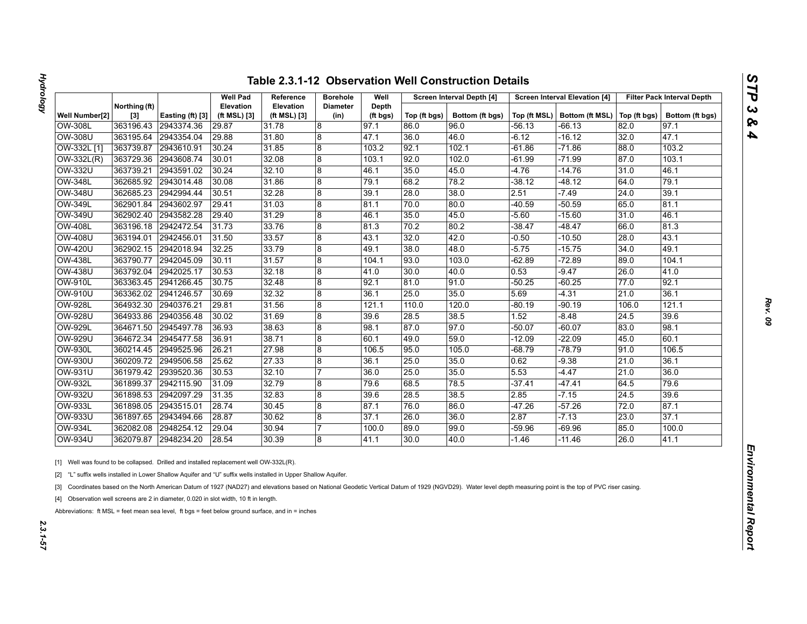| U |
|---|
|   |
|   |
| c |
| ç |
|   |

|                |                        |                  | <b>Well Pad</b>           | Reference                        | <b>Borehole</b>         | Well              |              | Screen Interval Depth [4] |          | <b>Screen Interval Elevation [4]</b> |              | <b>Filter Pack Interval Depth</b> |
|----------------|------------------------|------------------|---------------------------|----------------------------------|-------------------------|-------------------|--------------|---------------------------|----------|--------------------------------------|--------------|-----------------------------------|
| Well Number[2] | Northing (ft)<br>$[3]$ | Easting (ft) [3] | Elevation<br>(ft MSL) [3] | <b>Elevation</b><br>(ft MSL) [3] | <b>Diameter</b><br>(in) | Depth<br>(ft bgs) | Top (ft bgs) | Bottom (ft bgs)           |          | Top (ft MSL)   Bottom (ft MSL)       | Top (ft bgs) | Bottom (ft bgs)                   |
| OW-308L        | 363196.43              | 2943374.36       | 29.87                     | 31.78                            | $\boldsymbol{8}$        | 97.1              | 86.0         | 96.0                      | -56.13   | -66.13                               | 82.0         | 97.1                              |
| <b>OW-308U</b> | 363195.64              | 2943354.04       | 29.88                     | 31.80                            | 8                       | 47.1              | 36.0         | 46.0                      | -6.12    | -16.12                               | 32.0         | 47.1                              |
| OW-332L [1]    | 363739.87              | 2943610.91       | 30.24                     | 31.85                            | $\bf 8$                 | 103.2             | 92.1         | 102.1                     | $-61.86$ | $-71.86$                             | 88.0         | 103.2                             |
| OW-332L(R)     | 363729.36              | 2943608.74       | 30.01                     | 32.08                            | $\boldsymbol{8}$        | 103.1             | 92.0         | 102.0                     | $-61.99$ | $-71.99$                             | 87.0         | 103.1                             |
| OW-332U        | 363739.21              | 2943591.02       | 30.24                     | 32.10                            | $\overline{8}$          | 46.1              | 35.0         | 45.0                      | $-4.76$  | $-14.76$                             | 31.0         | 46.1                              |
| <b>OW-348L</b> | 362685.92              | 2943014.48       | 30.08                     | 31.86                            | 8                       | 79.1              | 68.2         | 78.2                      | $-38.12$ | $-48.12$                             | 64.0         | 79.1                              |
| OW-348U        | 362685.23              | 2942994.44       | 30.51                     | 32.28                            | 8                       | 39.1              | 28.0         | 38.0                      | 2.51     | $-7.49$                              | 24.0         | 39.1                              |
| <b>OW-349L</b> | 362901.84              | 2943602.97       | 29.41                     | 31.03                            | 8                       | 81.1              | 70.0         | 80.0                      | $-40.59$ | $-50.59$                             | 65.0         | 81.1                              |
| OW-349U        | 362902.40              | 2943582.28       | 29.40                     | 31.29                            | 8                       | 46.1              | 35.0         | 45.0                      | $-5.60$  | $-15.60$                             | 31.0         | 46.1                              |
| <b>OW-408L</b> | 363196.18              | 2942472.54       | 31.73                     | 33.76                            | 8                       | 81.3              | 70.2         | 80.2                      | $-38.47$ | $-48.47$                             | 66.0         | 81.3                              |
| <b>OW-408U</b> | 363194.01              | 2942456.01       | 31.50                     | 33.57                            | $\overline{8}$          | 43.1              | 32.0         | 42.0                      | -0.50    | $-10.50$                             | 28.0         | 43.1                              |
| <b>OW-420U</b> | 362902.15              | 2942018.94       | 32.25                     | 33.79                            | $\bf 8$                 | 49.1              | 38.0         | 48.0                      | $-5.75$  | $-15.75$                             | 34.0         | 49.1                              |
| <b>OW-438L</b> | 363790.77              | 2942045.09       | 30.11                     | 31.57                            | 8                       | 104.1             | 93.0         | 103.0                     | $-62.89$ | $-72.89$                             | 89.0         | 104.1                             |
| <b>OW-438U</b> | 363792.04              | 2942025.17       | 30.53                     | 32.18                            | $\overline{8}$          | 41.0              | 30.0         | 40.0                      | 0.53     | $-9.47$                              | 26.0         | 41.0                              |
| <b>OW-910L</b> | 363363.45              | 2941266.45       | 30.75                     | 32.48                            | 8                       | 92.1              | 81.0         | 91.0                      | $-50.25$ | $-60.25$                             | 77.0         | 92.1                              |
| <b>OW-910U</b> | 363362.02              | 2941246.57       | 30.69                     | 32.32                            | 8                       | 36.1              | 25.0         | 35.0                      | 5.69     | $-4.31$                              | 21.0         | 36.1                              |
| <b>OW-928L</b> | 364932.30              | 2940376.21       | 29.81                     | 31.56                            | 8                       | 121.1             | 110.0        | 120.0                     | $-80.19$ | $-90.19$                             | 106.0        | 121.1                             |
| <b>OW-928U</b> | 364933.86              | 2940356.48       | 30.02                     | 31.69                            | $\boldsymbol{8}$        | 39.6              | 28.5         | 38.5                      | 1.52     | $-8.48$                              | 24.5         | 39.6                              |
| <b>OW-929L</b> | 364671.50              | 2945497.78       | 36.93                     | 38.63                            | 8                       | 98.1              | 87.0         | 97.0                      | $-50.07$ | $-60.07$                             | 83.0         | 98.1                              |
| <b>OW-929U</b> | 364672.34              | 2945477.58       | 36.91                     | 38.71                            | 8                       | 60.1              | 49.0         | 59.0                      | $-12.09$ | $-22.09$                             | 45.0         | 60.1                              |
| OW-930L        | 360214.45              | 2949525.96       | 26.21                     | 27.98                            | $\boldsymbol{8}$        | 106.5             | 95.0         | 105.0                     | -68.79   | $-78.79$                             | 91.0         | 106.5                             |
| OW-930U        | 360209.72              | 2949506.58       | 25.62                     | 27.33                            | 8                       | 36.1              | 25.0         | 35.0                      | 0.62     | $-9.38$                              | 21.0         | 36.1                              |
| <b>OW-931U</b> | 361979.42              | 2939520.36       | 30.53                     | 32.10                            | 17                      | 36.0              | 25.0         | 35.0                      | 5.53     | $-4.47$                              | 21.0         | 36.0                              |
| <b>OW-932L</b> | 361899.37              | 2942115.90       | 31.09                     | 32.79                            | 8                       | 79.6              | 68.5         | 78.5                      | $-37.41$ | -47.41                               | 64.5         | 79.6                              |
| <b>OW-932U</b> | 361898.53              | 2942097.29       | 31.35                     | 32.83                            | $\boldsymbol{8}$        | 39.6              | 28.5         | 38.5                      | 2.85     | -7.15                                | 24.5         | 39.6                              |
| <b>OW-933L</b> | 361898.05              | 2943515.01       | 28.74                     | 30.45                            | 8                       | 87.1              | 76.0         | 86.0                      | $-47.26$ | $-57.26$                             | 72.0         | 87.1                              |
| <b>OW-933U</b> | 361897.65              | 2943494.66       | 28.87                     | 30.62                            | $\boldsymbol{8}$        | 37.1              | 26.0         | 36.0                      | 2.87     | $-7.13$                              | 23.0         | 37.1                              |
| <b>OW-934L</b> | 362082.08              | 2948254.12       | 29.04                     | 30.94                            | 7                       | 100.0             | 89.0         | 99.0                      | -59.96   | $-69.96$                             | 85.0         | 100.0                             |
| <b>OW-934U</b> | 362079.87              | 2948234.20       | 28.54                     | 30.39                            | 8                       | 41.1              | 30.0         | 40.0                      | $-1.46$  | $-11.46$                             | 26.0         | 41.1                              |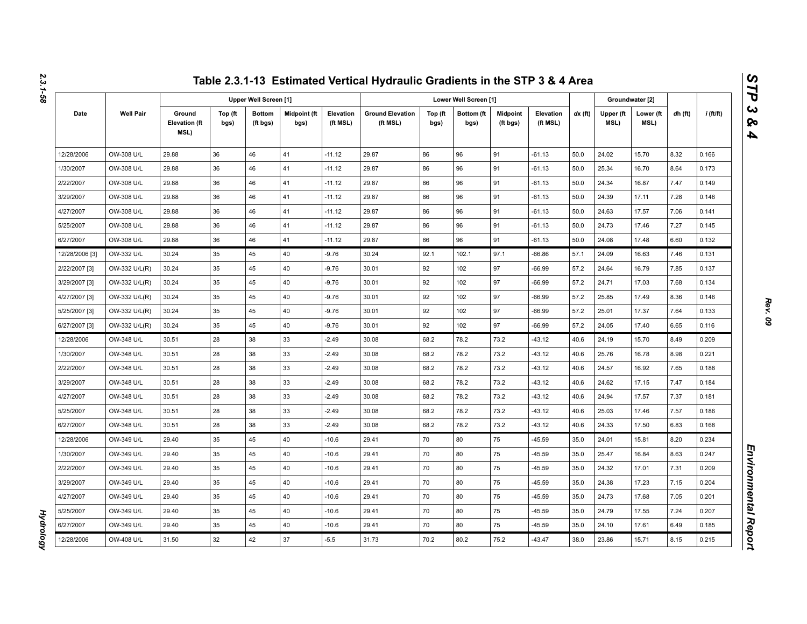|                |                  |                                        |                 |                              |                      |                       | Table 2.3.1-13 Estimated Vertical Hydraulic Gradients in the STP 3 & 4 Area |                 |                       |                             |                       |           |                   |                   |         |             |
|----------------|------------------|----------------------------------------|-----------------|------------------------------|----------------------|-----------------------|-----------------------------------------------------------------------------|-----------------|-----------------------|-----------------------------|-----------------------|-----------|-------------------|-------------------|---------|-------------|
|                |                  |                                        |                 | <b>Upper Well Screen [1]</b> |                      |                       |                                                                             |                 | Lower Well Screen [1] |                             |                       |           |                   | Groundwater [2]   |         |             |
| Date           | <b>Well Pair</b> | Ground<br><b>Elevation (ft</b><br>MSL) | Top (ft<br>bgs) | <b>Bottom</b><br>(ft bgs)    | Midpoint (ft<br>bgs) | Elevation<br>(ft MSL) | <b>Ground Elevation</b><br>(ft MSL)                                         | Top (ft<br>bgs) | Bottom (ft<br>bgs)    | <b>Midpoint</b><br>(ft bgs) | Elevation<br>(ft MSL) | $dx$ (ft) | Upper (ft<br>MSL) | Lower (ft<br>MSL) | dh (ft) | $i$ (ft/ft) |
| 12/28/2006     | OW-308 U/L       | 29.88                                  | 36              | 46                           | 41                   | $-11.12$              | 29.87                                                                       | 86              | 96                    | 91                          | $-61.13$              | 50.0      | 24.02             | 15.70             | 8.32    | 0.166       |
| 1/30/2007      | OW-308 U/L       | 29.88                                  | 36              | 46                           | 41                   | $-11.12$              | 29.87                                                                       | 86              | 96                    | 91                          | $-61.13$              | 50.0      | 25.34             | 16.70             | 8.64    | 0.173       |
| 2/22/2007      | OW-308 U/L       | 29.88                                  | 36              | 46                           | 41                   | $-11.12$              | 29.87                                                                       | 86              | 96                    | 91                          | $-61.13$              | 50.0      | 24.34             | 16.87             | 7.47    | 0.149       |
| 3/29/2007      | OW-308 U/L       | 29.88                                  | 36              | 46                           | 41                   | $-11.12$              | 29.87                                                                       | 86              | 96                    | 91                          | $-61.13$              | 50.0      | 24.39             | 17.11             | 7.28    | 0.146       |
| 4/27/2007      | OW-308 U/L       | 29.88                                  | 36              | 46                           | 41                   | $-11.12$              | 29.87                                                                       | 86              | 96                    | 91                          | $-61.13$              | 50.0      | 24.63             | 17.57             | 7.06    | 0.141       |
| 5/25/2007      | OW-308 U/L       | 29.88                                  | 36              | 46                           | 41                   | $-11.12$              | 29.87                                                                       | 86              | 96                    | 91                          | $-61.13$              | 50.0      | 24.73             | 17.46             | 7.27    | 0.145       |
| 6/27/2007      | OW-308 U/L       | 29.88                                  | 36              | 46                           | 41                   | $-11.12$              | 29.87                                                                       | 86              | 96                    | 91                          | $-61.13$              | 50.0      | 24.08             | 17.48             | 6.60    | 0.132       |
| 12/28/2006 [3] | OW-332 U/L       | 30.24                                  | 35              | 45                           | 40                   | $-9.76$               | 30.24                                                                       | 92.1            | 102.1                 | 97.1                        | $-66.86$              | 57.1      | 24.09             | 16.63             | 7.46    | 0.131       |
| 2/22/2007 [3]  | OW-332 U/L(R)    | 30.24                                  | 35              | 45                           | 40                   | $-9.76$               | 30.01                                                                       | 92              | 102                   | 97                          | $-66.99$              | 57.2      | 24.64             | 16.79             | 7.85    | 0.137       |
| 3/29/2007 [3]  | OW-332 U/L(R)    | 30.24                                  | 35              | 45                           | 40                   | $-9.76$               | 30.01                                                                       | 92              | 102                   | 97                          | $-66.99$              | 57.2      | 24.71             | 17.03             | 7.68    | 0.134       |
| 4/27/2007 [3]  | OW-332 U/L(R)    | 30.24                                  | 35              | 45                           | 40                   | $-9.76$               | 30.01                                                                       | 92              | 102                   | 97                          | $-66.99$              | 57.2      | 25.85             | 17.49             | 8.36    | 0.146       |
| 5/25/2007 [3]  | OW-332 U/L(R)    | 30.24                                  | 35              | 45                           | 40                   | $-9.76$               | 30.01                                                                       | 92              | 102                   | 97                          | $-66.99$              | 57.2      | 25.01             | 17.37             | 7.64    | 0.133       |
| 6/27/2007 [3]  | OW-332 U/L(R)    | 30.24                                  | 35              | 45                           | 40                   | $-9.76$               | 30.01                                                                       | 92              | 102                   | 97                          | $-66.99$              | 57.2      | 24.05             | 17.40             | 6.65    | 0.116       |
| 12/28/2006     | OW-348 U/L       | 30.51                                  | 28              | 38                           | 33                   | $-2.49$               | 30.08                                                                       | 68.2            | 78.2                  | 73.2                        | $-43.12$              | 40.6      | 24.19             | 15.70             | 8.49    | 0.209       |
| 1/30/2007      | OW-348 U/L       | 30.51                                  | 28              | 38                           | 33                   | $-2.49$               | 30.08                                                                       | 68.2            | 78.2                  | 73.2                        | $-43.12$              | 40.6      | 25.76             | 16.78             | 8.98    | 0.221       |
| 2/22/2007      | OW-348 U/L       | 30.51                                  | 28              | 38                           | 33                   | $-2.49$               | 30.08                                                                       | 68.2            | 78.2                  | 73.2                        | $-43.12$              | 40.6      | 24.57             | 16.92             | 7.65    | 0.188       |
| 3/29/2007      | OW-348 U/L       | 30.51                                  | 28              | 38                           | 33                   | $-2.49$               | 30.08                                                                       | 68.2            | 78.2                  | 73.2                        | $-43.12$              | 40.6      | 24.62             | 17.15             | 7.47    | 0.184       |
| 4/27/2007      | OW-348 U/L       | 30.51                                  | 28              | 38                           | 33                   | $-2.49$               | 30.08                                                                       | 68.2            | 78.2                  | 73.2                        | $-43.12$              | 40.6      | 24.94             | 17.57             | 7.37    | 0.181       |
| 5/25/2007      | OW-348 U/L       | 30.51                                  | 28              | 38                           | 33                   | $-2.49$               | 30.08                                                                       | 68.2            | 78.2                  | 73.2                        | $-43.12$              | 40.6      | 25.03             | 17.46             | 7.57    | 0.186       |
| 6/27/2007      | OW-348 U/L       | 30.51                                  | 28              | 38                           | 33                   | $-2.49$               | 30.08                                                                       | 68.2            | 78.2                  | 73.2                        | $-43.12$              | 40.6      | 24.33             | 17.50             | 6.83    | 0.168       |
| 12/28/2006     | OW-349 U/L       | 29.40                                  | 35              | 45                           | 40                   | $-10.6$               | 29.41                                                                       | 70              | 80                    | 75                          | $-45.59$              | 35.0      | 24.01             | 15.81             | 8.20    | 0.234       |
| 1/30/2007      | OW-349 U/L       | 29.40                                  | 35              | 45                           | 40                   | $-10.6$               | 29.41                                                                       | 70              | 80                    | 75                          | $-45.59$              | 35.0      | 25.47             | 16.84             | 8.63    | 0.247       |
| 2/22/2007      | OW-349 U/L       | 29.40                                  | 35              | 45                           | 40                   | $-10.6$               | 29.41                                                                       | 70              | 80                    | 75                          | -45.59                | 35.0      | 24.32             | 17.01             | 7.31    | 0.209       |
| 3/29/2007      | OW-349 U/L       | 29.40                                  | 35              | 45                           | 40                   | $-10.6$               | 29.41                                                                       | 70              | 80                    | 75                          | $-45.59$              | 35.0      | 24.38             | 17.23             | 7.15    | 0.204       |
| 4/27/2007      | OW-349 U/L       | 29.40                                  | 35              | 45                           | 40                   | $-10.6$               | 29.41                                                                       | 70              | 80                    | 75                          | $-45.59$              | 35.0      | 24.73             | 17.68             | 7.05    | 0.201       |
| 5/25/2007      | OW-349 U/L       | 29.40                                  | 35              | 45                           | 40                   | $-10.6$               | 29.41                                                                       | 70              | 80                    | 75                          | $-45.59$              | 35.0      | 24.79             | 17.55             | 7.24    | 0.207       |
| 6/27/2007      | OW-349 U/L       | 29.40                                  | 35              | 45                           | 40                   | $-10.6$               | 29.41                                                                       | 70              | 80                    | 75                          | $-45.59$              | 35.0      | 24.10             | 17.61             | 6.49    | 0.185       |
| 12/28/2006     | OW-408 U/L       | 31.50                                  | 32              | 42                           | 37                   | $-5.5$                | 31.73                                                                       | 70.2            | 80.2                  | 75.2                        | $-43.47$              | 38.0      | 23.86             | 15.71             | 8.15    | 0.215       |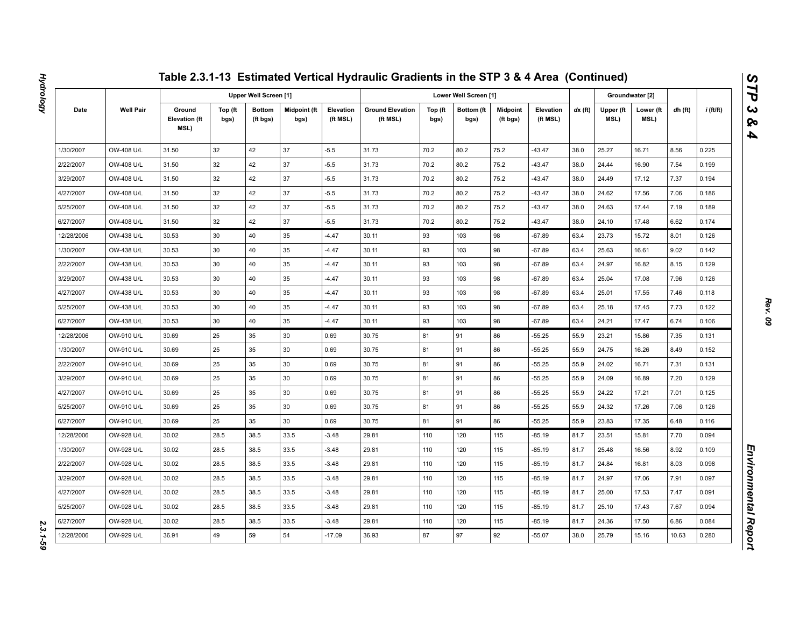|            |                  |                                        |                 |                              |                             |                       | Table 2.3.1-13 Estimated Vertical Hydraulic Gradients in the STP 3 & 4 Area (Continued) |                 |                       |                             |                       |           |                   |                   |         |             |
|------------|------------------|----------------------------------------|-----------------|------------------------------|-----------------------------|-----------------------|-----------------------------------------------------------------------------------------|-----------------|-----------------------|-----------------------------|-----------------------|-----------|-------------------|-------------------|---------|-------------|
|            |                  |                                        |                 | <b>Upper Well Screen [1]</b> |                             |                       |                                                                                         |                 | Lower Well Screen [1] |                             |                       |           |                   | Groundwater [2]   |         |             |
| Date       | <b>Well Pair</b> | Ground<br><b>Elevation (ft</b><br>MSL) | Top (ft<br>bgs) | <b>Bottom</b><br>(ft bgs)    | <b>Midpoint (ft</b><br>bgs) | Elevation<br>(ft MSL) | <b>Ground Elevation</b><br>(ft MSL)                                                     | Top (ft<br>bgs) | Bottom (ft<br>bgs)    | <b>Midpoint</b><br>(ft bgs) | Elevation<br>(ft MSL) | $dx$ (ft) | Upper (ft<br>MSL) | Lower (ft<br>MSL) | dh (ft) | $i$ (ft/ft) |
| 1/30/2007  | OW-408 U/L       | 31.50                                  | 32              | 42                           | 37                          | $-5.5$                | 31.73                                                                                   | 70.2            | 80.2                  | 75.2                        | $-43.47$              | 38.0      | 25.27             | 16.71             | 8.56    | 0.225       |
| 2/22/2007  | OW-408 U/L       | 31.50                                  | 32              | 42                           | 37                          | $-5.5$                | 31.73                                                                                   | 70.2            | 80.2                  | 75.2                        | $-43.47$              | 38.0      | 24.44             | 16.90             | 7.54    | 0.199       |
| 3/29/2007  | OW-408 U/L       | 31.50                                  | 32              | 42                           | 37                          | $-5.5$                | 31.73                                                                                   | 70.2            | 80.2                  | 75.2                        | $-43.47$              | 38.0      | 24.49             | 17.12             | 7.37    | 0.194       |
| 4/27/2007  | OW-408 U/L       | 31.50                                  | 32              | 42                           | 37                          | $-5.5$                | 31.73                                                                                   | 70.2            | 80.2                  | 75.2                        | $-43.47$              | 38.0      | 24.62             | 17.56             | 7.06    | 0.186       |
| 5/25/2007  | OW-408 U/L       | 31.50                                  | 32              | 42                           | 37                          | $-5.5$                | 31.73                                                                                   | 70.2            | 80.2                  | 75.2                        | $-43.47$              | 38.0      | 24.63             | 17.44             | 7.19    | 0.189       |
| 6/27/2007  | OW-408 U/L       | 31.50                                  | 32              | 42                           | 37                          | $-5.5$                | 31.73                                                                                   | 70.2            | 80.2                  | 75.2                        | $-43.47$              | 38.0      | 24.10             | 17.48             | 6.62    | 0.174       |
| 12/28/2006 | OW-438 U/L       | 30.53                                  | 30              | 40                           | 35                          | $-4.47$               | 30.11                                                                                   | 93              | 103                   | 98                          | $-67.89$              | 63.4      | 23.73             | 15.72             | 8.01    | 0.126       |
| 1/30/2007  | OW-438 U/L       | 30.53                                  | 30              | 40                           | 35                          | $-4.47$               | 30.11                                                                                   | 93              | 103                   | 98                          | $-67.89$              | 63.4      | 25.63             | 16.61             | 9.02    | 0.142       |
| 2/22/2007  | OW-438 U/L       | 30.53                                  | 30              | 40                           | 35                          | $-4.47$               | 30.11                                                                                   | 93              | 103                   | 98                          | $-67.89$              | 63.4      | 24.97             | 16.82             | 8.15    | 0.129       |
| 3/29/2007  | OW-438 U/L       | 30.53                                  | 30              | 40                           | 35                          | $-4.47$               | 30.11                                                                                   | 93              | 103                   | 98                          | $-67.89$              | 63.4      | 25.04             | 17.08             | 7.96    | 0.126       |
| 4/27/2007  | OW-438 U/L       | 30.53                                  | 30              | 40                           | 35                          | $-4.47$               | 30.11                                                                                   | 93              | 103                   | 98                          | $-67.89$              | 63.4      | 25.01             | 17.55             | 7.46    | 0.118       |
| 5/25/2007  | OW-438 U/L       | 30.53                                  | 30              | 40                           | 35                          | $-4.47$               | 30.11                                                                                   | 93              | 103                   | 98                          | $-67.89$              | 63.4      | 25.18             | 17.45             | 7.73    | 0.122       |
| 6/27/2007  | OW-438 U/L       | 30.53                                  | 30              | 40                           | 35                          | $-4.47$               | 30.11                                                                                   | 93              | 103                   | 98                          | $-67.89$              | 63.4      | 24.21             | 17.47             | 6.74    | 0.106       |
| 12/28/2006 | OW-910 U/L       | 30.69                                  | 25              | 35                           | 30                          | 0.69                  | 30.75                                                                                   | 81              | 91                    | 86                          | $-55.25$              | 55.9      | 23.21             | 15.86             | 7.35    | 0.131       |
| 1/30/2007  | OW-910 U/L       | 30.69                                  | 25              | 35                           | 30                          | 0.69                  | 30.75                                                                                   | 81              | 91                    | 86                          | $-55.25$              | 55.9      | 24.75             | 16.26             | 8.49    | 0.152       |
| 2/22/2007  | OW-910 U/L       | 30.69                                  | 25              | 35                           | 30                          | 0.69                  | 30.75                                                                                   | 81              | 91                    | 86                          | $-55.25$              | 55.9      | 24.02             | 16.71             | 7.31    | 0.131       |
| 3/29/2007  | OW-910 U/L       | 30.69                                  | 25              | 35                           | 30                          | 0.69                  | 30.75                                                                                   | 81              | 91                    | 86                          | $-55.25$              | 55.9      | 24.09             | 16.89             | 7.20    | 0.129       |
| 4/27/2007  | OW-910 U/L       | 30.69                                  | 25              | 35                           | 30                          | 0.69                  | 30.75                                                                                   | 81              | 91                    | 86                          | $-55.25$              | 55.9      | 24.22             | 17.21             | 7.01    | 0.125       |
| 5/25/2007  | OW-910 U/L       | 30.69                                  | 25              | 35                           | 30                          | 0.69                  | 30.75                                                                                   | 81              | 91                    | 86                          | $-55.25$              | 55.9      | 24.32             | 17.26             | 7.06    | 0.126       |
| 6/27/2007  | OW-910 U/L       | 30.69                                  | 25              | 35                           | 30                          | 0.69                  | 30.75                                                                                   | 81              | 91                    | 86                          | $-55.25$              | 55.9      | 23.83             | 17.35             | 6.48    | 0.116       |
| 12/28/2006 | OW-928 U/L       | 30.02                                  | 28.5            | 38.5                         | 33.5                        | $-3.48$               | 29.81                                                                                   | 110             | 120                   | 115                         | $-85.19$              | 81.7      | 23.51             | 15.81             | 7.70    | 0.094       |
| 1/30/2007  | OW-928 U/L       | 30.02                                  | 28.5            | 38.5                         | 33.5                        | $-3.48$               | 29.81                                                                                   | 110             | 120                   | 115                         | -85.19                | 81.7      | 25.48             | 16.56             | 8.92    | 0.109       |
| 2/22/2007  | OW-928 U/L       | 30.02                                  | 28.5            | 38.5                         | 33.5                        | $-3.48$               | 29.81                                                                                   | 110             | 120                   | 115                         | $-85.19$              | 81.7      | 24.84             | 16.81             | 8.03    | 0.098       |
| 3/29/2007  | OW-928 U/L       | 30.02                                  | 28.5            | 38.5                         | 33.5                        | $-3.48$               | 29.81                                                                                   | 110             | 120                   | 115                         | -85.19                | 81.7      | 24.97             | 17.06             | 7.91    | 0.097       |
| 4/27/2007  | OW-928 U/L       | 30.02                                  | 28.5            | 38.5                         | 33.5                        | $-3.48$               | 29.81                                                                                   | 110             | 120                   | 115                         | $-85.19$              | 81.7      | 25.00             | 17.53             | 7.47    | 0.091       |
| 5/25/2007  | OW-928 U/L       | 30.02                                  | 28.5            | 38.5                         | 33.5                        | $-3.48$               | 29.81                                                                                   | 110             | 120                   | 115                         | -85.19                | 81.7      | 25.10             | 17.43             | 7.67    | 0.094       |
| 6/27/2007  | OW-928 U/L       | 30.02                                  | 28.5            | 38.5                         | 33.5                        | $-3.48$               | 29.81                                                                                   | 110             | 120                   | 115                         | $-85.19$              | 81.7      | 24.36             | 17.50             | 6.86    | 0.084       |
| 12/28/2006 | OW-929 U/L       | 36.91                                  | 49              | 59                           | 54                          | $-17.09$              | 36.93                                                                                   | 87              | 97                    | 92                          | $-55.07$              | 38.0      | 25.79             | 15.16             | 10.63   | 0.280       |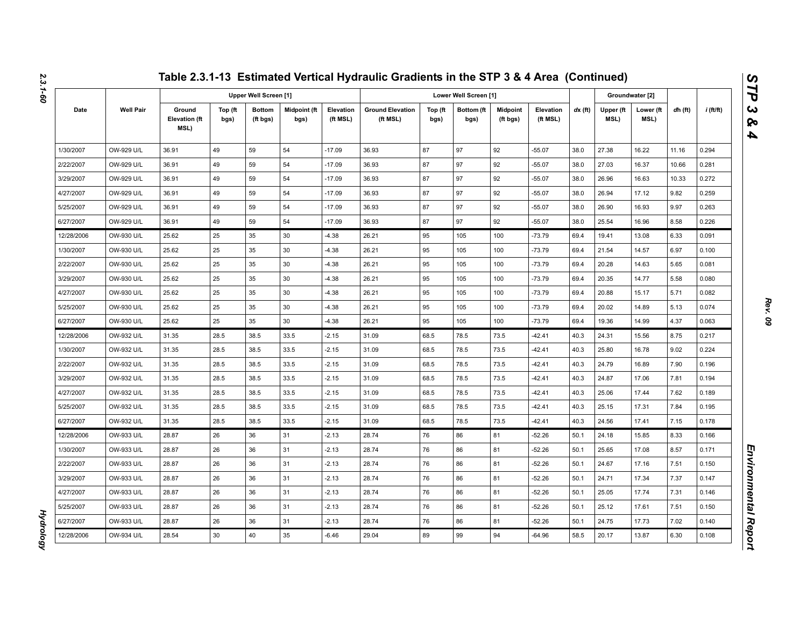|            |                  |                                        |                 |                           |                      |                       | Table 2.3.1-13 Estimated Vertical Hydraulic Gradients in the STP 3 & 4 Area (Continued) |                 |                       |                             |                       |           |                   |                   |         |             |
|------------|------------------|----------------------------------------|-----------------|---------------------------|----------------------|-----------------------|-----------------------------------------------------------------------------------------|-----------------|-----------------------|-----------------------------|-----------------------|-----------|-------------------|-------------------|---------|-------------|
|            |                  |                                        |                 | Upper Well Screen [1]     |                      |                       |                                                                                         |                 | Lower Well Screen [1] |                             |                       |           |                   | Groundwater [2]   |         |             |
| Date       | <b>Well Pair</b> | Ground<br><b>Elevation (ft</b><br>MSL) | Top (ft<br>bgs) | <b>Bottom</b><br>(ft bgs) | Midpoint (ft<br>bgs) | Elevation<br>(ft MSL) | <b>Ground Elevation</b><br>(ft MSL)                                                     | Top (ft<br>bgs) | Bottom (ft<br>bgs)    | <b>Midpoint</b><br>(ft bgs) | Elevation<br>(ft MSL) | $dx$ (ft) | Upper (ft<br>MSL) | Lower (ft<br>MSL) | dh (ft) | $i$ (ft/ft) |
| 1/30/2007  | OW-929 U/L       | 36.91                                  | 49              | 59                        | 54                   | $-17.09$              | 36.93                                                                                   | 87              | 97                    | 92                          | $-55.07$              | 38.0      | 27.38             | 16.22             | 11.16   | 0.294       |
| 2/22/2007  | OW-929 U/L       | 36.91                                  | 49              | 59                        | 54                   | $-17.09$              | 36.93                                                                                   | 87              | 97                    | 92                          | $-55.07$              | 38.0      | 27.03             | 16.37             | 10.66   | 0.281       |
| 3/29/2007  | OW-929 U/L       | 36.91                                  | 49              | 59                        | 54                   | $-17.09$              | 36.93                                                                                   | 87              | 97                    | 92                          | $-55.07$              | 38.0      | 26.96             | 16.63             | 10.33   | 0.272       |
| 4/27/2007  | OW-929 U/L       | 36.91                                  | 49              | 59                        | 54                   | $-17.09$              | 36.93                                                                                   | 87              | 97                    | 92                          | $-55.07$              | 38.0      | 26.94             | 17.12             | 9.82    | 0.259       |
| 5/25/2007  | OW-929 U/L       | 36.91                                  | 49              | 59                        | 54                   | $-17.09$              | 36.93                                                                                   | 87              | 97                    | 92                          | $-55.07$              | 38.0      | 26.90             | 16.93             | 9.97    | 0.263       |
| 6/27/2007  | OW-929 U/L       | 36.91                                  | 49              | 59                        | 54                   | $-17.09$              | 36.93                                                                                   | 87              | 97                    | 92                          | $-55.07$              | 38.0      | 25.54             | 16.96             | 8.58    | 0.226       |
| 12/28/2006 | OW-930 U/L       | 25.62                                  | 25              | 35                        | 30                   | $-4.38$               | 26.21                                                                                   | 95              | 105                   | 100                         | $-73.79$              | 69.4      | 19.41             | 13.08             | 6.33    | 0.091       |
| 1/30/2007  | OW-930 U/L       | 25.62                                  | 25              | 35                        | 30                   | $-4.38$               | 26.21                                                                                   | 95              | 105                   | 100                         | $-73.79$              | 69.4      | 21.54             | 14.57             | 6.97    | 0.100       |
| 2/22/2007  | OW-930 U/L       | 25.62                                  | 25              | 35                        | 30                   | $-4.38$               | 26.21                                                                                   | 95              | 105                   | 100                         | $-73.79$              | 69.4      | 20.28             | 14.63             | 5.65    | 0.081       |
| 3/29/2007  | OW-930 U/L       | 25.62                                  | 25              | 35                        | 30                   | $-4.38$               | 26.21                                                                                   | 95              | 105                   | 100                         | $-73.79$              | 69.4      | 20.35             | 14.77             | 5.58    | 0.080       |
| 4/27/2007  | OW-930 U/L       | 25.62                                  | 25              | 35                        | 30                   | $-4.38$               | 26.21                                                                                   | 95              | 105                   | 100                         | $-73.79$              | 69.4      | 20.88             | 15.17             | 5.71    | 0.082       |
| 5/25/2007  | OW-930 U/L       | 25.62                                  | 25              | 35                        | 30                   | $-4.38$               | 26.21                                                                                   | 95              | 105                   | 100                         | $-73.79$              | 69.4      | 20.02             | 14.89             | 5.13    | 0.074       |
| 6/27/2007  | OW-930 U/L       | 25.62                                  | 25              | 35                        | 30                   | $-4.38$               | 26.21                                                                                   | 95              | 105                   | 100                         | $-73.79$              | 69.4      | 19.36             | 14.99             | 4.37    | 0.063       |
| 12/28/2006 | OW-932 U/L       | 31.35                                  | 28.5            | 38.5                      | 33.5                 | $-2.15$               | 31.09                                                                                   | 68.5            | 78.5                  | 73.5                        | $-42.41$              | 40.3      | 24.31             | 15.56             | 8.75    | 0.217       |
| 1/30/2007  | OW-932 U/L       | 31.35                                  | 28.5            | 38.5                      | 33.5                 | $-2.15$               | 31.09                                                                                   | 68.5            | 78.5                  | 73.5                        | $-42.41$              | 40.3      | 25.80             | 16.78             | 9.02    | 0.224       |
| 2/22/2007  | OW-932 U/L       | 31.35                                  | 28.5            | 38.5                      | 33.5                 | $-2.15$               | 31.09                                                                                   | 68.5            | 78.5                  | 73.5                        | $-42.41$              | 40.3      | 24.79             | 16.89             | 7.90    | 0.196       |
| 3/29/2007  | OW-932 U/L       | 31.35                                  | 28.5            | 38.5                      | 33.5                 | $-2.15$               | 31.09                                                                                   | 68.5            | 78.5                  | 73.5                        | $-42.41$              | 40.3      | 24.87             | 17.06             | 7.81    | 0.194       |
| 4/27/2007  | OW-932 U/L       | 31.35                                  | 28.5            | 38.5                      | 33.5                 | $-2.15$               | 31.09                                                                                   | 68.5            | 78.5                  | 73.5                        | $-42.41$              | 40.3      | 25.06             | 17.44             | 7.62    | 0.189       |
| 5/25/2007  | OW-932 U/L       | 31.35                                  | 28.5            | 38.5                      | 33.5                 | $-2.15$               | 31.09                                                                                   | 68.5            | 78.5                  | 73.5                        | $-42.41$              | 40.3      | 25.15             | 17.31             | 7.84    | 0.195       |
| 6/27/2007  | OW-932 U/L       | 31.35                                  | 28.5            | 38.5                      | 33.5                 | $-2.15$               | 31.09                                                                                   | 68.5            | 78.5                  | 73.5                        | $-42.41$              | 40.3      | 24.56             | 17.41             | 7.15    | 0.178       |
| 12/28/2006 | OW-933 U/L       | 28.87                                  | 26              | 36                        | 31                   | $-2.13$               | 28.74                                                                                   | 76              | 86                    | 81                          | $-52.26$              | 50.1      | 24.18             | 15.85             | 8.33    | 0.166       |
| 1/30/2007  | OW-933 U/L       | 28.87                                  | 26              | 36                        | 31                   | $-2.13$               | 28.74                                                                                   | 76              | 86                    | 81                          | $-52.26$              | 50.1      | 25.65             | 17.08             | 8.57    | 0.171       |
| 2/22/2007  | OW-933 U/L       | 28.87                                  | 26              | 36                        | 31                   | $-2.13$               | 28.74                                                                                   | 76              | 86                    | 81                          | $-52.26$              | 50.1      | 24.67             | 17.16             | 7.51    | 0.150       |
| 3/29/2007  | OW-933 U/L       | 28.87                                  | 26              | 36                        | 31                   | $-2.13$               | 28.74                                                                                   | 76              | 86                    | 81                          | -52.26                | 50.1      | 24.71             | 17.34             | 7.37    | 0.147       |
| 4/27/2007  | OW-933 U/L       | 28.87                                  | 26              | 36                        | 31                   | $-2.13$               | 28.74                                                                                   | 76              | 86                    | 81                          | $-52.26$              | 50.1      | 25.05             | 17.74             | 7.31    | 0.146       |
| 5/25/2007  | OW-933 U/L       | 28.87                                  | 26              | 36                        | 31                   | $-2.13$               | 28.74                                                                                   | 76              | 86                    | 81                          | -52.26                | 50.1      | 25.12             | 17.61             | 7.51    | 0.150       |
| 6/27/2007  | OW-933 U/L       | 28.87                                  | 26              | 36                        | 31                   | $-2.13$               | 28.74                                                                                   | 76              | 86                    | 81                          | $-52.26$              | 50.1      | 24.75             | 17.73             | 7.02    | 0.140       |
| 12/28/2006 | OW-934 U/L       | 28.54                                  | 30              | 40                        | 35                   | $-6.46$               | 29.04                                                                                   | 89              | 99                    | 94                          | $-64.96$              | 58.5      | 20.17             | 13.87             | 6.30    | 0.108       |

*Hydrology* 

**Hydrology**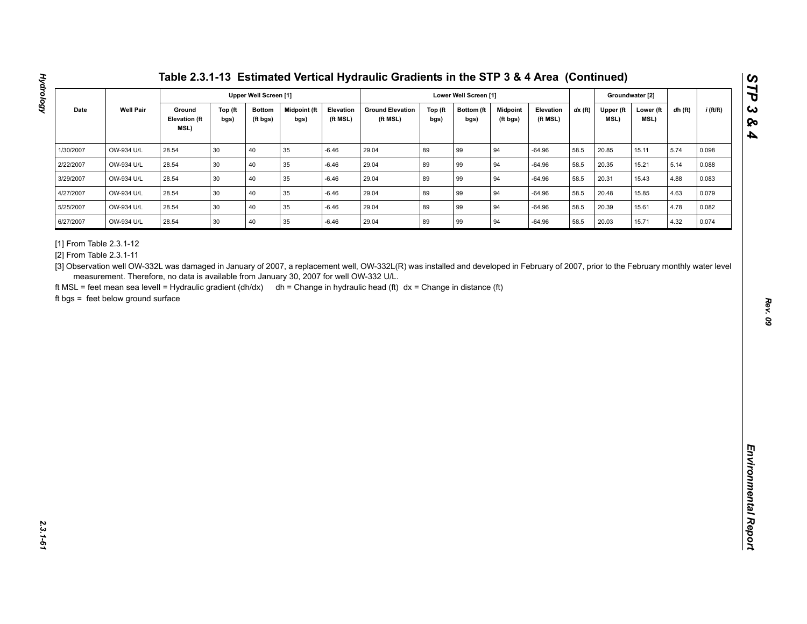| <b>Well Pair</b><br>Ground<br>Midpoint (ft<br><b>Ground Elevation</b><br>$dx$ (ft)<br>$i$ (ft/ft)<br>Date<br>Top (ft<br><b>Bottom</b><br>Elevation<br>Top (ft<br>Bottom (ft<br><b>Midpoint</b><br>Elevation<br>Upper (ft<br>Lower (ft<br>dh (ft)<br><b>Elevation (ft</b><br>MSL)<br>(ft MSL)<br>(ft MSL)<br>(ft MSL)<br>MSL)<br>bgs)<br>(ft bgs)<br>bgs)<br>bgs)<br>bgs)<br>(ft bgs)<br>MSL)<br>40<br>89<br>OW-934 U/L<br>28.54<br>30<br>35<br>$-6.46$<br>29.04<br>99<br>94<br>$-64.96$<br>58.5<br>20.85<br>5.74<br>15.11<br>0.098<br>89<br>28.54<br>30<br>40<br>35<br>29.04<br>99<br>94<br>58.5<br>5.14<br>OW-934 U/L<br>$-6.46$<br>$-64.96$<br>20.35<br>15.21<br>0.088<br>40<br>89<br>94<br>OW-934 U/L<br>28.54<br>30<br>35<br>$-6.46$<br>29.04<br>99<br>58.5<br>20.31<br>15.43<br>4.88<br>0.083<br>$-64.96$<br>30<br>40<br>35<br>89<br>99<br>OW-934 U/L<br>28.54<br>$-6.46$<br>29.04<br>94<br>$-64.96$<br>58.5<br>20.48<br>15.85<br>4.63<br>0.079<br>30<br>40<br>89<br>94<br>28.54<br>35<br>29.04<br>99<br>58.5<br>4.78<br>OW-934 U/L<br>$-6.46$<br>$-64.96$<br>20.39<br>15.61<br>0.082<br>89<br>28.54<br>30<br>40<br>$35\,$<br>29.04<br>99<br>94<br>20.03<br>4.32<br>OW-934 U/L<br>$-6.46$<br>$-64.96$<br>58.5<br>15.71<br>0.074<br>[3] Observation well OW-332L was damaged in January of 2007, a replacement well, OW-332L(R) was installed and developed in February of 2007, prior to the February monthly water level<br>measurement. Therefore, no data is available from January 30, 2007 for well OW-332 U/L. | 1/30/2007<br>2/22/2007<br>3/29/2007<br>4/27/2007<br>5/25/2007<br>6/27/2007<br>[1] From Table 2.3.1-12<br>[2] From Table 2.3.1-11<br>ft MSL = feet mean sea levell = Hydraulic gradient (dh/dx) dh = Change in hydraulic head (ft) dx = Change in distance (ft)<br>ft bgs = feet below ground surface |  |  | <b>Upper Well Screen [1]</b> |  |  | Lower Well Screen [1] |  |  | Groundwater [2] |  |
|---------------------------------------------------------------------------------------------------------------------------------------------------------------------------------------------------------------------------------------------------------------------------------------------------------------------------------------------------------------------------------------------------------------------------------------------------------------------------------------------------------------------------------------------------------------------------------------------------------------------------------------------------------------------------------------------------------------------------------------------------------------------------------------------------------------------------------------------------------------------------------------------------------------------------------------------------------------------------------------------------------------------------------------------------------------------------------------------------------------------------------------------------------------------------------------------------------------------------------------------------------------------------------------------------------------------------------------------------------------------------------------------------------------------------------------------------------------------------------------------------------------------------|------------------------------------------------------------------------------------------------------------------------------------------------------------------------------------------------------------------------------------------------------------------------------------------------------|--|--|------------------------------|--|--|-----------------------|--|--|-----------------|--|
|                                                                                                                                                                                                                                                                                                                                                                                                                                                                                                                                                                                                                                                                                                                                                                                                                                                                                                                                                                                                                                                                                                                                                                                                                                                                                                                                                                                                                                                                                                                           |                                                                                                                                                                                                                                                                                                      |  |  |                              |  |  |                       |  |  |                 |  |
|                                                                                                                                                                                                                                                                                                                                                                                                                                                                                                                                                                                                                                                                                                                                                                                                                                                                                                                                                                                                                                                                                                                                                                                                                                                                                                                                                                                                                                                                                                                           |                                                                                                                                                                                                                                                                                                      |  |  |                              |  |  |                       |  |  |                 |  |
|                                                                                                                                                                                                                                                                                                                                                                                                                                                                                                                                                                                                                                                                                                                                                                                                                                                                                                                                                                                                                                                                                                                                                                                                                                                                                                                                                                                                                                                                                                                           |                                                                                                                                                                                                                                                                                                      |  |  |                              |  |  |                       |  |  |                 |  |
|                                                                                                                                                                                                                                                                                                                                                                                                                                                                                                                                                                                                                                                                                                                                                                                                                                                                                                                                                                                                                                                                                                                                                                                                                                                                                                                                                                                                                                                                                                                           |                                                                                                                                                                                                                                                                                                      |  |  |                              |  |  |                       |  |  |                 |  |
|                                                                                                                                                                                                                                                                                                                                                                                                                                                                                                                                                                                                                                                                                                                                                                                                                                                                                                                                                                                                                                                                                                                                                                                                                                                                                                                                                                                                                                                                                                                           |                                                                                                                                                                                                                                                                                                      |  |  |                              |  |  |                       |  |  |                 |  |
|                                                                                                                                                                                                                                                                                                                                                                                                                                                                                                                                                                                                                                                                                                                                                                                                                                                                                                                                                                                                                                                                                                                                                                                                                                                                                                                                                                                                                                                                                                                           |                                                                                                                                                                                                                                                                                                      |  |  |                              |  |  |                       |  |  |                 |  |
|                                                                                                                                                                                                                                                                                                                                                                                                                                                                                                                                                                                                                                                                                                                                                                                                                                                                                                                                                                                                                                                                                                                                                                                                                                                                                                                                                                                                                                                                                                                           |                                                                                                                                                                                                                                                                                                      |  |  |                              |  |  |                       |  |  |                 |  |
|                                                                                                                                                                                                                                                                                                                                                                                                                                                                                                                                                                                                                                                                                                                                                                                                                                                                                                                                                                                                                                                                                                                                                                                                                                                                                                                                                                                                                                                                                                                           |                                                                                                                                                                                                                                                                                                      |  |  |                              |  |  |                       |  |  |                 |  |

**Hydrology**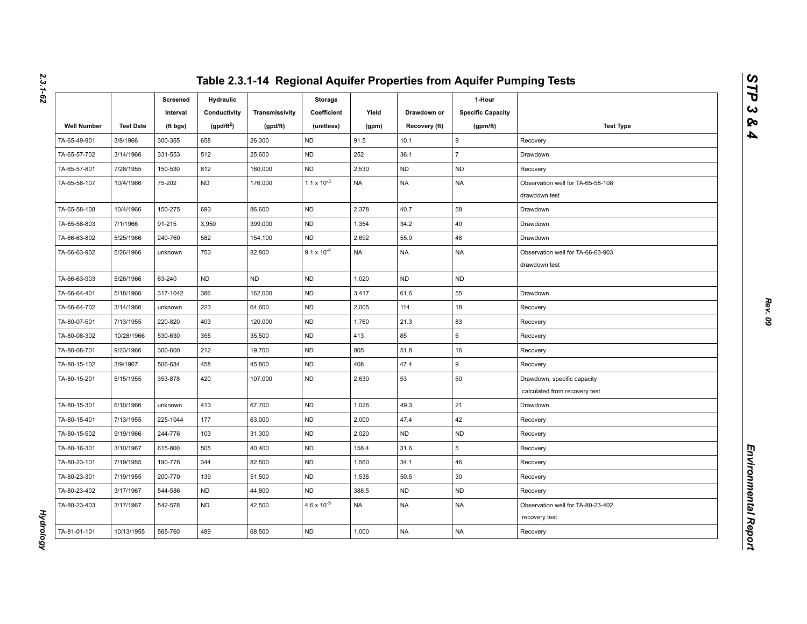|                    |                  | Screened<br>Interval | Hydraulic<br>Conductivity | Transmissivity | Storage<br>Coefficient | Yield     | Drawdown or   | 1-Hour<br><b>Specific Capacity</b> |                                                              |
|--------------------|------------------|----------------------|---------------------------|----------------|------------------------|-----------|---------------|------------------------------------|--------------------------------------------------------------|
| <b>Well Number</b> | <b>Test Date</b> | (ft bgs)             | (gpd/ft <sup>2</sup> )    | (gpd/ft)       | (unitless)             | (gpm)     | Recovery (ft) | (gpm/ft)                           | <b>Test Type</b>                                             |
| TA-65-49-901       | 3/8/1966         | 300-355              | 658                       | 26,300         | <b>ND</b>              | 91.5      | 10.1          | 9                                  | Recovery                                                     |
| TA-65-57-702       | 3/14/1966        | 331-553              | 512                       | 25,600         | <b>ND</b>              | 252       | 36.1          | $\overline{7}$                     | Drawdown                                                     |
| TA-65-57-801       | 7/28/1955        | 150-530              | 812                       | 160,000        | <b>ND</b>              | 2,530     | <b>ND</b>     | <b>ND</b>                          | Recovery                                                     |
| TA-65-58-107       | 10/4/1966        | 75-202               | <b>ND</b>                 | 176,000        | $1.1 \times 10^{-3}$   | <b>NA</b> | <b>NA</b>     | <b>NA</b>                          | Observation well for TA-65-58-108<br>drawdown test           |
| TA-65-58-108       | 10/4/1966        | 150-275              | 693                       | 86,600         | <b>ND</b>              | 2,378     | 40.7          | 58                                 | Drawdown                                                     |
| TA-65-58-803       | 7/1/1966         | 91-215               | 3,950                     | 399,000        | <b>ND</b>              | 1,354     | 34.2          | 40                                 | Drawdown                                                     |
| TA-66-63-802       | 5/25/1966        | 240-760              | 582                       | 154,100        | <b>ND</b>              | 2,692     | 55.9          | 48                                 | Drawdown                                                     |
| TA-66-63-902       | 5/26/1966        | unknown              | 753                       | 82,800         | $9.1 \times 10^{-4}$   | <b>NA</b> | <b>NA</b>     | <b>NA</b>                          | Observation well for TA-66-63-903<br>drawdown test           |
| TA-66-63-903       | 5/26/1966        | 63-240               | <b>ND</b>                 | <b>ND</b>      | <b>ND</b>              | 1,020     | <b>ND</b>     | <b>ND</b>                          |                                                              |
| TA-66-64-401       | 5/18/1966        | 317-1042             | 386                       | 162,000        | <b>ND</b>              | 3,417     | 61.6          | 55                                 | Drawdown                                                     |
| TA-66-64-702       | 3/14/1966        | unknown              | 223                       | 64,600         | <b>ND</b>              | 2,005     | 114           | 18                                 | Recovery                                                     |
| TA-80-07-501       | 7/13/1955        | 220-820              | 403                       | 120,000        | <b>ND</b>              | 1,760     | 21.3          | 83                                 | Recovery                                                     |
| TA-80-08-302       | 10/28/1966       | 530-630              | 355                       | 35,500         | <b>ND</b>              | 413       | 85            | 5                                  | Recovery                                                     |
| TA-80-08-701       | 9/23/1966        | 300-600              | 212                       | 19,700         | <b>ND</b>              | 805       | 51.8          | 16                                 | Recovery                                                     |
| TA-80-15-102       | 3/9/1967         | 506-634              | 458                       | 45,800         | <b>ND</b>              | 408       | 47.4          | 9                                  | Recovery                                                     |
| TA-80-15-201       | 5/15/1955        | 353-878              | 420                       | 107,000        | <b>ND</b>              | 2,630     | 53            | 50                                 | Drawdown, specific capacity<br>calculated from recovery test |
| TA-80-15-301       | 6/10/1966        | unknown              | 413                       | 67,700         | <b>ND</b>              | 1,026     | 49.3          | 21                                 | Drawdown                                                     |
| TA-80-15-401       | 7/13/1955        | 225-1044             | 177                       | 63,000         | <b>ND</b>              | 2,000     | 47.4          | 42                                 | Recovery                                                     |
| TA-80-15-502       | 9/19/1966        | 244-776              | 103                       | 31,300         | <b>ND</b>              | 2,020     | <b>ND</b>     | <b>ND</b>                          | Recovery                                                     |
| TA-80-16-301       | 3/10/1967        | 615-800              | 505                       | 40,400         | <b>ND</b>              | 158.4     | 31.6          | 5                                  | Recovery                                                     |
| TA-80-23-101       | 7/19/1955        | 190-776              | 344                       | 82,500         | <b>ND</b>              | 1,560     | 34.1          | 46                                 | Recovery                                                     |
| TA-80-23-301       | 7/19/1955        | 200-770              | 139                       | 51,500         | <b>ND</b>              | 1,535     | 50.5          | 30                                 | Recovery                                                     |
| TA-80-23-402       | 3/17/1967        | 544-586              | <b>ND</b>                 | 44,800         | <b>ND</b>              | 388.5     | <b>ND</b>     | <b>ND</b>                          | Recovery                                                     |
| TA-80-23-403       | 3/17/1967        | 542-578              | <b>ND</b>                 | 42,500         | $4.6 \times 10^{-5}$   | <b>NA</b> | <b>NA</b>     | NA                                 | Observation well for TA-80-23-402<br>recovery test           |
| TA-81-01-101       | 10/13/1955       | 565-760              | 489                       | 68,500         | <b>ND</b>              | 1,000     | <b>NA</b>     | <b>NA</b>                          | Recovery                                                     |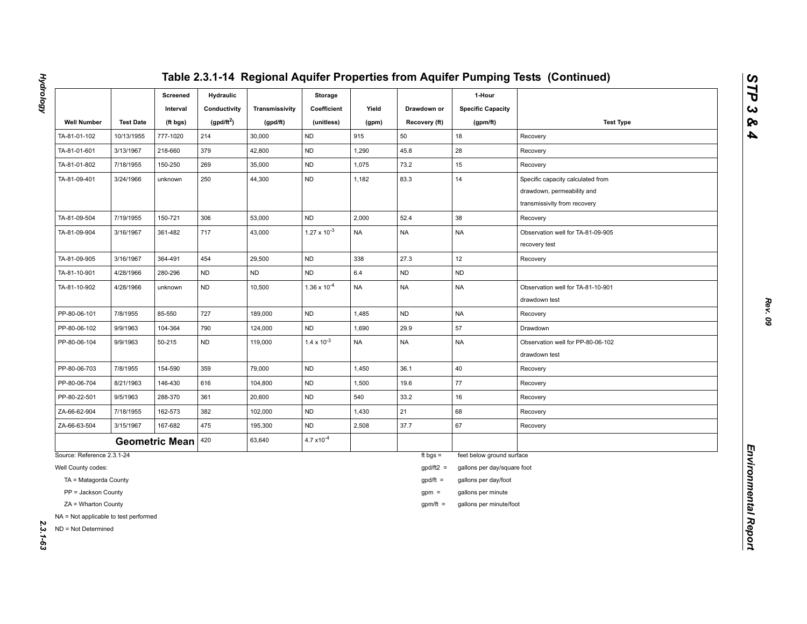|                                                              |                  | Screened<br>Interval  | <b>Hydraulic</b><br>Conductivity | Transmissivity | Storage<br>Coefficient | Yield     | Drawdown or   | 1-Hour<br><b>Specific Capacity</b> |                                                                                                 |
|--------------------------------------------------------------|------------------|-----------------------|----------------------------------|----------------|------------------------|-----------|---------------|------------------------------------|-------------------------------------------------------------------------------------------------|
| <b>Well Number</b>                                           | <b>Test Date</b> | (ft bgs)              | (gpd/ft <sup>2</sup> )           | (gpd/ft)       | (unitless)             | (gpm)     | Recovery (ft) | (gpm/ft)                           | <b>Test Type</b>                                                                                |
| TA-81-01-102                                                 | 10/13/1955       | 777-1020              | 214                              | 30,000         | <b>ND</b>              | 915       | 50            | 18                                 | Recovery                                                                                        |
| TA-81-01-601                                                 | 3/13/1967        | 218-660               | 379                              | 42,800         | <b>ND</b>              | 1,290     | 45.8          | 28                                 | Recovery                                                                                        |
| TA-81-01-802                                                 | 7/18/1955        | 150-250               | 269                              | 35,000         | <b>ND</b>              | 1,075     | 73.2          | 15                                 | Recovery                                                                                        |
| TA-81-09-401                                                 | 3/24/1966        | unknown               | 250                              | 44,300         | <b>ND</b>              | 1,182     | 83.3          | 14                                 | Specific capacity calculated from<br>drawdown, permeability and<br>transmissivity from recovery |
| TA-81-09-504                                                 | 7/19/1955        | 150-721               | 306                              | 53,000         | <b>ND</b>              | 2,000     | 52.4          | 38                                 | Recovery                                                                                        |
| TA-81-09-904                                                 | 3/16/1967        | 361-482               | 717                              | 43,000         | $1.27 \times 10^{-3}$  | <b>NA</b> | <b>NA</b>     | <b>NA</b>                          | Observation well for TA-81-09-905<br>recovery test                                              |
| TA-81-09-905                                                 | 3/16/1967        | 364-491               | 454                              | 29,500         | <b>ND</b>              | 338       | 27.3          | 12                                 | Recovery                                                                                        |
| TA-81-10-901                                                 | 4/28/1966        | 280-296               | <b>ND</b>                        | <b>ND</b>      | <b>ND</b>              | $6.4\,$   | <b>ND</b>     | ND                                 |                                                                                                 |
| TA-81-10-902                                                 | 4/28/1966        | unknown               | <b>ND</b>                        | 10,500         | $1.36 \times 10^{-4}$  | <b>NA</b> | <b>NA</b>     | <b>NA</b>                          | Observation well for TA-81-10-901<br>drawdown test                                              |
| PP-80-06-101                                                 | 7/8/1955         | 85-550                | 727                              | 189,000        | <b>ND</b>              | 1,485     | <b>ND</b>     | <b>NA</b>                          | Recovery                                                                                        |
| PP-80-06-102                                                 | 9/9/1963         | 104-364               | 790                              | 124,000        | ND                     | 1,690     | 29.9          | 57                                 | Drawdown                                                                                        |
| PP-80-06-104                                                 | 9/9/1963         | 50-215                | <b>ND</b>                        | 119,000        | $1.4 \times 10^{-3}$   | <b>NA</b> | <b>NA</b>     | NA                                 | Observation well for PP-80-06-102<br>drawdown test                                              |
| PP-80-06-703                                                 | 7/8/1955         | 154-590               | 359                              | 79,000         | <b>ND</b>              | 1,450     | 36.1          | 40                                 | Recovery                                                                                        |
| PP-80-06-704                                                 | 8/21/1963        | 146-430               | 616                              | 104,800        | <b>ND</b>              | 1,500     | 19.6          | 77                                 | Recovery                                                                                        |
| PP-80-22-501                                                 | 9/5/1963         | 288-370               | 361                              | 20,600         | ND                     | 540       | 33.2          | 16                                 | Recovery                                                                                        |
| ZA-66-62-904                                                 | 7/18/1955        | 162-573               | 382                              | 102,000        | <b>ND</b>              | 1,430     | 21            | 68                                 | Recovery                                                                                        |
| ZA-66-63-504                                                 | 3/15/1967        | 167-682               | 475                              | 195,300        | <b>ND</b>              | 2,508     | 37.7          | 67                                 | Recovery                                                                                        |
|                                                              |                  | <b>Geometric Mean</b> | 420                              | 63,640         | $4.7 \times 10^{-4}$   |           |               |                                    |                                                                                                 |
| Source: Reference 2.3.1-24                                   |                  |                       |                                  |                |                        |           | ft bgs $=$    | feet below ground surface          |                                                                                                 |
| Well County codes:                                           |                  |                       |                                  |                |                        |           | $gpd/ft2 =$   | gallons per day/square foot        |                                                                                                 |
| TA = Matagorda County                                        |                  |                       |                                  |                |                        |           | $gpd/ft =$    | gallons per day/foot               |                                                                                                 |
| PP = Jackson County                                          |                  |                       |                                  |                |                        |           | $gpm =$       | gallons per minute                 |                                                                                                 |
| ZA = Wharton County                                          |                  |                       |                                  |                |                        |           | $gpm/ft =$    | gallons per minute/foot            |                                                                                                 |
| NA = Not applicable to test performed<br>ND = Not Determined |                  |                       |                                  |                |                        |           |               |                                    |                                                                                                 |

**Hydrology** *Hydrology 2.3.1-63*

*STP 3 & 4*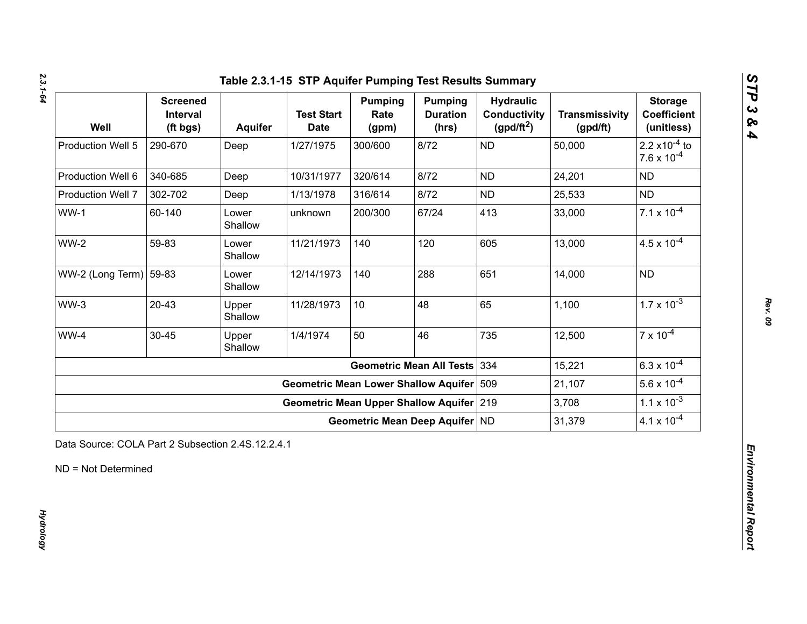| Well                             | <b>Screened</b><br>Interval<br>(ft bgs) | <b>Aquifer</b>   | <b>Test Start</b><br><b>Date</b>            | <b>Pumping</b><br>Rate<br>(gpm) | <b>Pumping</b><br><b>Duration</b><br>(hrs) | <b>Hydraulic</b><br><b>Conductivity</b><br>$(gpd/ft^2)$ | <b>Transmissivity</b><br>(gpd/ft) | <b>Storage</b><br><b>Coefficient</b><br>(unitless)       |
|----------------------------------|-----------------------------------------|------------------|---------------------------------------------|---------------------------------|--------------------------------------------|---------------------------------------------------------|-----------------------------------|----------------------------------------------------------|
| Production Well 5                | 290-670                                 | Deep             | 1/27/1975                                   | 300/600                         | 8/72                                       | <b>ND</b>                                               | 50,000                            | 2.2 $\times$ 10 <sup>-4</sup> to<br>$7.6 \times 10^{-4}$ |
| Production Well 6                | 340-685                                 | Deep             | 10/31/1977                                  | 320/614                         | 8/72                                       | <b>ND</b>                                               | 24,201                            | <b>ND</b>                                                |
| Production Well 7                | 302-702                                 | Deep             | 1/13/1978                                   | 316/614                         | 8/72                                       | <b>ND</b>                                               | 25,533                            | <b>ND</b>                                                |
| $WW-1$                           | 60-140                                  | Lower<br>Shallow | unknown                                     | 200/300                         | 67/24                                      | 413                                                     | 33,000                            | $7.1 \times 10^{-4}$                                     |
| $WW-2$                           | 59-83                                   | Lower<br>Shallow | 11/21/1973                                  | 140                             | 120                                        | 605                                                     | 13,000                            | $4.5 \times 10^{-4}$                                     |
| WW-2 (Long Term) $ 59-83\rangle$ |                                         | Lower<br>Shallow | 12/14/1973                                  | 140                             | 288                                        | 651                                                     | 14,000                            | <b>ND</b>                                                |
| $WW-3$                           | $20 - 43$                               | Upper<br>Shallow | 11/28/1973                                  | 10                              | 48                                         | 65                                                      | 1,100                             | $1.7 \times 10^{-3}$                                     |
| WW-4                             | 30-45                                   | Upper<br>Shallow | 1/4/1974                                    | 50                              | 46                                         | 735                                                     | 12,500                            | $7 \times 10^{-4}$                                       |
|                                  |                                         |                  |                                             |                                 | <b>Geometric Mean All Tests</b>            | 334                                                     | 15,221                            | $6.3 \times 10^{-4}$                                     |
|                                  |                                         |                  | <b>Geometric Mean Lower Shallow Aquifer</b> |                                 |                                            | 509                                                     | 21,107                            | $5.6 \times 10^{-4}$                                     |
|                                  |                                         |                  | Geometric Mean Upper Shallow Aquifer 219    |                                 |                                            |                                                         | 3,708                             | $1.1 \times 10^{-3}$                                     |
|                                  |                                         |                  |                                             |                                 | Geometric Mean Deep Aquifer ND             |                                                         | 31,379                            | $4.1 \times 10^{-4}$                                     |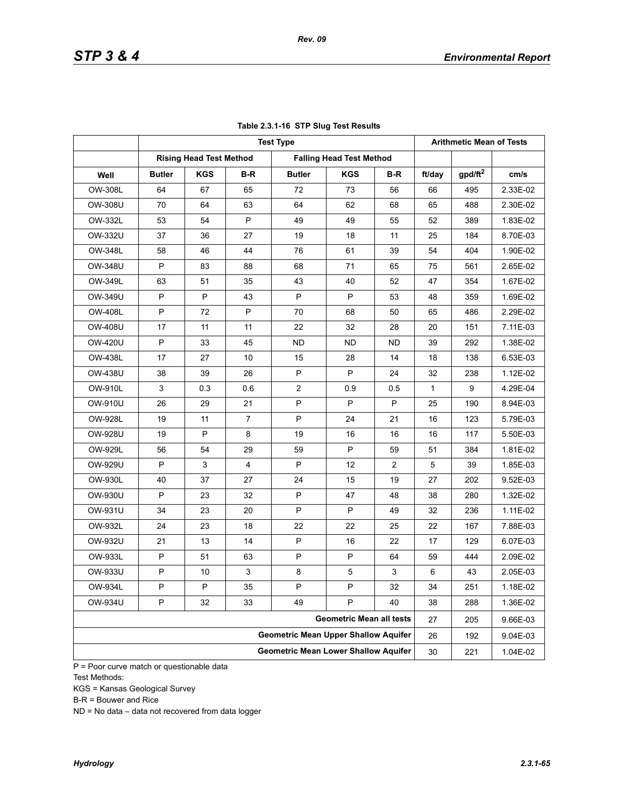|                |               |                                |                | <b>Test Type</b>                            |                                 |     |              | <b>Arithmetic Mean of Tests</b> |          |
|----------------|---------------|--------------------------------|----------------|---------------------------------------------|---------------------------------|-----|--------------|---------------------------------|----------|
|                |               | <b>Rising Head Test Method</b> |                |                                             | <b>Falling Head Test Method</b> |     |              |                                 |          |
| Well           | <b>Butler</b> | <b>KGS</b>                     | B-R            | <b>Butler</b>                               | <b>KGS</b>                      | B-R | ft/day       | gpd/ft <sup>2</sup>             | cm/s     |
| OW-308L        | 64            | 67                             | 65             | 72                                          | 73                              | 56  | 66           | 495                             | 2.33E-02 |
| OW-308U        | 70            | 64                             | 63             | 64                                          | 62                              | 68  | 65           | 488                             | 2.30E-02 |
| OW-332L        | 53            | 54                             | P              | 49                                          | 49                              | 55  | 52           | 389                             | 1.83E-02 |
| OW-332U        | 37            | 36                             | 27             | 19                                          | 18                              | 11  | 25           | 184                             | 8.70E-03 |
| OW-348L        | 58            | 46                             | 44             | 76                                          | 61                              | 39  | 54           | 404                             | 1.90E-02 |
| <b>OW-348U</b> | P             | 83                             | 88             | 68                                          | 71                              | 65  | 75           | 561                             | 2.65E-02 |
| OW-349L        | 63            | 51                             | 35             | 43                                          | 40                              | 52  | 47           | 354                             | 1.67E-02 |
| OW-349U        | P             | P                              | 43             | P                                           | P                               | 53  | 48           | 359                             | 1.69E-02 |
| <b>OW-408L</b> | P             | 72                             | P              | 70                                          | 68                              | 50  | 65           | 486                             | 2.29E-02 |
| OW-408U        | 17            | 11                             | 11             | 22                                          | 32                              | 28  | 20           | 151                             | 7.11E-03 |
| OW-420U        | P             | 33                             | 45             | <b>ND</b>                                   | ND                              | ND. | 39           | 292                             | 1.38E-02 |
| <b>OW-438L</b> | 17            | 27                             | 10             | 15                                          | 28                              | 14  | 18           | 138                             | 6.53E-03 |
| <b>OW-438U</b> | 38            | 39                             | 26             | P                                           | P                               | 24  | 32           | 238                             | 1.12E-02 |
| <b>OW-910L</b> | 3             | 0.3                            | 0.6            | $\overline{2}$                              | 0.9                             | 0.5 | $\mathbf{1}$ | 9                               | 4.29E-04 |
| OW-910U        | 26            | 29                             | 21             | P                                           | P                               | P   | 25           | 190                             | 8.94E-03 |
| <b>OW-928L</b> | 19            | 11                             | $\overline{7}$ | P                                           | 24                              | 21  | 16           | 123                             | 5.79E-03 |
| OW-928U        | 19            | P                              | 8              | 19                                          | 16                              | 16  | 16           | 117                             | 5.50E-03 |
| OW-929L        | 56            | 54                             | 29             | 59                                          | P                               | 59  | 51           | 384                             | 1.81E-02 |
| OW-929U        | P             | 3                              | 4              | P                                           | 12                              | 2   | 5            | 39                              | 1.85E-03 |
| OW-930L        | 40            | 37                             | 27             | 24                                          | 15                              | 19  | 27           | 202                             | 9.52E-03 |
| OW-930U        | P             | 23                             | 32             | P                                           | 47                              | 48  | 38           | 280                             | 1.32E-02 |
| OW-931U        | 34            | 23                             | 20             | P                                           | P                               | 49  | 32           | 236                             | 1.11E-02 |
| OW-932L        | 24            | 23                             | 18             | 22                                          | 22                              | 25  | 22           | 167                             | 7.88E-03 |
| OW-932U        | 21            | 13                             | 14             | P                                           | 16                              | 22  | 17           | 129                             | 6.07E-03 |
| OW-933L        | P             | 51                             | 63             | P                                           | P                               | 64  | 59           | 444                             | 2.09E-02 |
| OW-933U        | P             | 10                             | 3              | 8                                           | $\mathbf 5$                     | 3   | 6            | 43                              | 2.05E-03 |
| OW-934L        | P             | P                              | 35             | P                                           | P                               | 32  | 34           | 251                             | 1.18E-02 |
| OW-934U        | P             | 32                             | 33             | 49                                          | P                               | 40  | 38           | 288                             | 1.36E-02 |
|                |               |                                |                |                                             | <b>Geometric Mean all tests</b> |     | 27           | 205                             | 9.66E-03 |
|                |               |                                |                | <b>Geometric Mean Upper Shallow Aquifer</b> |                                 |     | 26           | 192                             | 9.04E-03 |
|                |               |                                |                | <b>Geometric Mean Lower Shallow Aquifer</b> |                                 |     | 30           | 221                             | 1.04E-02 |

### **Table 2.3.1-16 STP Slug Test Results**

P = Poor curve match or questionable data Test Methods:

KGS = Kansas Geological Survey

B-R = Bouwer and Rice

ND = No data – data not recovered from data logger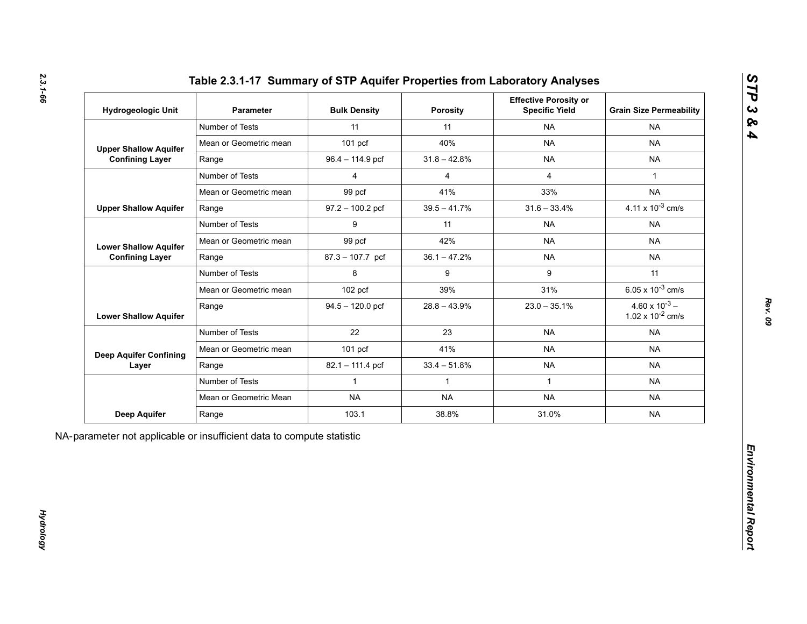| Hydrogeologic Unit                                     | <b>Parameter</b>       | <b>Bulk Density</b> | <b>Porosity</b> | <b>Effective Porosity or</b><br><b>Specific Yield</b> | <b>Grain Size Permeability</b>                   |
|--------------------------------------------------------|------------------------|---------------------|-----------------|-------------------------------------------------------|--------------------------------------------------|
|                                                        | Number of Tests        | 11                  | 11              | <b>NA</b>                                             | <b>NA</b>                                        |
| <b>Upper Shallow Aquifer</b>                           | Mean or Geometric mean | $101$ pcf           | 40%             | <b>NA</b>                                             | <b>NA</b>                                        |
| <b>Confining Layer</b>                                 | Range                  | 96.4 - 114.9 pcf    | $31.8 - 42.8%$  | <b>NA</b>                                             | <b>NA</b>                                        |
|                                                        | Number of Tests        | $\overline{4}$      | $\overline{4}$  | $\overline{4}$                                        | $\mathbf{1}$                                     |
|                                                        | Mean or Geometric mean | 99 pcf              | 41%             | 33%                                                   | <b>NA</b>                                        |
| <b>Upper Shallow Aquifer</b>                           | Range                  | $97.2 - 100.2$ pcf  | $39.5 - 41.7\%$ | $31.6 - 33.4%$                                        | 4.11 x $10^{-3}$ cm/s                            |
|                                                        | Number of Tests        | 9                   | 11              | <b>NA</b>                                             | <b>NA</b>                                        |
| <b>Lower Shallow Aquifer</b><br><b>Confining Layer</b> | Mean or Geometric mean | 99 pcf              | 42%             | <b>NA</b>                                             | <b>NA</b>                                        |
|                                                        | Range                  | 87.3 - 107.7 pcf    | $36.1 - 47.2%$  | <b>NA</b>                                             | <b>NA</b>                                        |
|                                                        | Number of Tests        | 8                   | 9               | 9                                                     | 11                                               |
| <b>Lower Shallow Aquifer</b>                           | Mean or Geometric mean | 102 pcf             | 39%             | 31%                                                   | 6.05 x $10^{-3}$ cm/s                            |
|                                                        | Range                  | $94.5 - 120.0$ pcf  | $28.8 - 43.9%$  | $23.0 - 35.1\%$                                       | $4.60 \times 10^{-3}$ –<br>1.02 x $10^{-2}$ cm/s |
|                                                        | Number of Tests        | 22                  | 23              | <b>NA</b>                                             | <b>NA</b>                                        |
| <b>Deep Aquifer Confining</b>                          | Mean or Geometric mean | $101$ pcf           | 41%             | <b>NA</b>                                             | <b>NA</b>                                        |
| Layer                                                  | Range                  | 82.1 - 111.4 pcf    | $33.4 - 51.8%$  | <b>NA</b>                                             | <b>NA</b>                                        |
|                                                        | Number of Tests        | $\mathbf{1}$        | $\mathbf{1}$    | $\mathbf{1}$                                          | <b>NA</b>                                        |
|                                                        | Mean or Geometric Mean | <b>NA</b>           | <b>NA</b>       | <b>NA</b>                                             | <b>NA</b>                                        |
| Deep Aquifer                                           | Range                  | 103.1               | 38.8%           | 31.0%                                                 | <b>NA</b>                                        |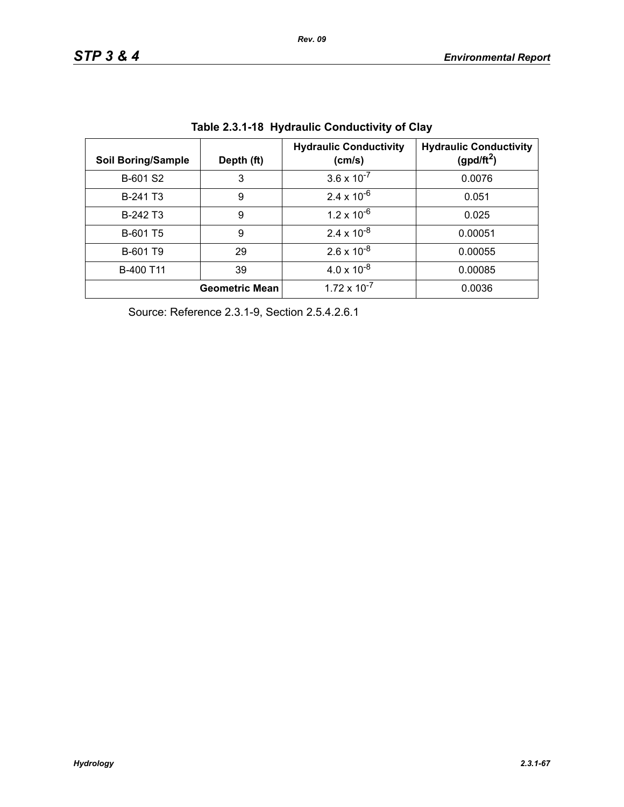| <b>Soil Boring/Sample</b> | Depth (ft)            | <b>Hydraulic Conductivity</b><br>(cm/s) | <b>Hydraulic Conductivity</b><br>(gpd/ft <sup>2</sup> ) |
|---------------------------|-----------------------|-----------------------------------------|---------------------------------------------------------|
| B-601 S2                  | 3                     | $3.6 \times 10^{-7}$                    | 0.0076                                                  |
| B-241 T <sub>3</sub>      | 9                     | $2.4 \times 10^{-6}$                    | 0.051                                                   |
| B-242 T <sub>3</sub>      | 9                     | $1.2 \times 10^{-6}$                    | 0.025                                                   |
| B-601 T5                  | 9                     | $2.4 \times 10^{-8}$                    | 0.00051                                                 |
| B-601 T9                  | 29                    | $2.6 \times 10^{-8}$                    | 0.00055                                                 |
| B-400 T11                 | 39                    | $4.0 \times 10^{-8}$                    | 0.00085                                                 |
|                           | <b>Geometric Mean</b> | $1.72 \times 10^{-7}$                   | 0.0036                                                  |

**Table 2.3.1-18 Hydraulic Conductivity of Clay** 

Source: Reference 2.3.1-9, Section 2.5.4.2.6.1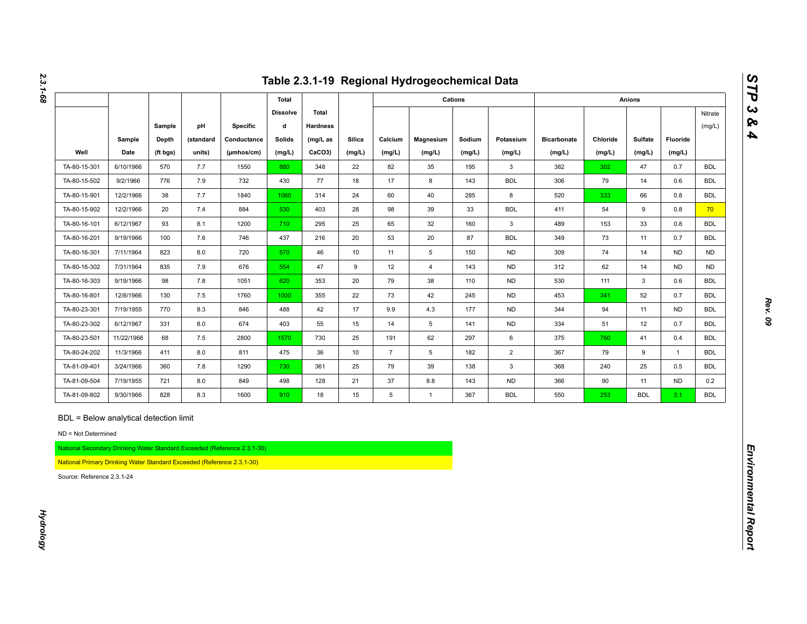|                                                                                                                                                                       |                |                   |                     |                                                                          |                         |                          |                  |                   | Table 2.3.1-19 Regional Hydrogeochemical Data |                  |                     |                              |                    |                   |                    |                   |
|-----------------------------------------------------------------------------------------------------------------------------------------------------------------------|----------------|-------------------|---------------------|--------------------------------------------------------------------------|-------------------------|--------------------------|------------------|-------------------|-----------------------------------------------|------------------|---------------------|------------------------------|--------------------|-------------------|--------------------|-------------------|
|                                                                                                                                                                       |                |                   |                     |                                                                          | Total                   |                          |                  |                   |                                               | Cations          |                     |                              |                    | <b>Anions</b>     |                    |                   |
|                                                                                                                                                                       |                | Sample            | pH                  | <b>Specific</b>                                                          | <b>Dissolve</b><br>d    | Total<br><b>Hardness</b> |                  |                   |                                               |                  |                     |                              |                    |                   |                    | Nitrate<br>(mg/L) |
| Well                                                                                                                                                                  | Sample<br>Date | Depth<br>(ft bgs) | (standard<br>units) | Conductance<br>(µmhos/cm)                                                | <b>Solids</b><br>(mg/L) | $(mg/L)$ as<br>CaCO3)    | Silica<br>(mg/L) | Calcium<br>(mg/L) | Magnesium<br>(mg/L)                           | Sodium<br>(mg/L) | Potassium<br>(mg/L) | <b>Bicarbonate</b><br>(mg/L) | Chloride<br>(mg/L) | Sulfate<br>(mg/L) | Fluoride<br>(mg/L) |                   |
| TA-80-15-301                                                                                                                                                          | 6/10/1966      | 570               | 7.7                 | 1550                                                                     | 880                     | 348                      | 22               | 82                | 35                                            | 195              | $\mathbf{3}$        | 382                          | 302                | 47                | 0.7                | <b>BDL</b>        |
| TA-80-15-502                                                                                                                                                          | 9/2/1966       | 776               | 7.9                 | 732                                                                      | 430                     | 77                       | 18               | 17                | 8                                             | 143              | <b>BDL</b>          | 306                          | 79                 | 14                | 0.6                | <b>BDL</b>        |
| TA-80-15-901                                                                                                                                                          | 12/2/1966      | 38                | 7.7                 | 1840                                                                     | 1060                    | 314                      | 24               | 60                | 40                                            | 285              | 8                   | 520                          | 333                | 66                | 0.8                | <b>BDL</b>        |
| TA-80-15-902                                                                                                                                                          | 12/2/1966      | 20                | 7.4                 | 884                                                                      | 530                     | 403                      | 28               | 98                | 39                                            | 33               | <b>BDL</b>          | 411                          | 54                 | 9                 | 0.8                | 70                |
| TA-80-16-101                                                                                                                                                          | 6/12/1967      | 93                | 8.1                 | 1200                                                                     | 710                     | 295                      | 25               | 65                | 32                                            | 160              | $\mathbf{3}$        | 489                          | 153                | 33                | 0.8                | <b>BDL</b>        |
| TA-80-16-201                                                                                                                                                          | 9/19/1966      | 100               | 7.6                 | 746                                                                      | 437                     | 216                      | 20               | 53                | 20                                            | 87               | <b>BDL</b>          | 349                          | 73                 | 11                | 0.7                | <b>BDL</b>        |
| TA-80-16-301                                                                                                                                                          | 7/11/1964      | 823               | 8.0                 | 720                                                                      | 570                     | 46                       | 10               | 11                | $5\overline{)}$                               | 150              | <b>ND</b>           | 309                          | 74                 | 14                | <b>ND</b>          | <b>ND</b>         |
| TA-80-16-302                                                                                                                                                          | 7/31/1964      | 835               | 7.9                 | 676                                                                      | 554                     | 47                       | 9                | 12                | $\overline{4}$                                | 143              | <b>ND</b>           | 312                          | 62                 | 14                | <b>ND</b>          | <b>ND</b>         |
| TA-80-16-303                                                                                                                                                          | 9/19/1966      | 98                | 7.8                 | 1051                                                                     | 620                     | 353                      | 20               | 79                | 38                                            | 110              | <b>ND</b>           | 530                          | 111                | $\mathbf{3}$      | 0.6                | <b>BDL</b>        |
| TA-80-16-801                                                                                                                                                          | 12/8/1966      | 130               | 7.5                 | 1760                                                                     | 1000                    | 355                      | 22               | 73                | 42                                            | 245              | <b>ND</b>           | 453                          | 341                | 52                | 0.7                | <b>BDL</b>        |
| TA-80-23-301                                                                                                                                                          | 7/19/1955      | 770               | 8.3                 | 846                                                                      | 488                     | 42                       | 17               | 9.9               | 4.3                                           | 177              | <b>ND</b>           | 344                          | 94                 | 11                | ND                 | <b>BDL</b>        |
| TA-80-23-302                                                                                                                                                          | 6/12/1967      | 331               | 8.0                 | 674                                                                      | 403                     | 55                       | 15               | 14                | 5                                             | 141              | <b>ND</b>           | 334                          | 51                 | 12                | 0.7                | <b>BDL</b>        |
| TA-80-23-501                                                                                                                                                          | 11/22/1966     | 68                | 7.5                 | 2800                                                                     | 1570                    | 730                      | 25               | 191               | 62                                            | 297              | 6                   | 375                          | 760                | 41                | 0.4                | <b>BDL</b>        |
| TA-80-24-202                                                                                                                                                          | 11/3/1966      | 411               | 8.0                 | 811                                                                      | 475                     | 36                       | 10               | $\overline{7}$    | 5 <sub>5</sub>                                | 182              | $\overline{2}$      | 367                          | 79                 | 9                 | $\overline{1}$     | <b>BDL</b>        |
| TA-81-09-401                                                                                                                                                          | 3/24/1966      | 360               | 7.8                 | 1290                                                                     | 730                     | 361                      | 25               | 79                | 39                                            | 138              | $\mathbf{3}$        | 368                          | 240                | 25                | 0.5                | <b>BDL</b>        |
| TA-81-09-504                                                                                                                                                          | 7/19/1955      | 721               | 8.0                 | 849                                                                      | 498                     | 128                      | 21               | 37                | 8.8                                           | 143              | <b>ND</b>           | 366                          | 90                 | 11                | <b>ND</b>          | 0.2               |
| TA-81-09-802                                                                                                                                                          | 9/30/1966      | 828               | 8.3                 | 1600                                                                     | 910                     | 18                       | 15               | 5                 | $\mathbf{1}$                                  | 367              | <b>BDL</b>          | 550                          | 253                | <b>BDL</b>        | 3.1                | <b>BDL</b>        |
| BDL = Below analytical detection limit<br>ND = Not Determined<br>National Primary Drinking Water Standard Exceeded (Reference 2.3.1-30)<br>Source: Reference 2.3.1-24 |                |                   |                     | National Secondary Drinking Water Standard Exceeded (Reference 2.3.1-30) |                         |                          |                  |                   |                                               |                  |                     |                              |                    |                   |                    |                   |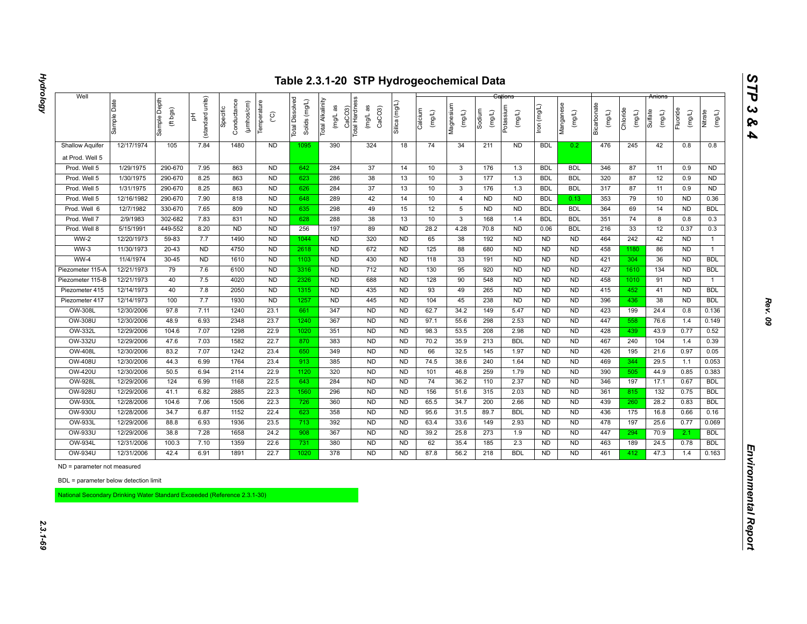| 12/17/1974                  | Sample Depth<br>(ft bgs)<br>105                                                                                                                                                                                                         | units)<br>(standard<br>苦<br>7.84                                                                                                                                                                                                          | Conductance<br>(µmhos/cm)<br>Specific                                                                                                                                             | Temperature<br>$\rm _{\rm C}^{\circ}$                                                                                                                                         | Dissolved<br>Solids (mg/L)<br><b>Total</b>                                                                                                                                                                                                               | Total Alkalinity<br>(mg/L as                                                                                                                                      | CaCO3)<br>Total Hardness<br>(mg/L as<br>CaCO <sub>3</sub>                                                                                                                                        | Silica (mg/L                                                                                                                                                                                                            | Calcium<br>(mg/L)                                                                                                                                                                                                                                              | Magnesium<br>(mg/L)                                                                                                                                   | Sodium<br>$($ mg/L)                                                                                                                                                        | Potassium<br>(mg/L)                                                                                                                                                 | lron (mg/L)                                                                                                                                                                                                                                            | Manganese<br>(mg/L)                                                                                                                                                                                                                                                                            | Bicarbonate<br>(mg/L)                                                                                                                                                                                                                                                                     | Chloride<br>(mg/L)                                                                                                                                     | Sulfate<br>(mg/L)                                                                                                                                    | Fluoride<br>(mg/L)                                                                                                                                   | Nitrate<br>(mg/L)                                                                                                                                                                                                   |
|-----------------------------|-----------------------------------------------------------------------------------------------------------------------------------------------------------------------------------------------------------------------------------------|-------------------------------------------------------------------------------------------------------------------------------------------------------------------------------------------------------------------------------------------|-----------------------------------------------------------------------------------------------------------------------------------------------------------------------------------|-------------------------------------------------------------------------------------------------------------------------------------------------------------------------------|----------------------------------------------------------------------------------------------------------------------------------------------------------------------------------------------------------------------------------------------------------|-------------------------------------------------------------------------------------------------------------------------------------------------------------------|--------------------------------------------------------------------------------------------------------------------------------------------------------------------------------------------------|-------------------------------------------------------------------------------------------------------------------------------------------------------------------------------------------------------------------------|----------------------------------------------------------------------------------------------------------------------------------------------------------------------------------------------------------------------------------------------------------------|-------------------------------------------------------------------------------------------------------------------------------------------------------|----------------------------------------------------------------------------------------------------------------------------------------------------------------------------|---------------------------------------------------------------------------------------------------------------------------------------------------------------------|--------------------------------------------------------------------------------------------------------------------------------------------------------------------------------------------------------------------------------------------------------|------------------------------------------------------------------------------------------------------------------------------------------------------------------------------------------------------------------------------------------------------------------------------------------------|-------------------------------------------------------------------------------------------------------------------------------------------------------------------------------------------------------------------------------------------------------------------------------------------|--------------------------------------------------------------------------------------------------------------------------------------------------------|------------------------------------------------------------------------------------------------------------------------------------------------------|------------------------------------------------------------------------------------------------------------------------------------------------------|---------------------------------------------------------------------------------------------------------------------------------------------------------------------------------------------------------------------|
|                             |                                                                                                                                                                                                                                         |                                                                                                                                                                                                                                           |                                                                                                                                                                                   |                                                                                                                                                                               |                                                                                                                                                                                                                                                          |                                                                                                                                                                   |                                                                                                                                                                                                  |                                                                                                                                                                                                                         |                                                                                                                                                                                                                                                                |                                                                                                                                                       |                                                                                                                                                                            |                                                                                                                                                                     |                                                                                                                                                                                                                                                        |                                                                                                                                                                                                                                                                                                |                                                                                                                                                                                                                                                                                           |                                                                                                                                                        |                                                                                                                                                      |                                                                                                                                                      |                                                                                                                                                                                                                     |
|                             |                                                                                                                                                                                                                                         |                                                                                                                                                                                                                                           | 1480                                                                                                                                                                              | <b>ND</b>                                                                                                                                                                     | 1095                                                                                                                                                                                                                                                     | 390                                                                                                                                                               | 324                                                                                                                                                                                              | 18                                                                                                                                                                                                                      | 74                                                                                                                                                                                                                                                             | 34                                                                                                                                                    | 211                                                                                                                                                                        | <b>ND</b>                                                                                                                                                           | <b>BDL</b>                                                                                                                                                                                                                                             | 0.2                                                                                                                                                                                                                                                                                            | 476                                                                                                                                                                                                                                                                                       | 245                                                                                                                                                    | 42                                                                                                                                                   | 0.8                                                                                                                                                  | 0.8                                                                                                                                                                                                                 |
|                             |                                                                                                                                                                                                                                         |                                                                                                                                                                                                                                           |                                                                                                                                                                                   |                                                                                                                                                                               |                                                                                                                                                                                                                                                          |                                                                                                                                                                   |                                                                                                                                                                                                  |                                                                                                                                                                                                                         |                                                                                                                                                                                                                                                                |                                                                                                                                                       |                                                                                                                                                                            |                                                                                                                                                                     |                                                                                                                                                                                                                                                        |                                                                                                                                                                                                                                                                                                |                                                                                                                                                                                                                                                                                           |                                                                                                                                                        |                                                                                                                                                      |                                                                                                                                                      |                                                                                                                                                                                                                     |
| 1/29/1975                   | 290-670                                                                                                                                                                                                                                 | 7.95                                                                                                                                                                                                                                      | 863                                                                                                                                                                               | <b>ND</b>                                                                                                                                                                     | 642                                                                                                                                                                                                                                                      | 284                                                                                                                                                               | 37                                                                                                                                                                                               | 14                                                                                                                                                                                                                      | 10                                                                                                                                                                                                                                                             | $\mathbf{3}$                                                                                                                                          | 176                                                                                                                                                                        | 1.3                                                                                                                                                                 | <b>BDL</b>                                                                                                                                                                                                                                             | <b>BDL</b>                                                                                                                                                                                                                                                                                     | 346                                                                                                                                                                                                                                                                                       | 87                                                                                                                                                     | 11                                                                                                                                                   | 0.9                                                                                                                                                  | <b>ND</b>                                                                                                                                                                                                           |
| 1/30/1975                   | 290-670                                                                                                                                                                                                                                 | 8.25                                                                                                                                                                                                                                      | 863                                                                                                                                                                               | <b>ND</b>                                                                                                                                                                     | 623                                                                                                                                                                                                                                                      | 286                                                                                                                                                               | 38                                                                                                                                                                                               | 13                                                                                                                                                                                                                      | 10                                                                                                                                                                                                                                                             | $\mathbf{3}$                                                                                                                                          | 177                                                                                                                                                                        | 1.3                                                                                                                                                                 | <b>BDL</b>                                                                                                                                                                                                                                             | <b>BDL</b>                                                                                                                                                                                                                                                                                     | 320                                                                                                                                                                                                                                                                                       | 87                                                                                                                                                     | 12                                                                                                                                                   | 0.9                                                                                                                                                  | <b>ND</b>                                                                                                                                                                                                           |
| 1/31/1975                   |                                                                                                                                                                                                                                         |                                                                                                                                                                                                                                           |                                                                                                                                                                                   |                                                                                                                                                                               |                                                                                                                                                                                                                                                          |                                                                                                                                                                   |                                                                                                                                                                                                  |                                                                                                                                                                                                                         |                                                                                                                                                                                                                                                                |                                                                                                                                                       |                                                                                                                                                                            |                                                                                                                                                                     |                                                                                                                                                                                                                                                        |                                                                                                                                                                                                                                                                                                |                                                                                                                                                                                                                                                                                           |                                                                                                                                                        |                                                                                                                                                      |                                                                                                                                                      | <b>ND</b>                                                                                                                                                                                                           |
|                             |                                                                                                                                                                                                                                         |                                                                                                                                                                                                                                           |                                                                                                                                                                                   |                                                                                                                                                                               |                                                                                                                                                                                                                                                          |                                                                                                                                                                   |                                                                                                                                                                                                  |                                                                                                                                                                                                                         |                                                                                                                                                                                                                                                                |                                                                                                                                                       |                                                                                                                                                                            |                                                                                                                                                                     |                                                                                                                                                                                                                                                        |                                                                                                                                                                                                                                                                                                |                                                                                                                                                                                                                                                                                           |                                                                                                                                                        |                                                                                                                                                      |                                                                                                                                                      | 0.36                                                                                                                                                                                                                |
|                             |                                                                                                                                                                                                                                         |                                                                                                                                                                                                                                           |                                                                                                                                                                                   |                                                                                                                                                                               |                                                                                                                                                                                                                                                          |                                                                                                                                                                   |                                                                                                                                                                                                  |                                                                                                                                                                                                                         |                                                                                                                                                                                                                                                                |                                                                                                                                                       |                                                                                                                                                                            |                                                                                                                                                                     |                                                                                                                                                                                                                                                        |                                                                                                                                                                                                                                                                                                |                                                                                                                                                                                                                                                                                           |                                                                                                                                                        |                                                                                                                                                      |                                                                                                                                                      | <b>BDL</b>                                                                                                                                                                                                          |
| 2/9/1983                    |                                                                                                                                                                                                                                         |                                                                                                                                                                                                                                           |                                                                                                                                                                                   |                                                                                                                                                                               |                                                                                                                                                                                                                                                          |                                                                                                                                                                   |                                                                                                                                                                                                  |                                                                                                                                                                                                                         |                                                                                                                                                                                                                                                                |                                                                                                                                                       |                                                                                                                                                                            |                                                                                                                                                                     |                                                                                                                                                                                                                                                        |                                                                                                                                                                                                                                                                                                |                                                                                                                                                                                                                                                                                           |                                                                                                                                                        |                                                                                                                                                      |                                                                                                                                                      | 0.3                                                                                                                                                                                                                 |
|                             |                                                                                                                                                                                                                                         |                                                                                                                                                                                                                                           |                                                                                                                                                                                   |                                                                                                                                                                               |                                                                                                                                                                                                                                                          |                                                                                                                                                                   |                                                                                                                                                                                                  |                                                                                                                                                                                                                         |                                                                                                                                                                                                                                                                |                                                                                                                                                       |                                                                                                                                                                            |                                                                                                                                                                     |                                                                                                                                                                                                                                                        |                                                                                                                                                                                                                                                                                                |                                                                                                                                                                                                                                                                                           |                                                                                                                                                        |                                                                                                                                                      |                                                                                                                                                      | 0.3                                                                                                                                                                                                                 |
|                             |                                                                                                                                                                                                                                         |                                                                                                                                                                                                                                           |                                                                                                                                                                                   |                                                                                                                                                                               |                                                                                                                                                                                                                                                          |                                                                                                                                                                   |                                                                                                                                                                                                  |                                                                                                                                                                                                                         |                                                                                                                                                                                                                                                                |                                                                                                                                                       |                                                                                                                                                                            |                                                                                                                                                                     |                                                                                                                                                                                                                                                        |                                                                                                                                                                                                                                                                                                |                                                                                                                                                                                                                                                                                           |                                                                                                                                                        |                                                                                                                                                      |                                                                                                                                                      | $\mathbf{1}$                                                                                                                                                                                                        |
|                             |                                                                                                                                                                                                                                         |                                                                                                                                                                                                                                           |                                                                                                                                                                                   |                                                                                                                                                                               |                                                                                                                                                                                                                                                          |                                                                                                                                                                   |                                                                                                                                                                                                  |                                                                                                                                                                                                                         |                                                                                                                                                                                                                                                                |                                                                                                                                                       |                                                                                                                                                                            |                                                                                                                                                                     |                                                                                                                                                                                                                                                        |                                                                                                                                                                                                                                                                                                |                                                                                                                                                                                                                                                                                           |                                                                                                                                                        |                                                                                                                                                      |                                                                                                                                                      | $\mathbf{1}$                                                                                                                                                                                                        |
|                             |                                                                                                                                                                                                                                         |                                                                                                                                                                                                                                           |                                                                                                                                                                                   |                                                                                                                                                                               |                                                                                                                                                                                                                                                          |                                                                                                                                                                   |                                                                                                                                                                                                  |                                                                                                                                                                                                                         |                                                                                                                                                                                                                                                                |                                                                                                                                                       |                                                                                                                                                                            |                                                                                                                                                                     |                                                                                                                                                                                                                                                        |                                                                                                                                                                                                                                                                                                |                                                                                                                                                                                                                                                                                           |                                                                                                                                                        |                                                                                                                                                      |                                                                                                                                                      | <b>BDL</b>                                                                                                                                                                                                          |
|                             |                                                                                                                                                                                                                                         |                                                                                                                                                                                                                                           |                                                                                                                                                                                   |                                                                                                                                                                               |                                                                                                                                                                                                                                                          |                                                                                                                                                                   |                                                                                                                                                                                                  |                                                                                                                                                                                                                         |                                                                                                                                                                                                                                                                |                                                                                                                                                       |                                                                                                                                                                            |                                                                                                                                                                     |                                                                                                                                                                                                                                                        |                                                                                                                                                                                                                                                                                                |                                                                                                                                                                                                                                                                                           |                                                                                                                                                        |                                                                                                                                                      |                                                                                                                                                      | <b>BDL</b>                                                                                                                                                                                                          |
|                             |                                                                                                                                                                                                                                         |                                                                                                                                                                                                                                           |                                                                                                                                                                                   |                                                                                                                                                                               |                                                                                                                                                                                                                                                          |                                                                                                                                                                   |                                                                                                                                                                                                  |                                                                                                                                                                                                                         |                                                                                                                                                                                                                                                                |                                                                                                                                                       |                                                                                                                                                                            |                                                                                                                                                                     |                                                                                                                                                                                                                                                        |                                                                                                                                                                                                                                                                                                |                                                                                                                                                                                                                                                                                           |                                                                                                                                                        |                                                                                                                                                      |                                                                                                                                                      | $\mathbf{1}$<br><b>BDL</b>                                                                                                                                                                                          |
|                             |                                                                                                                                                                                                                                         |                                                                                                                                                                                                                                           |                                                                                                                                                                                   |                                                                                                                                                                               |                                                                                                                                                                                                                                                          |                                                                                                                                                                   |                                                                                                                                                                                                  |                                                                                                                                                                                                                         |                                                                                                                                                                                                                                                                |                                                                                                                                                       |                                                                                                                                                                            |                                                                                                                                                                     |                                                                                                                                                                                                                                                        |                                                                                                                                                                                                                                                                                                |                                                                                                                                                                                                                                                                                           |                                                                                                                                                        |                                                                                                                                                      |                                                                                                                                                      | <b>BDL</b>                                                                                                                                                                                                          |
|                             |                                                                                                                                                                                                                                         |                                                                                                                                                                                                                                           |                                                                                                                                                                                   |                                                                                                                                                                               |                                                                                                                                                                                                                                                          |                                                                                                                                                                   |                                                                                                                                                                                                  |                                                                                                                                                                                                                         |                                                                                                                                                                                                                                                                |                                                                                                                                                       |                                                                                                                                                                            |                                                                                                                                                                     |                                                                                                                                                                                                                                                        |                                                                                                                                                                                                                                                                                                |                                                                                                                                                                                                                                                                                           |                                                                                                                                                        |                                                                                                                                                      |                                                                                                                                                      | 0.136                                                                                                                                                                                                               |
|                             |                                                                                                                                                                                                                                         |                                                                                                                                                                                                                                           |                                                                                                                                                                                   |                                                                                                                                                                               |                                                                                                                                                                                                                                                          |                                                                                                                                                                   |                                                                                                                                                                                                  |                                                                                                                                                                                                                         |                                                                                                                                                                                                                                                                |                                                                                                                                                       |                                                                                                                                                                            |                                                                                                                                                                     |                                                                                                                                                                                                                                                        |                                                                                                                                                                                                                                                                                                |                                                                                                                                                                                                                                                                                           |                                                                                                                                                        |                                                                                                                                                      |                                                                                                                                                      | 0.149                                                                                                                                                                                                               |
|                             |                                                                                                                                                                                                                                         |                                                                                                                                                                                                                                           |                                                                                                                                                                                   |                                                                                                                                                                               |                                                                                                                                                                                                                                                          |                                                                                                                                                                   |                                                                                                                                                                                                  |                                                                                                                                                                                                                         |                                                                                                                                                                                                                                                                |                                                                                                                                                       |                                                                                                                                                                            |                                                                                                                                                                     |                                                                                                                                                                                                                                                        |                                                                                                                                                                                                                                                                                                |                                                                                                                                                                                                                                                                                           |                                                                                                                                                        |                                                                                                                                                      |                                                                                                                                                      | 0.52                                                                                                                                                                                                                |
|                             |                                                                                                                                                                                                                                         |                                                                                                                                                                                                                                           |                                                                                                                                                                                   |                                                                                                                                                                               |                                                                                                                                                                                                                                                          |                                                                                                                                                                   |                                                                                                                                                                                                  |                                                                                                                                                                                                                         |                                                                                                                                                                                                                                                                |                                                                                                                                                       |                                                                                                                                                                            |                                                                                                                                                                     |                                                                                                                                                                                                                                                        |                                                                                                                                                                                                                                                                                                |                                                                                                                                                                                                                                                                                           |                                                                                                                                                        |                                                                                                                                                      |                                                                                                                                                      | 0.39                                                                                                                                                                                                                |
|                             |                                                                                                                                                                                                                                         |                                                                                                                                                                                                                                           |                                                                                                                                                                                   |                                                                                                                                                                               |                                                                                                                                                                                                                                                          |                                                                                                                                                                   |                                                                                                                                                                                                  |                                                                                                                                                                                                                         |                                                                                                                                                                                                                                                                |                                                                                                                                                       |                                                                                                                                                                            |                                                                                                                                                                     |                                                                                                                                                                                                                                                        |                                                                                                                                                                                                                                                                                                |                                                                                                                                                                                                                                                                                           |                                                                                                                                                        |                                                                                                                                                      |                                                                                                                                                      | 0.05                                                                                                                                                                                                                |
|                             |                                                                                                                                                                                                                                         |                                                                                                                                                                                                                                           |                                                                                                                                                                                   |                                                                                                                                                                               |                                                                                                                                                                                                                                                          |                                                                                                                                                                   |                                                                                                                                                                                                  |                                                                                                                                                                                                                         |                                                                                                                                                                                                                                                                |                                                                                                                                                       |                                                                                                                                                                            |                                                                                                                                                                     |                                                                                                                                                                                                                                                        |                                                                                                                                                                                                                                                                                                |                                                                                                                                                                                                                                                                                           |                                                                                                                                                        |                                                                                                                                                      |                                                                                                                                                      | 0.053                                                                                                                                                                                                               |
|                             |                                                                                                                                                                                                                                         |                                                                                                                                                                                                                                           |                                                                                                                                                                                   |                                                                                                                                                                               |                                                                                                                                                                                                                                                          |                                                                                                                                                                   |                                                                                                                                                                                                  |                                                                                                                                                                                                                         |                                                                                                                                                                                                                                                                |                                                                                                                                                       |                                                                                                                                                                            |                                                                                                                                                                     |                                                                                                                                                                                                                                                        |                                                                                                                                                                                                                                                                                                |                                                                                                                                                                                                                                                                                           |                                                                                                                                                        |                                                                                                                                                      |                                                                                                                                                      | 0.383                                                                                                                                                                                                               |
| 12/29/2006                  |                                                                                                                                                                                                                                         |                                                                                                                                                                                                                                           |                                                                                                                                                                                   |                                                                                                                                                                               |                                                                                                                                                                                                                                                          |                                                                                                                                                                   |                                                                                                                                                                                                  |                                                                                                                                                                                                                         |                                                                                                                                                                                                                                                                |                                                                                                                                                       |                                                                                                                                                                            |                                                                                                                                                                     |                                                                                                                                                                                                                                                        |                                                                                                                                                                                                                                                                                                |                                                                                                                                                                                                                                                                                           |                                                                                                                                                        |                                                                                                                                                      |                                                                                                                                                      | <b>BDL</b>                                                                                                                                                                                                          |
| 12/29/2006                  |                                                                                                                                                                                                                                         |                                                                                                                                                                                                                                           |                                                                                                                                                                                   |                                                                                                                                                                               |                                                                                                                                                                                                                                                          |                                                                                                                                                                   |                                                                                                                                                                                                  |                                                                                                                                                                                                                         |                                                                                                                                                                                                                                                                |                                                                                                                                                       |                                                                                                                                                                            |                                                                                                                                                                     |                                                                                                                                                                                                                                                        |                                                                                                                                                                                                                                                                                                |                                                                                                                                                                                                                                                                                           |                                                                                                                                                        |                                                                                                                                                      |                                                                                                                                                      | <b>BDL</b>                                                                                                                                                                                                          |
| 12/28/2006                  |                                                                                                                                                                                                                                         |                                                                                                                                                                                                                                           |                                                                                                                                                                                   |                                                                                                                                                                               |                                                                                                                                                                                                                                                          |                                                                                                                                                                   |                                                                                                                                                                                                  |                                                                                                                                                                                                                         |                                                                                                                                                                                                                                                                |                                                                                                                                                       |                                                                                                                                                                            |                                                                                                                                                                     |                                                                                                                                                                                                                                                        |                                                                                                                                                                                                                                                                                                |                                                                                                                                                                                                                                                                                           |                                                                                                                                                        |                                                                                                                                                      |                                                                                                                                                      | <b>BDL</b>                                                                                                                                                                                                          |
| 12/28/2006                  | 34.7                                                                                                                                                                                                                                    | 6.87                                                                                                                                                                                                                                      | 1152                                                                                                                                                                              | 22.4                                                                                                                                                                          | 623                                                                                                                                                                                                                                                      | 358                                                                                                                                                               | <b>ND</b>                                                                                                                                                                                        | <b>ND</b>                                                                                                                                                                                                               | 95.6                                                                                                                                                                                                                                                           | 31.5                                                                                                                                                  | 89.7                                                                                                                                                                       | <b>BDL</b>                                                                                                                                                          | <b>ND</b>                                                                                                                                                                                                                                              | <b>ND</b>                                                                                                                                                                                                                                                                                      | 436                                                                                                                                                                                                                                                                                       | 175                                                                                                                                                    | 16.8                                                                                                                                                 | 0.66                                                                                                                                                 | 0.16                                                                                                                                                                                                                |
| 12/29/2006                  | 88.8                                                                                                                                                                                                                                    | 6.93                                                                                                                                                                                                                                      | 1936                                                                                                                                                                              | 23.5                                                                                                                                                                          | 713                                                                                                                                                                                                                                                      | 392                                                                                                                                                               | <b>ND</b>                                                                                                                                                                                        | <b>ND</b>                                                                                                                                                                                                               | 63.4                                                                                                                                                                                                                                                           | 33.6                                                                                                                                                  | 149                                                                                                                                                                        | 2.93                                                                                                                                                                | <b>ND</b>                                                                                                                                                                                                                                              | <b>ND</b>                                                                                                                                                                                                                                                                                      | 478                                                                                                                                                                                                                                                                                       | 197                                                                                                                                                    | 25.6                                                                                                                                                 | 0.77                                                                                                                                                 | 0.069                                                                                                                                                                                                               |
| 12/29/2006                  | 38.8                                                                                                                                                                                                                                    | 7.28                                                                                                                                                                                                                                      | 1658                                                                                                                                                                              | 24.2                                                                                                                                                                          | 908                                                                                                                                                                                                                                                      | 367                                                                                                                                                               | <b>ND</b>                                                                                                                                                                                        | <b>ND</b>                                                                                                                                                                                                               | 39.2                                                                                                                                                                                                                                                           | 25.8                                                                                                                                                  | 273                                                                                                                                                                        | 1.9                                                                                                                                                                 | <b>ND</b>                                                                                                                                                                                                                                              | <b>ND</b>                                                                                                                                                                                                                                                                                      | 447                                                                                                                                                                                                                                                                                       | 294                                                                                                                                                    | 70.9                                                                                                                                                 | 2.1                                                                                                                                                  | <b>BDL</b>                                                                                                                                                                                                          |
| 12/31/2006                  | 100.3                                                                                                                                                                                                                                   | 7.10                                                                                                                                                                                                                                      | 1359                                                                                                                                                                              | 22.6                                                                                                                                                                          | 731                                                                                                                                                                                                                                                      | 380                                                                                                                                                               | <b>ND</b>                                                                                                                                                                                        | <b>ND</b>                                                                                                                                                                                                               | 62                                                                                                                                                                                                                                                             | 35.4                                                                                                                                                  | 185                                                                                                                                                                        | 2.3                                                                                                                                                                 | N <sub>D</sub>                                                                                                                                                                                                                                         | <b>ND</b>                                                                                                                                                                                                                                                                                      | 463                                                                                                                                                                                                                                                                                       | 189                                                                                                                                                    | 24.5                                                                                                                                                 | 0.78                                                                                                                                                 | <b>BDL</b>                                                                                                                                                                                                          |
| 12/31/2006                  | 42.4                                                                                                                                                                                                                                    | 6.91                                                                                                                                                                                                                                      | 1891                                                                                                                                                                              | 22.7                                                                                                                                                                          | 1020                                                                                                                                                                                                                                                     | 378                                                                                                                                                               | <b>ND</b>                                                                                                                                                                                        | <b>ND</b>                                                                                                                                                                                                               | 87.8                                                                                                                                                                                                                                                           | 56.2                                                                                                                                                  | 218                                                                                                                                                                        | <b>BDL</b>                                                                                                                                                          | ND                                                                                                                                                                                                                                                     | <b>ND</b>                                                                                                                                                                                                                                                                                      | 461                                                                                                                                                                                                                                                                                       | 412                                                                                                                                                    | 47.3                                                                                                                                                 | 1.4                                                                                                                                                  | 0.163                                                                                                                                                                                                               |
| ND = parameter not measured |                                                                                                                                                                                                                                         |                                                                                                                                                                                                                                           |                                                                                                                                                                                   |                                                                                                                                                                               |                                                                                                                                                                                                                                                          |                                                                                                                                                                   |                                                                                                                                                                                                  |                                                                                                                                                                                                                         |                                                                                                                                                                                                                                                                |                                                                                                                                                       |                                                                                                                                                                            |                                                                                                                                                                     |                                                                                                                                                                                                                                                        |                                                                                                                                                                                                                                                                                                |                                                                                                                                                                                                                                                                                           |                                                                                                                                                        |                                                                                                                                                      |                                                                                                                                                      |                                                                                                                                                                                                                     |
|                             |                                                                                                                                                                                                                                         |                                                                                                                                                                                                                                           |                                                                                                                                                                                   |                                                                                                                                                                               |                                                                                                                                                                                                                                                          |                                                                                                                                                                   |                                                                                                                                                                                                  |                                                                                                                                                                                                                         |                                                                                                                                                                                                                                                                |                                                                                                                                                       |                                                                                                                                                                            |                                                                                                                                                                     |                                                                                                                                                                                                                                                        |                                                                                                                                                                                                                                                                                                |                                                                                                                                                                                                                                                                                           |                                                                                                                                                        |                                                                                                                                                      |                                                                                                                                                      |                                                                                                                                                                                                                     |
|                             | 12/16/1982<br>12/7/1982<br>5/15/1991<br>12/20/1973<br>11/30/1973<br>11/4/1974<br>12/21/1973<br>12/21/1973<br>12/14/1973<br>12/14/1973<br>12/30/2006<br>12/30/2006<br>12/29/2006<br>12/29/2006<br>12/30/2006<br>12/30/2006<br>12/30/2006 | 290-670<br>290-670<br>330-670<br>302-682<br>449-552<br>59-83<br>$20 - 43$<br>$30 - 45$<br>79<br>40<br>40<br>100<br>97.8<br>48.9<br>104.6<br>47.6<br>83.2<br>44.3<br>50.5<br>124<br>41.1<br>104.6<br>BDL = parameter below detection limit | 8.25<br>7.90<br>7.65<br>7.83<br>8.20<br>7.7<br><b>ND</b><br><b>ND</b><br>7.6<br>7.5<br>7.8<br>7.7<br>7.11<br>6.93<br>7.07<br>7.03<br>7.07<br>6.99<br>6.94<br>6.99<br>6.82<br>7.06 | 863<br>818<br>809<br>831<br><b>ND</b><br>1490<br>4750<br>1610<br>6100<br>4020<br>2050<br>1930<br>1240<br>2348<br>1298<br>1582<br>1242<br>1764<br>2114<br>1168<br>2885<br>1506 | N <sub>D</sub><br>ND<br>N <sub>D</sub><br><b>ND</b><br><b>ND</b><br><b>ND</b><br>N <sub>D</sub><br>N <sub>D</sub><br>ND<br>N <sub>D</sub><br>N <sub>D</sub><br><b>ND</b><br>23.1<br>23.7<br>22.9<br>22.7<br>23.4<br>23.4<br>22.9<br>22.5<br>22.3<br>22.3 | 626<br>648<br>635<br>628<br>256<br>1044<br>2618<br>1103<br>3316<br>2326<br>1315<br>1257<br>661<br>1240<br>1020<br>870<br>650<br>913<br>1120<br>643<br>1560<br>726 | 284<br>289<br>298<br>288<br>197<br><b>ND</b><br><b>ND</b><br><b>ND</b><br><b>ND</b><br><b>ND</b><br><b>ND</b><br><b>ND</b><br>347<br>367<br>351<br>383<br>349<br>385<br>320<br>284<br>296<br>360 | 37<br>42<br>49<br>38<br>89<br>320<br>672<br>430<br>712<br>688<br>435<br>445<br><b>ND</b><br><b>ND</b><br>N <sub>D</sub><br><b>ND</b><br><b>ND</b><br><b>ND</b><br><b>ND</b><br><b>ND</b><br><b>ND</b><br>N <sub>D</sub> | 13<br>14<br>15<br>13<br><b>ND</b><br><b>ND</b><br><b>ND</b><br><b>ND</b><br><b>ND</b><br><b>ND</b><br><b>ND</b><br><b>ND</b><br><b>ND</b><br><b>ND</b><br><b>ND</b><br><b>ND</b><br><b>ND</b><br><b>ND</b><br><b>ND</b><br><b>ND</b><br><b>ND</b><br><b>ND</b> | 10<br>10<br>12<br>10<br>28.2<br>65<br>125<br>118<br>130<br>128<br>93<br>104<br>62.7<br>97.1<br>98.3<br>70.2<br>66<br>74.5<br>101<br>74<br>156<br>65.5 | $\overline{3}$<br>4<br>5<br>$\mathbf{3}$<br>4.28<br>38<br>88<br>33<br>95<br>90<br>49<br>45<br>34.2<br>55.6<br>53.5<br>35.9<br>32.5<br>38.6<br>46.8<br>36.2<br>51.6<br>34.7 | 176<br><b>ND</b><br><b>ND</b><br>168<br>70.8<br>192<br>680<br>191<br>920<br>548<br>265<br>238<br>149<br>298<br>208<br>213<br>145<br>240<br>259<br>110<br>315<br>200 | 1.3<br>N <sub>D</sub><br>N <sub>D</sub><br>1.4<br><b>ND</b><br><b>ND</b><br>N <sub>D</sub><br>N <sub>D</sub><br><b>ND</b><br><b>ND</b><br><b>ND</b><br><b>ND</b><br>5.47<br>2.53<br>2.98<br><b>BDL</b><br>1.97<br>1.64<br>1.79<br>2.37<br>2.03<br>2.66 | <b>BDL</b><br><b>BDL</b><br><b>BDL</b><br><b>BDL</b><br>0.06<br><b>ND</b><br><b>ND</b><br><b>ND</b><br><b>ND</b><br><b>ND</b><br><b>ND</b><br><b>ND</b><br><b>ND</b><br>N <sub>D</sub><br><b>ND</b><br><b>ND</b><br><b>ND</b><br><b>ND</b><br><b>ND</b><br><b>ND</b><br><b>ND</b><br><b>ND</b> | <b>BDL</b><br>0.13<br><b>BDL</b><br><b>BDL</b><br><b>BDL</b><br><b>ND</b><br><b>ND</b><br><b>ND</b><br><b>ND</b><br><b>ND</b><br><b>ND</b><br><b>ND</b><br><b>ND</b><br><b>ND</b><br><b>ND</b><br><b>ND</b><br><b>ND</b><br><b>ND</b><br><b>ND</b><br><b>ND</b><br><b>ND</b><br><b>ND</b> | 317<br>353<br>364<br>351<br>216<br>464<br>458<br>421<br>427<br>458<br>415<br>396<br>423<br>447<br>428<br>467<br>426<br>469<br>390<br>346<br>361<br>439 | 87<br>79<br>69<br>74<br>33<br>242<br>1180<br>304<br>1610<br>1010<br>452<br>436<br>199<br>558<br>439<br>240<br>195<br>344<br>505<br>197<br>815<br>260 | 11<br>10<br>14<br>8<br>12<br>42<br>86<br>36<br>134<br>91<br>41<br>38<br>24.4<br>76.6<br>43.9<br>104<br>21.6<br>29.5<br>44.9<br>17.1<br>$132$<br>28.2 | 0.9<br><b>ND</b><br><b>ND</b><br>0.8<br>0.37<br><b>ND</b><br><b>ND</b><br><b>ND</b><br><b>ND</b><br><b>ND</b><br><b>ND</b><br><b>ND</b><br>0.8<br>1.4<br>0.77<br>1.4<br>0.97<br>1.1<br>0.85<br>0.67<br>0.75<br>0.83 |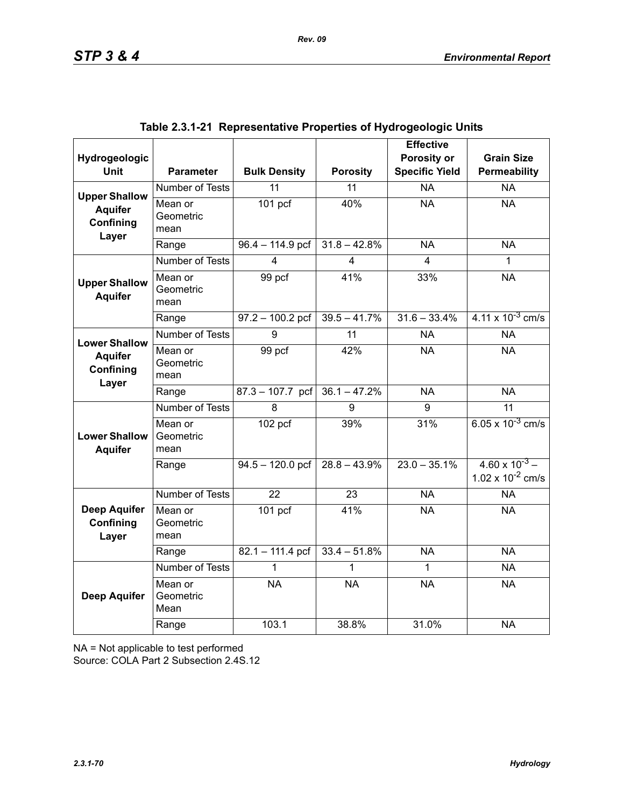| Hydrogeologic                             |                              |                     |                 | <b>Effective</b><br>Porosity or | <b>Grain Size</b>                                |
|-------------------------------------------|------------------------------|---------------------|-----------------|---------------------------------|--------------------------------------------------|
| <b>Unit</b>                               | <b>Parameter</b>             | <b>Bulk Density</b> | <b>Porosity</b> | <b>Specific Yield</b>           | Permeability                                     |
| <b>Upper Shallow</b>                      | <b>Number of Tests</b>       | $\overline{11}$     | $\overline{11}$ | $\overline{NA}$                 | $\overline{NA}$                                  |
| <b>Aquifer</b><br>Confining<br>Layer      | Mean or<br>Geometric<br>mean | 101 pcf             | 40%             | <b>NA</b>                       | <b>NA</b>                                        |
|                                           | Range                        | $96.4 - 114.9$ pcf  | $31.8 - 42.8%$  | <b>NA</b>                       | <b>NA</b>                                        |
|                                           | <b>Number of Tests</b>       | 4                   | 4               | 4                               | 1                                                |
| <b>Upper Shallow</b><br><b>Aquifer</b>    | Mean or<br>Geometric<br>mean | 99 pcf              | 41%             | 33%                             | <b>NA</b>                                        |
|                                           | Range                        | $97.2 - 100.2$ pcf  | $39.5 - 41.7%$  | $31.6 - 33.4%$                  | $4.11 \times 10^{-3}$ cm/s                       |
| <b>Lower Shallow</b>                      | <b>Number of Tests</b>       | 9                   | $\overline{11}$ | <b>NA</b>                       | <b>NA</b>                                        |
| <b>Aquifer</b><br>Confining<br>Layer      | Mean or<br>Geometric<br>mean | 99 pcf              | 42%             | <b>NA</b>                       | <b>NA</b>                                        |
|                                           | Range                        | $87.3 - 107.7$ pcf  | $36.1 - 47.2%$  | <b>NA</b>                       | <b>NA</b>                                        |
|                                           | Number of Tests              | 8                   | 9               | 9                               | $\overline{11}$                                  |
| <b>Lower Shallow</b><br><b>Aquifer</b>    | Mean or<br>Geometric<br>mean | 102 pcf             | 39%             | 31%                             | 6.05 x $10^{-3}$ cm/s                            |
|                                           | Range                        | $94.5 - 120.0$ pcf  | $28.8 - 43.9%$  | $23.0 - 35.1\%$                 | $4.60 \times 10^{-3}$ –<br>1.02 x $10^{-2}$ cm/s |
|                                           | Number of Tests              | $\overline{22}$     | $\overline{23}$ | N <sub>A</sub>                  | <b>NA</b>                                        |
| <b>Deep Aquifer</b><br>Confining<br>Layer | Mean or<br>Geometric<br>mean | 101 <sub>pcf</sub>  | 41%             | <b>NA</b>                       | <b>NA</b>                                        |
|                                           | Range                        | $82.1 - 111.4$ pcf  | $33.4 - 51.8%$  | $\overline{NA}$                 | <b>NA</b>                                        |
|                                           | Number of Tests              | 1                   | 1               | 1                               | <b>NA</b>                                        |
| <b>Deep Aquifer</b>                       | Mean or<br>Geometric<br>Mean | <b>NA</b>           | <b>NA</b>       | <b>NA</b>                       | <b>NA</b>                                        |
|                                           | Range                        | 103.1               | 38.8%           | 31.0%                           | <b>NA</b>                                        |

|  | Table 2.3.1-21  Representative Properties of Hydrogeologic Units |  |  |  |  |
|--|------------------------------------------------------------------|--|--|--|--|
|--|------------------------------------------------------------------|--|--|--|--|

NA = Not applicable to test performed

Source: COLA Part 2 Subsection 2.4S.12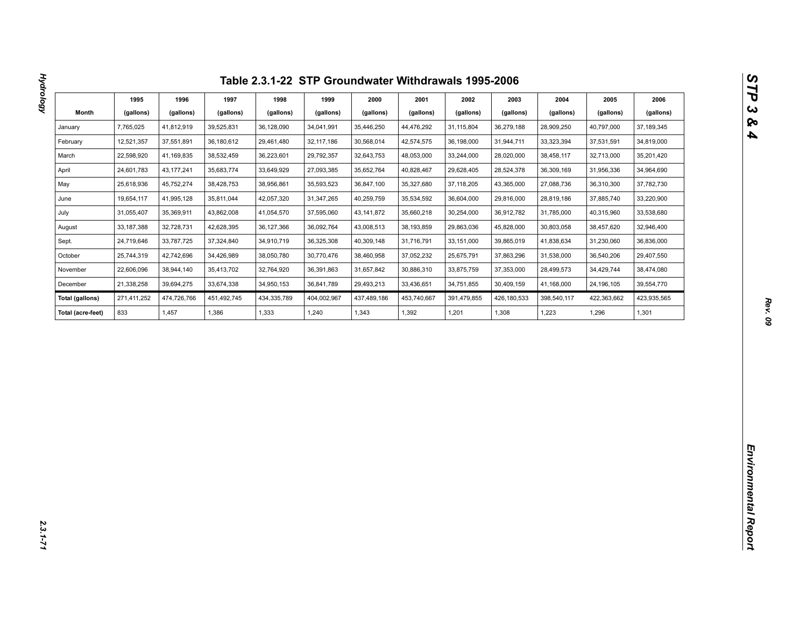|                        | 1995        | 1996         | 1997        | 1998        | 1999         | 2000         | 2001        | 2002         | 2003        | 2004        | 2005        | 2006        |
|------------------------|-------------|--------------|-------------|-------------|--------------|--------------|-------------|--------------|-------------|-------------|-------------|-------------|
| Month                  | (gallons)   | (gallons)    | (gallons)   | (gallons)   | (gallons)    | (gallons)    | (gallons)   | (gallons)    | (gallons)   | (gallons)   | (gallons)   | (gallons)   |
| January                | 7,765,025   | 41,812,919   | 39,525,831  | 36,128,090  | 34,041,991   | 35,446,250   | 44,476,292  | 31,115,804   | 36,279,188  | 28,909,250  | 40,797,000  | 37,189,345  |
| February               | 12,521,357  | 37,551,891   | 36,180,612  | 29,461,480  | 32, 117, 186 | 30,568,014   | 42,574,575  | 36,198,000   | 31,944,711  | 33,323,394  | 37,531,591  | 34,819,000  |
| March                  | 22,598,920  | 41,169,835   | 38,532,459  | 36,223,601  | 29,792,357   | 32,643,753   | 48,053,000  | 33,244,000   | 28,020,000  | 38,458,117  | 32,713,000  | 35,201,420  |
| April                  | 24,601,783  | 43, 177, 241 | 35,683,774  | 33,649,929  | 27,093,385   | 35,652,764   | 40,828,467  | 29,628,405   | 28,524,378  | 36,309,169  | 31,956,336  | 34,964,690  |
| May                    | 25,618,936  | 45,752,274   | 38,428,753  | 38,956,861  | 35,593,523   | 36,847,100   | 35,327,680  | 37, 118, 205 | 43,365,000  | 27,088,736  | 36,310,300  | 37,782,730  |
| June                   | 19,654,117  | 41,995,128   | 35,811,044  | 42,057,320  | 31,347,265   | 40,259,759   | 35,534,592  | 36,604,000   | 29,816,000  | 28,819,186  | 37,885,740  | 33,220,900  |
| July                   | 31,055,407  | 35,369,911   | 43,862,008  | 41,054,570  | 37,595,060   | 43, 141, 872 | 35,660,218  | 30,254,000   | 36,912,782  | 31,785,000  | 40,315,960  | 33,538,680  |
| August                 | 33,187,388  | 32,728,731   | 42,628,395  | 36,127,366  | 36,092,764   | 43,008,513   | 38,193,859  | 29,863,036   | 45,828,000  | 30,803,058  | 38,457,620  | 32,946,400  |
| Sept.                  | 24,719,646  | 33,787,725   | 37,324,840  | 34,910,719  | 36,325,308   | 40,309,148   | 31,716,791  | 33,151,000   | 39,865,019  | 41,838,634  | 31,230,060  | 36,836,000  |
| October                | 25,744,319  | 42,742,696   | 34,426,989  | 38,050,780  | 30,770,476   | 38,460,958   | 37,052,232  | 25,675,791   | 37,863,296  | 31,538,000  | 36,540,206  | 29,407,550  |
| November               | 22,606,096  | 38,944,140   | 35,413,702  | 32,764,920  | 36,391,863   | 31,657,842   | 30,886,310  | 33,875,759   | 37,353,000  | 28,499,573  | 34,429,744  | 38,474,080  |
| December               | 21,338,258  | 39,694,275   | 33,674,338  | 34,950,153  | 36,841,789   | 29,493,213   | 33,436,651  | 34,751,855   | 30,409,159  | 41,168,000  | 24,196,105  | 39,554,770  |
| <b>Total (gallons)</b> | 271,411,252 | 474,726,766  | 451,492,745 | 434,335,789 | 404,002,967  | 437,489,186  | 453,740,667 | 391,479,855  | 426,180,533 | 398,540,117 | 422,363,662 | 423,935,565 |
| Total (acre-feet)      | 833         | 1,457        | 1,386       | 1,333       | 1,240        | 1,343        | 1,392       | 1,201        | 1,308       | 1,223       | 1,296       | 1,301       |
|                        |             |              |             |             |              |              |             |              |             |             |             |             |
|                        |             |              |             |             |              |              |             |              |             |             |             |             |
|                        |             |              |             |             |              |              |             |              |             |             |             |             |